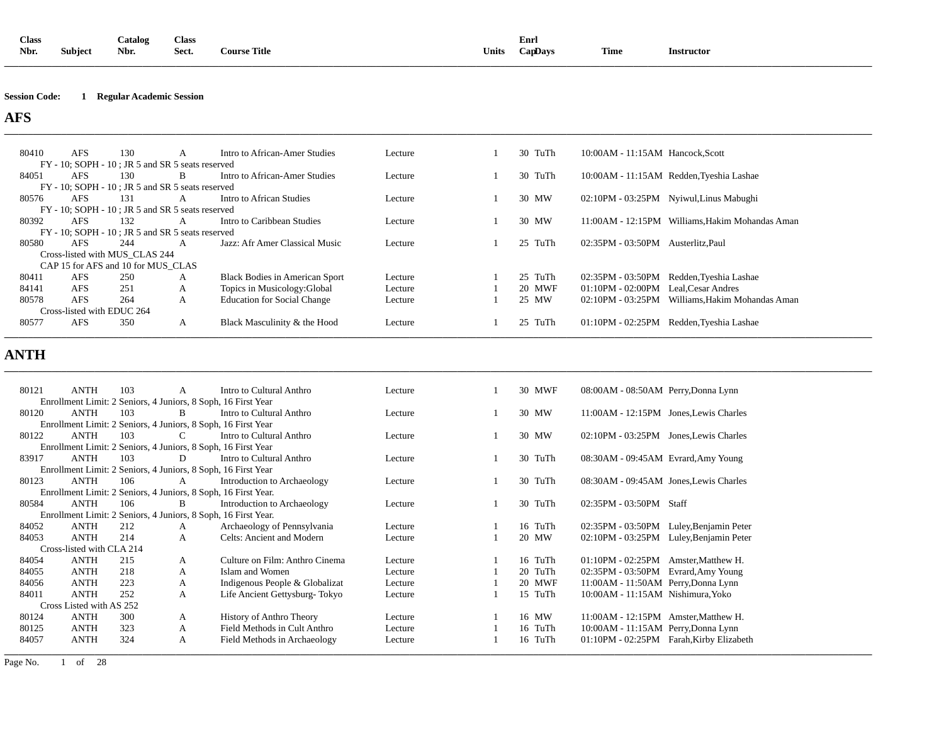| Class |                | <b>Catalog</b> | <b>Class</b> |                     |              | Enrl       |             |            |
|-------|----------------|----------------|--------------|---------------------|--------------|------------|-------------|------------|
| Nbr.  | <b>Subject</b> | Nbr.           | Sect.        | <b>Course Title</b> | <b>Units</b> | $Cap$ Davs | <b>Time</b> | Instructor |
|       |                |                |              |                     |              |            |             |            |

#### **Session Code: 1 Regular Academic Session**

**AFS** 

| 80410                                            | <b>AFS</b> | 130                                | A                                                | Intro to African-Amer Studies      | Lecture | 30 TuTh     | 10:00AM - 11:15AM Hancock, Scott  |                                                 |
|--------------------------------------------------|------------|------------------------------------|--------------------------------------------------|------------------------------------|---------|-------------|-----------------------------------|-------------------------------------------------|
| FY - 10; SOPH - 10; JR 5 and SR 5 seats reserved |            |                                    |                                                  |                                    |         |             |                                   |                                                 |
| 84051                                            | <b>AFS</b> | 130                                | B                                                | Intro to African-Amer Studies      | Lecture | 30 TuTh     |                                   | 10:00AM - 11:15AM Redden, Tyeshia Lashae        |
|                                                  |            |                                    | FY - 10; SOPH - 10; JR 5 and SR 5 seats reserved |                                    |         |             |                                   |                                                 |
| 80576                                            | <b>AFS</b> | 131                                | A                                                | Intro to African Studies           | Lecture | 30 MW       |                                   | 02:10PM - 03:25PM Nyiwul, Linus Mabughi         |
|                                                  |            |                                    | FY - 10; SOPH - 10; JR 5 and SR 5 seats reserved |                                    |         |             |                                   |                                                 |
| 80392                                            | <b>AFS</b> | 132                                | A                                                | Intro to Caribbean Studies         | Lecture | 30 MW       |                                   | 11:00AM - 12:15PM Williams, Hakim Mohandas Aman |
|                                                  |            |                                    | FY - 10; SOPH - 10; JR 5 and SR 5 seats reserved |                                    |         |             |                                   |                                                 |
| 80580                                            | <b>AFS</b> | 244                                | A                                                | Jazz: Afr Amer Classical Music     | Lecture | 25 TuTh     | 02:35PM - 03:50PM Austerlitz.Paul |                                                 |
|                                                  |            | Cross-listed with MUS CLAS 244     |                                                  |                                    |         |             |                                   |                                                 |
|                                                  |            | CAP 15 for AFS and 10 for MUS_CLAS |                                                  |                                    |         |             |                                   |                                                 |
| 80411                                            | <b>AFS</b> | 250                                | A                                                | Black Bodies in American Sport     | Lecture | 25 TuTh     | 02:35PM - 03:50PM                 | Redden, Tyeshia Lashae                          |
| 84141                                            | <b>AFS</b> | 251                                | A                                                | Topics in Musicology: Global       | Lecture | 20 MWF      | 01:10PM - 02:00PM                 | Leal.Cesar Andres                               |
| 80578                                            | <b>AFS</b> | 264                                | A                                                | <b>Education for Social Change</b> | Lecture | 25 MW       |                                   | 02:10PM - 03:25PM Williams, Hakim Mohandas Aman |
|                                                  |            | Cross-listed with EDUC 264         |                                                  |                                    |         |             |                                   |                                                 |
| 80577                                            | <b>AFS</b> | 350                                | A                                                | Black Masculinity & the Hood       | Lecture | TuTh<br>25. | 01:10PM - 02:25PM                 | Redden, Tyeshia Lashae                          |
|                                                  |            |                                    |                                                  |                                    |         |             |                                   |                                                 |

**\_\_\_\_\_\_\_\_\_\_\_\_\_\_\_\_\_\_\_\_\_\_\_\_\_\_\_\_\_\_\_\_\_\_\_\_\_\_\_\_\_\_\_\_\_\_\_\_\_\_\_\_\_\_\_\_\_\_\_\_\_\_\_\_\_\_\_\_\_\_\_\_\_\_\_\_\_\_\_\_\_\_\_\_\_\_\_\_\_\_\_\_\_\_\_\_\_\_\_\_\_\_\_\_\_\_\_\_\_\_\_\_\_\_\_\_\_\_\_\_\_\_\_\_\_\_\_\_\_\_\_\_\_\_\_\_\_\_\_\_\_\_\_\_\_\_\_\_\_\_\_\_\_\_\_\_\_\_\_\_\_\_\_\_\_\_\_\_\_\_\_\_\_\_\_\_\_\_\_\_\_\_** 

# **ANTH**

| 80121 | <b>ANTH</b>               | 103 | A  | Intro to Cultural Anthro                                       | Lecture | 30 MWF  | 08:00AM - 08:50AM Perry, Donna Lynn      |
|-------|---------------------------|-----|----|----------------------------------------------------------------|---------|---------|------------------------------------------|
|       |                           |     |    |                                                                |         |         |                                          |
|       |                           |     |    | Enrollment Limit: 2 Seniors, 4 Juniors, 8 Soph, 16 First Year  |         |         |                                          |
| 80120 | <b>ANTH</b>               | 103 | B. | Intro to Cultural Anthro                                       | Lecture | 30 MW   | 11:00AM - 12:15PM Jones, Lewis Charles   |
|       |                           |     |    | Enrollment Limit: 2 Seniors, 4 Juniors, 8 Soph, 16 First Year  |         |         |                                          |
| 80122 | <b>ANTH</b>               | 103 | C  | Intro to Cultural Anthro                                       | Lecture | 30 MW   | 02:10PM - 03:25PM Jones, Lewis Charles   |
|       |                           |     |    | Enrollment Limit: 2 Seniors, 4 Juniors, 8 Soph, 16 First Year  |         |         |                                          |
| 83917 | <b>ANTH</b>               | 103 | D  | Intro to Cultural Anthro                                       | Lecture | 30 TuTh | 08:30AM - 09:45AM Evrard, Amy Young      |
|       |                           |     |    | Enrollment Limit: 2 Seniors, 4 Juniors, 8 Soph, 16 First Year  |         |         |                                          |
| 80123 | <b>ANTH</b>               | 106 | A  | Introduction to Archaeology                                    | Lecture | 30 TuTh | 08:30AM - 09:45AM Jones, Lewis Charles   |
|       |                           |     |    | Enrollment Limit: 2 Seniors, 4 Juniors, 8 Soph, 16 First Year. |         |         |                                          |
| 80584 | <b>ANTH</b>               | 106 | B  | Introduction to Archaeology                                    | Lecture | 30 TuTh | 02:35PM - 03:50PM Staff                  |
|       |                           |     |    | Enrollment Limit: 2 Seniors, 4 Juniors, 8 Soph, 16 First Year. |         |         |                                          |
| 84052 | <b>ANTH</b>               | 212 |    | Archaeology of Pennsylvania                                    | Lecture | 16 TuTh | 02:35PM - 03:50PM Luley, Benjamin Peter  |
|       |                           |     | A  |                                                                |         |         |                                          |
| 84053 | <b>ANTH</b>               | 214 | A  | Celts: Ancient and Modern                                      | Lecture | 20 MW   | 02:10PM - 03:25PM Luley, Benjamin Peter  |
|       | Cross-listed with CLA 214 |     |    |                                                                |         |         |                                          |
| 84054 | <b>ANTH</b>               | 215 | A  | Culture on Film: Anthro Cinema                                 | Lecture | 16 TuTh | $01:10PM - 02:25PM$ Amster, Matthew H.   |
| 84055 | <b>ANTH</b>               | 218 | A  | Islam and Women                                                | Lecture | 20 TuTh | 02:35PM - 03:50PM Evrard, Amy Young      |
| 84056 | <b>ANTH</b>               | 223 | A  | Indigenous People & Globalizat                                 | Lecture | 20 MWF  | 11:00AM - 11:50AM Perry, Donna Lynn      |
| 84011 | <b>ANTH</b>               | 252 | A  | Life Ancient Gettysburg-Tokyo                                  | Lecture | 15 TuTh | 10:00AM - 11:15AM Nishimura, Yoko        |
|       | Cross Listed with AS 252  |     |    |                                                                |         |         |                                          |
| 80124 | <b>ANTH</b>               | 300 | A  | <b>History of Anthro Theory</b>                                | Lecture | 16 MW   | 11:00AM - 12:15PM Amster. Matthew H.     |
| 80125 | <b>ANTH</b>               | 323 | A  | Field Methods in Cult Anthro                                   | Lecture | 16 TuTh | 10:00AM - 11:15AM Perry, Donna Lynn      |
| 84057 | <b>ANTH</b>               | 324 | A  | Field Methods in Archaeology                                   | Lecture | 16 TuTh | 01:10PM - 02:25PM Farah, Kirby Elizabeth |
|       |                           |     |    |                                                                |         |         |                                          |
|       |                           |     |    |                                                                |         |         |                                          |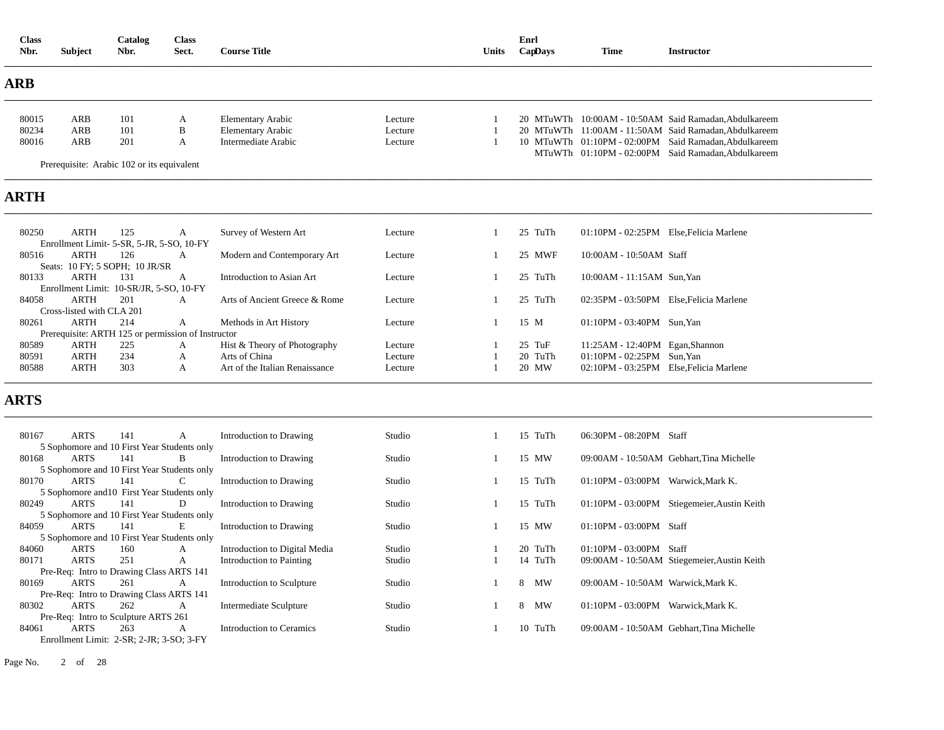| <b>Class</b><br>Nbr. | <b>Subject</b>                           | Catalog<br>Nbr.                            | <b>Class</b><br>Sect.                              | <b>Course Title</b>            |         | <b>Units</b> | Enrl<br>CapDays | <b>Time</b>                             | <b>Instructor</b>                                     |
|----------------------|------------------------------------------|--------------------------------------------|----------------------------------------------------|--------------------------------|---------|--------------|-----------------|-----------------------------------------|-------------------------------------------------------|
| ARB                  |                                          |                                            |                                                    |                                |         |              |                 |                                         |                                                       |
| 80015                | ARB                                      | 101                                        | A                                                  | <b>Elementary Arabic</b>       | Lecture |              |                 |                                         | 20 MTuWTh 10:00AM - 10:50AM Said Ramadan, Abdulkareem |
| 80234                | <b>ARB</b>                               | 101                                        | $\, {\bf B}$                                       | <b>Elementary Arabic</b>       | Lecture |              |                 |                                         | 20 MTuWTh 11:00AM - 11:50AM Said Ramadan.Abdulkareem  |
| 80016                | ARB                                      | 201                                        | А                                                  | Intermediate Arabic            | Lecture |              |                 |                                         | 10 MTuWTh 01:10PM - 02:00PM Said Ramadan, Abdulkareem |
|                      |                                          | Prerequisite: Arabic 102 or its equivalent |                                                    |                                |         |              |                 |                                         | MTuWTh 01:10PM - 02:00PM Said Ramadan, Abdulkareem    |
| <b>ARTH</b>          |                                          |                                            |                                                    |                                |         |              |                 |                                         |                                                       |
| 80250                | <b>ARTH</b>                              | 125                                        | А                                                  | Survey of Western Art          | Lecture |              | 25 TuTh         | 01:10PM - 02:25PM Else, Felicia Marlene |                                                       |
|                      |                                          | Enrollment Limit- 5-SR, 5-JR, 5-SO, 10-FY  |                                                    |                                |         |              |                 |                                         |                                                       |
| 80516                | <b>ARTH</b>                              | 126                                        | A                                                  | Modern and Contemporary Art    | Lecture |              | 25 MWF          | 10:00AM - 10:50AM Staff                 |                                                       |
|                      |                                          | Seats: 10 FY; 5 SOPH; 10 JR/SR             |                                                    |                                |         |              |                 |                                         |                                                       |
| 80133                | <b>ARTH</b>                              | 131                                        | A                                                  | Introduction to Asian Art      | Lecture |              | 25 TuTh         | 10:00AM - 11:15AM Sun, Yan              |                                                       |
|                      |                                          | Enrollment Limit: 10-SR/JR, 5-SO, 10-FY    |                                                    |                                |         |              |                 |                                         |                                                       |
| 84058                | <b>ARTH</b>                              | 201                                        | A                                                  | Arts of Ancient Greece & Rome  | Lecture |              | 25 TuTh         | 02:35PM - 03:50PM Else, Felicia Marlene |                                                       |
| 80261                | Cross-listed with CLA 201<br><b>ARTH</b> | 214                                        | A                                                  | Methods in Art History         | Lecture |              | 15 M            | 01:10PM - 03:40PM Sun, Yan              |                                                       |
|                      |                                          |                                            | Prerequisite: ARTH 125 or permission of Instructor |                                |         |              |                 |                                         |                                                       |
| 80589                | <b>ARTH</b>                              | 225                                        | A                                                  | Hist & Theory of Photography   | Lecture |              | $25$ TuF        | 11:25AM - 12:40PM Egan, Shannon         |                                                       |
| 80591                | <b>ARTH</b>                              | 234                                        | A                                                  | Arts of China                  | Lecture |              | 20 TuTh         | 01:10PM - 02:25PM Sun, Yan              |                                                       |
| 80588                | <b>ARTH</b>                              | 303                                        | A                                                  | Art of the Italian Renaissance | Lecture |              | 20 MW           | 02:10PM - 03:25PM Else, Felicia Marlene |                                                       |
| <b>ARTS</b>          |                                          |                                            |                                                    |                                |         |              |                 |                                         |                                                       |
| 80167                | <b>ARTS</b>                              | 141                                        | A                                                  | Introduction to Drawing        | Studio  |              | 15 TuTh         | 06:30PM - 08:20PM Staff                 |                                                       |
|                      |                                          |                                            | 5 Sophomore and 10 First Year Students only        |                                |         |              |                 |                                         |                                                       |
| 80168                | <b>ARTS</b>                              | 141                                        | B                                                  | Introduction to Drawing        | Studio  |              | 15 MW           |                                         | 09:00AM - 10:50AM Gebhart.Tina Michelle               |

|       |                                      |     | 5 Sophomore and 10 First Year Students only |                               |        |         |                                    |                                             |
|-------|--------------------------------------|-----|---------------------------------------------|-------------------------------|--------|---------|------------------------------------|---------------------------------------------|
| 80170 | <b>ARTS</b>                          | 141 |                                             | Introduction to Drawing       | Studio | 15 TuTh | $01:10PM - 03:00PM$                | Warwick.Mark K.                             |
|       |                                      |     | 5 Sophomore and 10 First Year Students only |                               |        |         |                                    |                                             |
| 80249 | <b>ARTS</b>                          | 141 | D                                           | Introduction to Drawing       | Studio | 15 TuTh | 01:10PM - 03:00PM                  | Stiegemeier, Austin Keith                   |
|       |                                      |     | 5 Sophomore and 10 First Year Students only |                               |        |         |                                    |                                             |
| 84059 | <b>ARTS</b>                          | 141 | E                                           | Introduction to Drawing       | Studio | 15 MW   | $01:10PM - 03:00PM$ Staff          |                                             |
|       |                                      |     | 5 Sophomore and 10 First Year Students only |                               |        |         |                                    |                                             |
| 84060 | <b>ARTS</b>                          | 160 | А                                           | Introduction to Digital Media | Studio | 20 TuTh | $01:10PM - 03:00PM$ Staff          |                                             |
| 80171 | <b>ARTS</b>                          | 251 | A                                           | Introduction to Painting      | Studio | 14 TuTh |                                    | 09:00AM - 10:50AM Stiegemeier, Austin Keith |
|       |                                      |     | Pre-Req: Intro to Drawing Class ARTS 141    |                               |        |         |                                    |                                             |
| 80169 | <b>ARTS</b>                          | 261 | A                                           | Introduction to Sculpture     | Studio | MW<br>8 | 09:00AM - 10:50AM Warwick, Mark K. |                                             |
|       |                                      |     | Pre-Req: Intro to Drawing Class ARTS 141    |                               |        |         |                                    |                                             |
| 80302 | ARTS                                 | 262 | А                                           | Intermediate Sculpture        | Studio | MW<br>8 | $01:10PM - 03:00PM$                | Warwick.Mark K.                             |
|       | Pre-Req: Intro to Sculpture ARTS 261 |     |                                             |                               |        |         |                                    |                                             |
| 84061 | <b>ARTS</b>                          | 263 | A                                           | Introduction to Ceramics      | Studio | 10 TuTh |                                    | 09:00AM - 10:50AM Gebhart. Tina Michelle    |
|       |                                      |     | Enrollment Limit: 2-SR; 2-JR; 3-SO; 3-FY    |                               |        |         |                                    |                                             |

Page No. 2 of 28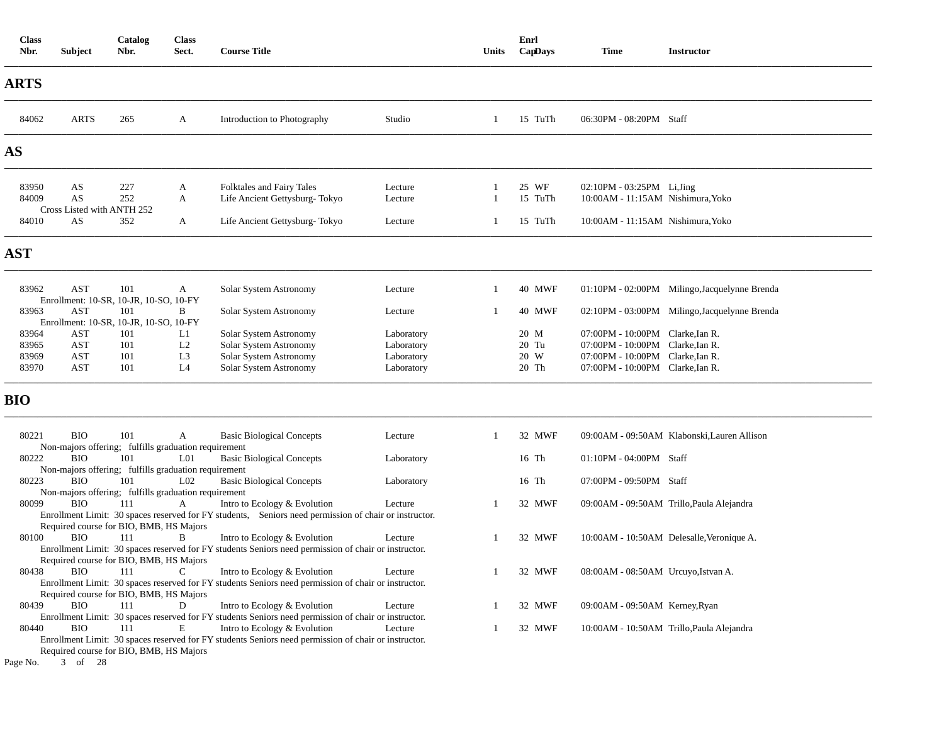| <b>Class</b><br>Nbr. | <b>Subject</b>                   | Catalog<br>Nbr.                                             | <b>Class</b><br>Sect. | <b>Course Title</b>                                                                                                                                                                                                                          |                          | Units | Enrl<br>CapDays | <b>Time</b>                                                          | <b>Instructor</b>                             |
|----------------------|----------------------------------|-------------------------------------------------------------|-----------------------|----------------------------------------------------------------------------------------------------------------------------------------------------------------------------------------------------------------------------------------------|--------------------------|-------|-----------------|----------------------------------------------------------------------|-----------------------------------------------|
| <b>ARTS</b>          |                                  |                                                             |                       |                                                                                                                                                                                                                                              |                          |       |                 |                                                                      |                                               |
| 84062                | <b>ARTS</b>                      | 265                                                         | A                     | Introduction to Photography                                                                                                                                                                                                                  | Studio                   | 1     | 15 TuTh         | 06:30PM - 08:20PM Staff                                              |                                               |
| <b>AS</b>            |                                  |                                                             |                       |                                                                                                                                                                                                                                              |                          |       |                 |                                                                      |                                               |
| 83950                | AS                               | 227                                                         | A                     | Folktales and Fairy Tales                                                                                                                                                                                                                    | Lecture                  |       | 25 WF           | 02:10PM - 03:25PM Li, Jing                                           |                                               |
| 84009                | AS<br>Cross Listed with ANTH 252 | 252                                                         | A                     | Life Ancient Gettysburg-Tokyo                                                                                                                                                                                                                | Lecture                  |       | 15 TuTh         | 10:00AM - 11:15AM Nishimura, Yoko                                    |                                               |
| 84010                | AS                               | 352                                                         | A                     | Life Ancient Gettysburg-Tokyo                                                                                                                                                                                                                | Lecture                  |       | 15 TuTh         | 10:00AM - 11:15AM Nishimura, Yoko                                    |                                               |
| <b>AST</b>           |                                  |                                                             |                       |                                                                                                                                                                                                                                              |                          |       |                 |                                                                      |                                               |
| 83962                | AST                              | 101<br>Enrollment: 10-SR, 10-JR, 10-SO, 10-FY               | A                     | Solar System Astronomy                                                                                                                                                                                                                       | Lecture                  |       | <b>40 MWF</b>   |                                                                      | 01:10PM - 02:00PM Milingo, Jacquelynne Brenda |
| 83963                | AST                              | 101                                                         | B                     | Solar System Astronomy                                                                                                                                                                                                                       | Lecture                  |       | <b>40 MWF</b>   |                                                                      | 02:10PM - 03:00PM Milingo, Jacquelynne Brenda |
|                      |                                  | Enrollment: 10-SR, 10-JR, 10-SO, 10-FY                      |                       |                                                                                                                                                                                                                                              |                          |       |                 |                                                                      |                                               |
| 83964                | AST                              | 101                                                         | L1<br>L2              | Solar System Astronomy                                                                                                                                                                                                                       | Laboratory               |       | 20 M            | 07:00PM - 10:00PM Clarke, Ian R.                                     |                                               |
| 83965<br>83969       | AST<br>AST                       | 101<br>101                                                  | L <sub>3</sub>        | Solar System Astronomy<br>Solar System Astronomy                                                                                                                                                                                             | Laboratory<br>Laboratory |       | $20$ Tu<br>20 W | 07:00PM - 10:00PM Clarke, Ian R.<br>07:00PM - 10:00PM Clarke, Ian R. |                                               |
| 83970                | AST                              | 101                                                         | L <sub>4</sub>        | Solar System Astronomy                                                                                                                                                                                                                       | Laboratory               |       | 20 Th           | 07:00PM - 10:00PM Clarke, Ian R.                                     |                                               |
| <b>BIO</b>           |                                  |                                                             |                       |                                                                                                                                                                                                                                              |                          |       |                 |                                                                      |                                               |
| 80221                | <b>BIO</b>                       | 101<br>Non-majors offering; fulfills graduation requirement | A                     | <b>Basic Biological Concepts</b>                                                                                                                                                                                                             | Lecture                  | -1    | 32 MWF          |                                                                      | 09:00AM - 09:50AM Klabonski, Lauren Allison   |
| 80222                | <b>BIO</b>                       | 101                                                         | L <sub>01</sub>       | <b>Basic Biological Concepts</b>                                                                                                                                                                                                             | Laboratory               |       | 16 Th           | $01:10PM - 04:00PM$ Staff                                            |                                               |
|                      |                                  | Non-majors offering; fulfills graduation requirement        |                       |                                                                                                                                                                                                                                              |                          |       |                 |                                                                      |                                               |
| 80223                | <b>BIO</b>                       | 101                                                         | L <sub>02</sub>       | <b>Basic Biological Concepts</b>                                                                                                                                                                                                             | Laboratory               |       | 16 Th           | 07:00PM - 09:50PM Staff                                              |                                               |
|                      |                                  | Non-majors offering; fulfills graduation requirement        |                       |                                                                                                                                                                                                                                              |                          |       |                 |                                                                      |                                               |
| 80099                | <b>BIO</b>                       | 111<br>Required course for BIO, BMB, HS Majors              | A                     | Intro to Ecology & Evolution<br>Enrollment Limit: 30 spaces reserved for FY students, Seniors need permission of chair or instructor.                                                                                                        | Lecture                  |       | 32 MWF          |                                                                      | 09:00AM - 09:50AM Trillo, Paula Alejandra     |
| 80100                | <b>BIO</b>                       | 111                                                         | B                     | Intro to Ecology & Evolution                                                                                                                                                                                                                 | Lecture                  |       | 32 MWF          |                                                                      | 10:00AM - 10:50AM Delesalle, Veronique A.     |
|                      |                                  | Required course for BIO, BMB, HS Majors                     |                       | Enrollment Limit: 30 spaces reserved for FY students Seniors need permission of chair or instructor.                                                                                                                                         |                          |       |                 |                                                                      |                                               |
| 80438                | <b>BIO</b>                       | 111<br>Required course for BIO, BMB, HS Majors              | $\mathbf C$           | Intro to Ecology & Evolution<br>Enrollment Limit: 30 spaces reserved for FY students Seniors need permission of chair or instructor.                                                                                                         | Lecture                  |       | 32 MWF          | 08:00AM - 08:50AM Urcuyo, Istvan A.                                  |                                               |
| 80439                | <b>BIO</b>                       | 111                                                         | D                     | Intro to Ecology & Evolution                                                                                                                                                                                                                 | Lecture                  |       | 32 MWF          | 09:00AM - 09:50AM Kerney, Ryan                                       |                                               |
| 80440<br>Page No.    | <b>BIO</b><br>3 of 28            | 111<br>Required course for BIO, BMB, HS Majors              | Е                     | Enrollment Limit: 30 spaces reserved for FY students Seniors need permission of chair or instructor.<br>Intro to Ecology & Evolution<br>Enrollment Limit: 30 spaces reserved for FY students Seniors need permission of chair or instructor. | Lecture                  |       | 32 MWF          |                                                                      | 10:00AM - 10:50AM Trillo, Paula Alejandra     |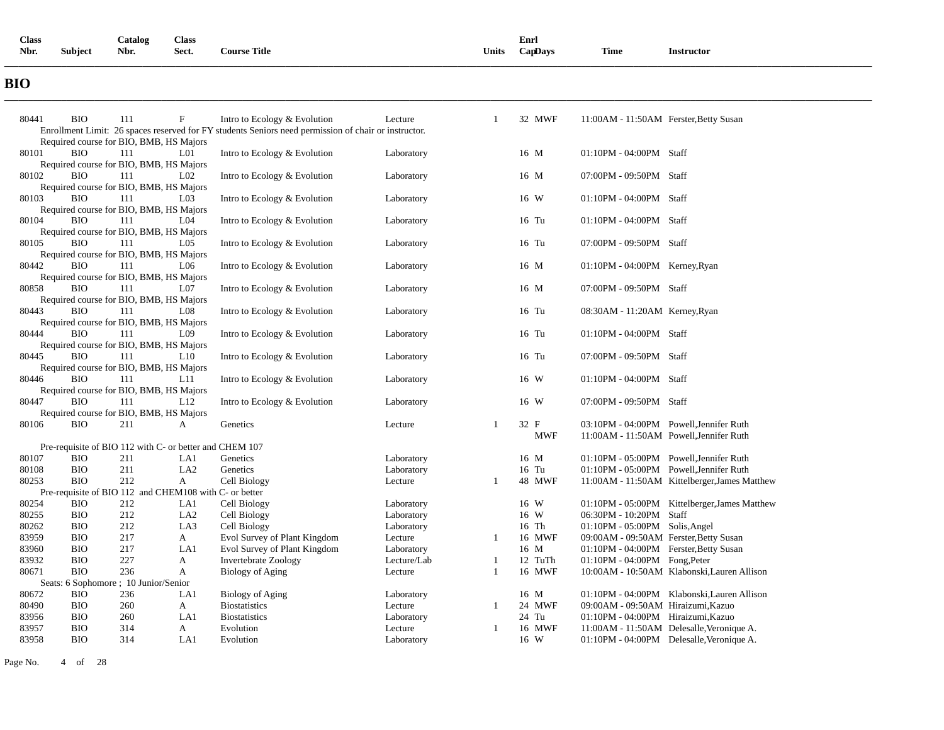| <b>Class</b> |                | Catalog | <b>Class</b> |                     |       | Enrl    |             |                 |
|--------------|----------------|---------|--------------|---------------------|-------|---------|-------------|-----------------|
| Nbr.         | <b>Subject</b> | Nbr.    | Sect.        | <b>Course Title</b> | Units | CapDays | <b>Time</b> | Instructor<br>. |
|              |                |         |              |                     |       |         |             |                 |

# **BIO**

| 80441 | <b>BIO</b> | 111                                                     | $\boldsymbol{\mathrm{F}}$ | Intro to Ecology & Evolution                                                                         | Lecture     | $\overline{1}$ | 32 MWF     | 11:00AM - 11:50AM Ferster, Betty Susan        |
|-------|------------|---------------------------------------------------------|---------------------------|------------------------------------------------------------------------------------------------------|-------------|----------------|------------|-----------------------------------------------|
|       |            |                                                         |                           | Enrollment Limit: 26 spaces reserved for FY students Seniors need permission of chair or instructor. |             |                |            |                                               |
|       |            | Required course for BIO, BMB, HS Majors                 |                           |                                                                                                      |             |                |            |                                               |
| 80101 | <b>BIO</b> | 111                                                     | L <sub>01</sub>           | Intro to Ecology & Evolution                                                                         | Laboratory  |                | 16 M       | 01:10PM - 04:00PM Staff                       |
|       |            | Required course for BIO, BMB, HS Majors                 |                           |                                                                                                      |             |                |            |                                               |
| 80102 | BIO        | 111                                                     | L <sub>02</sub>           | Intro to Ecology & Evolution                                                                         | Laboratory  |                | 16 M       | 07:00PM - 09:50PM Staff                       |
|       |            | Required course for BIO, BMB, HS Majors                 |                           |                                                                                                      |             |                |            |                                               |
| 80103 | <b>BIO</b> | 111                                                     | L <sub>03</sub>           | Intro to Ecology & Evolution                                                                         | Laboratory  |                | 16 W       | 01:10PM - 04:00PM Staff                       |
|       |            | Required course for BIO, BMB, HS Majors                 |                           |                                                                                                      |             |                |            |                                               |
| 80104 | <b>BIO</b> | 111                                                     | L <sub>04</sub>           | Intro to Ecology & Evolution                                                                         | Laboratory  |                | 16 Tu      | 01:10PM - 04:00PM Staff                       |
|       |            | Required course for BIO, BMB, HS Majors                 |                           |                                                                                                      |             |                |            |                                               |
| 80105 | <b>BIO</b> | 111                                                     | L <sub>05</sub>           | Intro to Ecology & Evolution                                                                         | Laboratory  |                | 16 Tu      | 07:00PM - 09:50PM Staff                       |
|       |            | Required course for BIO, BMB, HS Majors                 |                           |                                                                                                      |             |                |            |                                               |
| 80442 | <b>BIO</b> | 111                                                     | L <sub>06</sub>           | Intro to Ecology & Evolution                                                                         | Laboratory  |                | 16 M       | $01:10PM - 04:00PM$ Kerney, Ryan              |
|       |            | Required course for BIO, BMB, HS Majors                 |                           |                                                                                                      |             |                |            |                                               |
| 80858 | <b>BIO</b> | 111                                                     | L07                       | Intro to Ecology & Evolution                                                                         | Laboratory  |                | 16 M       | 07:00PM - 09:50PM Staff                       |
|       |            | Required course for BIO, BMB, HS Majors                 |                           |                                                                                                      |             |                |            |                                               |
| 80443 | <b>BIO</b> | 111                                                     | L <sub>08</sub>           | Intro to Ecology & Evolution                                                                         | Laboratory  |                | 16 Tu      | 08:30AM - 11:20AM Kerney, Ryan                |
|       |            | Required course for BIO, BMB, HS Majors                 |                           |                                                                                                      |             |                |            |                                               |
| 80444 | <b>BIO</b> | 111                                                     | L <sub>09</sub>           | Intro to Ecology & Evolution                                                                         | Laboratory  |                | 16 Tu      | 01:10PM - 04:00PM Staff                       |
|       |            | Required course for BIO, BMB, HS Majors                 |                           |                                                                                                      |             |                |            |                                               |
| 80445 | <b>BIO</b> | 111                                                     | L10                       | Intro to Ecology & Evolution                                                                         | Laboratory  |                | 16 Tu      | 07:00PM - 09:50PM Staff                       |
|       |            | Required course for BIO, BMB, HS Majors                 |                           |                                                                                                      |             |                |            |                                               |
| 80446 | <b>BIO</b> | 111                                                     | L11                       | Intro to Ecology & Evolution                                                                         | Laboratory  |                | 16 W       | 01:10PM - 04:00PM Staff                       |
|       |            | Required course for BIO, BMB, HS Majors                 |                           |                                                                                                      |             |                |            |                                               |
| 80447 | <b>BIO</b> | 111                                                     | L12                       | Intro to Ecology & Evolution                                                                         | Laboratory  |                | 16 W       | 07:00PM - 09:50PM Staff                       |
|       |            | Required course for BIO, BMB, HS Majors                 |                           |                                                                                                      |             |                |            |                                               |
| 80106 | <b>BIO</b> | 211                                                     | А                         | Genetics                                                                                             | Lecture     | -1             | 32 F       | 03:10PM - 04:00PM Powell, Jennifer Ruth       |
|       |            |                                                         |                           |                                                                                                      |             |                | <b>MWF</b> | 11:00AM - 11:50AM Powell, Jennifer Ruth       |
|       |            | Pre-requisite of BIO 112 with C- or better and CHEM 107 |                           |                                                                                                      |             |                |            |                                               |
| 80107 | <b>BIO</b> | 211                                                     | LA1                       | Genetics                                                                                             | Laboratory  |                | 16 M       | 01:10PM - 05:00PM Powell, Jennifer Ruth       |
| 80108 | <b>BIO</b> | 211                                                     | LA <sub>2</sub>           | Genetics                                                                                             | Laboratory  |                | 16 Tu      | 01:10PM - 05:00PM Powell, Jennifer Ruth       |
| 80253 | <b>BIO</b> | 212                                                     | A                         | Cell Biology                                                                                         | Lecture     | -1             | 48 MWF     | 11:00AM - 11:50AM Kittelberger, James Matthew |
|       |            | Pre-requisite of BIO 112 and CHEM108 with C- or better  |                           |                                                                                                      |             |                |            |                                               |
| 80254 | <b>BIO</b> | 212                                                     | LA1                       | Cell Biology                                                                                         | Laboratory  |                | 16 W       | 01:10PM - 05:00PM Kittelberger, James Matthew |
| 80255 | <b>BIO</b> | 212                                                     | LA <sub>2</sub>           | Cell Biology                                                                                         | Laboratory  |                | 16 W       | 06:30PM - 10:20PM Staff                       |
| 80262 | <b>BIO</b> | 212                                                     | LA3                       | Cell Biology                                                                                         | Laboratory  |                | 16 Th      | 01:10PM - 05:00PM Solis, Angel                |
| 83959 | <b>BIO</b> | 217                                                     | A                         | Evol Survey of Plant Kingdom                                                                         | Lecture     | -1             | 16 MWF     | 09:00AM - 09:50AM Ferster, Betty Susan        |
| 83960 | <b>BIO</b> | 217                                                     | LA1                       | Evol Survey of Plant Kingdom                                                                         | Laboratory  |                | 16 M       | 01:10PM - 04:00PM Ferster, Betty Susan        |
| 83932 | <b>BIO</b> | 227                                                     | A                         | <b>Invertebrate Zoology</b>                                                                          | Lecture/Lab | -1             | 12 TuTh    | $01:10$ PM - 04:00PM Fong, Peter              |
| 80671 | <b>BIO</b> | 236                                                     | $\mathbf{A}$              | <b>Biology of Aging</b>                                                                              | Lecture     | $\overline{1}$ | 16 MWF     | 10:00AM - 10:50AM Klabonski, Lauren Allison   |
|       |            | Seats: 6 Sophomore ; 10 Junior/Senior                   |                           |                                                                                                      |             |                |            |                                               |
| 80672 | <b>BIO</b> | 236                                                     | LA1                       | <b>Biology of Aging</b>                                                                              | Laboratory  |                | 16 M       | 01:10PM - 04:00PM Klabonski, Lauren Allison   |
| 80490 | <b>BIO</b> | 260                                                     | A                         | <b>Biostatistics</b>                                                                                 | Lecture     | 1              | 24 MWF     | 09:00AM - 09:50AM Hiraizumi, Kazuo            |
| 83956 | <b>BIO</b> | 260                                                     | LA1                       | <b>Biostatistics</b>                                                                                 | Laboratory  |                | 24 Tu      | 01:10PM - 04:00PM Hiraizumi, Kazuo            |
| 83957 | <b>BIO</b> | 314                                                     | A                         | Evolution                                                                                            | Lecture     |                | 16 MWF     | 11:00AM - 11:50AM Delesalle, Veronique A.     |
| 83958 | <b>BIO</b> | 314                                                     | LA1                       | Evolution                                                                                            | Laboratory  |                | 16 W       | 01:10PM - 04:00PM Delesalle, Veronique A.     |

Page No. 4 of 28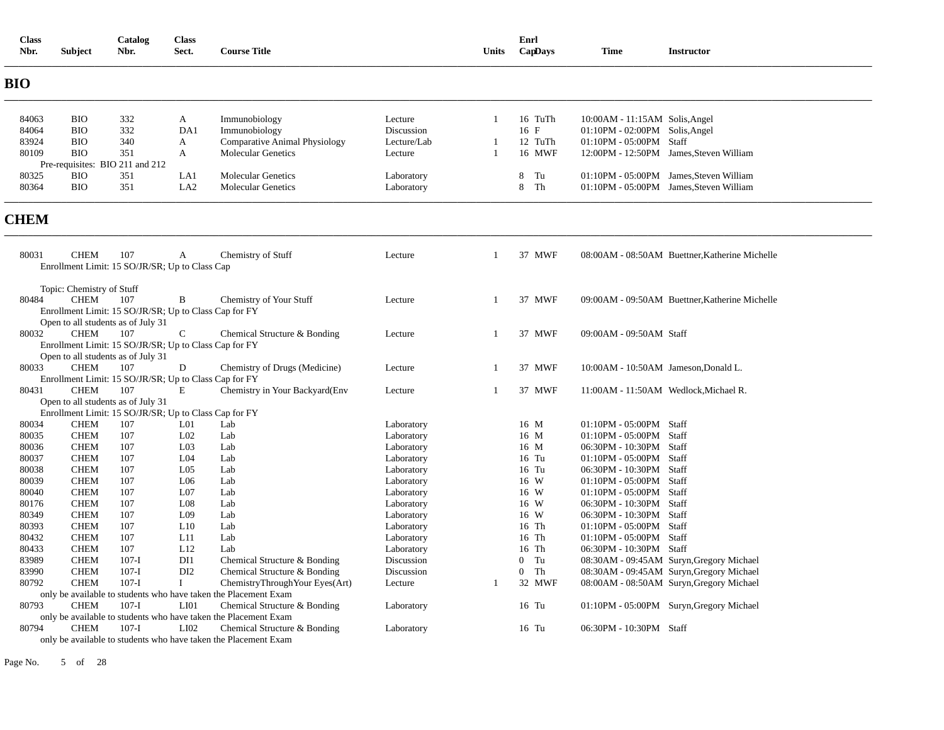| 332<br>84063<br><b>BIO</b><br>A<br>Immunobiology<br>Lecture<br>16 TuTh<br>10:00AM - 11:15AM Solis, Angel<br>1<br>332<br>84064<br><b>BIO</b><br>DA1<br>Discussion<br>16 F<br>01:10PM - 02:00PM Solis, Angel<br>Immunobiology<br>83924<br><b>BIO</b><br>340<br><b>Comparative Animal Physiology</b><br>Lecture/Lab<br>12 TuTh<br>01:10PM - 05:00PM Staff<br>A<br>-1<br>80109<br><b>BIO</b><br>351<br><b>Molecular Genetics</b><br>16 MWF<br>12:00PM - 12:50PM James, Steven William<br>A<br>Lecture<br>1<br>Pre-requisites: BIO 211 and 212<br><b>BIO</b><br>351<br>LA1<br><b>Molecular Genetics</b><br>8<br>Tu<br>01:10PM - 05:00PM James, Steven William<br>80325<br>Laboratory<br>351<br>80364<br><b>BIO</b><br>LA <sub>2</sub><br>8 Th<br>01:10PM - 05:00PM James, Steven William<br><b>Molecular Genetics</b><br>Laboratory<br>80031<br><b>CHEM</b><br>107<br>37 MWF<br>$\mathbf{A}$<br>Chemistry of Stuff<br>08:00AM - 08:50AM Buettner.Katherine Michelle<br>Lecture<br>-1<br>Enrollment Limit: 15 SO/JR/SR; Up to Class Cap<br>Topic: Chemistry of Stuff<br>${\rm CHEM}$<br>107<br>37 MWF<br>80484<br>B<br>Chemistry of Your Stuff<br>Lecture<br>09:00AM - 09:50AM Buettner, Katherine Michelle<br>-1<br>Enrollment Limit: 15 SO/JR/SR; Up to Class Cap for FY<br>Open to all students as of July 31<br>80032<br><b>CHEM</b><br>107<br>$\mathsf{C}$<br>37 MWF<br>09:00AM - 09:50AM Staff<br>Chemical Structure & Bonding<br>Lecture<br>1<br>Enrollment Limit: 15 SO/JR/SR; Up to Class Cap for FY<br>Open to all students as of July 31<br>80033<br><b>CHEM</b><br>107<br>Chemistry of Drugs (Medicine)<br>37 MWF<br>D<br>Lecture<br>1<br>10:00AM - 10:50AM Jameson, Donald L.<br>Enrollment Limit: 15 SO/JR/SR; Up to Class Cap for FY<br><b>CHEM</b><br>80431<br>107<br>E<br>37 MWF<br>Chemistry in Your Backyard (Env<br>Lecture<br>1<br>11:00AM - 11:50AM Wedlock, Michael R.<br>Open to all students as of July 31<br>Enrollment Limit: 15 SO/JR/SR; Up to Class Cap for FY<br><b>CHEM</b><br>107<br>L <sub>01</sub><br>01:10PM - 05:00PM Staff<br>80034<br>Lab<br>Laboratory<br>16 M<br><b>CHEM</b><br>107<br>L <sub>02</sub><br>80035<br>Lab<br>Laboratory<br>16 M<br>01:10PM - 05:00PM Staff<br>L <sub>03</sub><br>80036<br><b>CHEM</b><br>107<br>Lab<br>16 M<br>06:30PM - 10:30PM Staff<br>Laboratory<br><b>CHEM</b><br>107<br>L <sub>04</sub><br>80037<br>Lab<br>16 Tu<br>01:10PM - 05:00PM Staff<br>Laboratory<br>80038<br><b>CHEM</b><br>107<br>L <sub>05</sub><br>Lab<br>16 Tu<br>06:30PM - 10:30PM Staff<br>Laboratory<br>16 W<br>80039<br><b>CHEM</b><br>107<br>L <sub>06</sub><br>Lab<br>01:10PM - 05:00PM Staff<br>Laboratory<br><b>CHEM</b><br>107<br>L <sub>07</sub><br>16 W<br>80040<br>Lab<br>01:10PM - 05:00PM Staff<br>Laboratory<br>80176<br><b>CHEM</b><br>107<br>L <sub>08</sub><br>Lab<br>Laboratory<br>16 W<br>06:30PM - 10:30PM Staff<br>80349<br><b>CHEM</b><br>107<br>L <sub>09</sub><br>16 W<br>06:30PM - 10:30PM Staff<br>Lab<br>Laboratory<br>80393<br><b>CHEM</b><br>107<br>L10<br>Lab<br>Laboratory<br>16 Th<br>01:10PM - 05:00PM Staff<br>107<br>80432<br><b>CHEM</b><br>L11<br>Lab<br>16 Th<br>01:10PM - 05:00PM Staff<br>Laboratory<br>80433<br><b>CHEM</b><br>107<br>L12<br>16 Th<br>06:30PM - 10:30PM Staff<br>Lab<br>Laboratory<br><b>CHEM</b><br>DI1<br>$0$ Tu<br>83989<br>$107-I$<br>Chemical Structure & Bonding<br>Discussion<br>08:30AM - 09:45AM Suryn, Gregory Michael<br>83990<br><b>CHEM</b><br>$107-I$<br>DI <sub>2</sub><br>$\overline{0}$<br>Th<br>Chemical Structure & Bonding<br>Discussion<br>08:30AM - 09:45AM Suryn, Gregory Michael<br>80792<br><b>CHEM</b><br>$107-I$<br>$\bf{I}$<br>32 MWF<br>08:00AM - 08:50AM Suryn, Gregory Michael<br>ChemistryThroughYour Eyes(Art)<br>Lecture<br>-1<br>only be available to students who have taken the Placement Exam<br><b>CHEM</b><br>$107-I$<br>Chemical Structure & Bonding<br>80793<br>LI01<br>Laboratory<br>16 Tu<br>01:10PM - 05:00PM Suryn, Gregory Michael<br>only be available to students who have taken the Placement Exam<br><b>CHEM</b><br>$107-I$<br>LI <sub>02</sub><br>80794<br>Chemical Structure & Bonding<br>16 Tu<br>06:30PM - 10:30PM Staff<br>Laboratory<br>only be available to students who have taken the Placement Exam | Class<br>Nbr. | <b>Subject</b> | Catalog<br>Nbr. | <b>Class</b><br>Sect. | <b>Course Title</b> | Units | Enrl | CapDays | Time | <b>Instructor</b> |
|---------------------------------------------------------------------------------------------------------------------------------------------------------------------------------------------------------------------------------------------------------------------------------------------------------------------------------------------------------------------------------------------------------------------------------------------------------------------------------------------------------------------------------------------------------------------------------------------------------------------------------------------------------------------------------------------------------------------------------------------------------------------------------------------------------------------------------------------------------------------------------------------------------------------------------------------------------------------------------------------------------------------------------------------------------------------------------------------------------------------------------------------------------------------------------------------------------------------------------------------------------------------------------------------------------------------------------------------------------------------------------------------------------------------------------------------------------------------------------------------------------------------------------------------------------------------------------------------------------------------------------------------------------------------------------------------------------------------------------------------------------------------------------------------------------------------------------------------------------------------------------------------------------------------------------------------------------------------------------------------------------------------------------------------------------------------------------------------------------------------------------------------------------------------------------------------------------------------------------------------------------------------------------------------------------------------------------------------------------------------------------------------------------------------------------------------------------------------------------------------------------------------------------------------------------------------------------------------------------------------------------------------------------------------------------------------------------------------------------------------------------------------------------------------------------------------------------------------------------------------------------------------------------------------------------------------------------------------------------------------------------------------------------------------------------------------------------------------------------------------------------------------------------------------------------------------------------------------------------------------------------------------------------------------------------------------------------------------------------------------------------------------------------------------------------------------------------------------------------------------------------------------------------------------------------------------------------------------------------------------------------------------------------------------------------------------------------------------------------------------------------------------------------------------------------------------------------------------------------------------------------------------------------------------------------------------------------------------------------------------------------------------------------------------------------------------------------------------------------------------------------------------------------------------------------------------------------------------------------------------------------------|---------------|----------------|-----------------|-----------------------|---------------------|-------|------|---------|------|-------------------|
|                                                                                                                                                                                                                                                                                                                                                                                                                                                                                                                                                                                                                                                                                                                                                                                                                                                                                                                                                                                                                                                                                                                                                                                                                                                                                                                                                                                                                                                                                                                                                                                                                                                                                                                                                                                                                                                                                                                                                                                                                                                                                                                                                                                                                                                                                                                                                                                                                                                                                                                                                                                                                                                                                                                                                                                                                                                                                                                                                                                                                                                                                                                                                                                                                                                                                                                                                                                                                                                                                                                                                                                                                                                                                                                                                                                                                                                                                                                                                                                                                                                                                                                                                                                                                                                               | <b>BIO</b>    |                |                 |                       |                     |       |      |         |      |                   |
|                                                                                                                                                                                                                                                                                                                                                                                                                                                                                                                                                                                                                                                                                                                                                                                                                                                                                                                                                                                                                                                                                                                                                                                                                                                                                                                                                                                                                                                                                                                                                                                                                                                                                                                                                                                                                                                                                                                                                                                                                                                                                                                                                                                                                                                                                                                                                                                                                                                                                                                                                                                                                                                                                                                                                                                                                                                                                                                                                                                                                                                                                                                                                                                                                                                                                                                                                                                                                                                                                                                                                                                                                                                                                                                                                                                                                                                                                                                                                                                                                                                                                                                                                                                                                                                               |               |                |                 |                       |                     |       |      |         |      |                   |
|                                                                                                                                                                                                                                                                                                                                                                                                                                                                                                                                                                                                                                                                                                                                                                                                                                                                                                                                                                                                                                                                                                                                                                                                                                                                                                                                                                                                                                                                                                                                                                                                                                                                                                                                                                                                                                                                                                                                                                                                                                                                                                                                                                                                                                                                                                                                                                                                                                                                                                                                                                                                                                                                                                                                                                                                                                                                                                                                                                                                                                                                                                                                                                                                                                                                                                                                                                                                                                                                                                                                                                                                                                                                                                                                                                                                                                                                                                                                                                                                                                                                                                                                                                                                                                                               |               |                |                 |                       |                     |       |      |         |      |                   |
|                                                                                                                                                                                                                                                                                                                                                                                                                                                                                                                                                                                                                                                                                                                                                                                                                                                                                                                                                                                                                                                                                                                                                                                                                                                                                                                                                                                                                                                                                                                                                                                                                                                                                                                                                                                                                                                                                                                                                                                                                                                                                                                                                                                                                                                                                                                                                                                                                                                                                                                                                                                                                                                                                                                                                                                                                                                                                                                                                                                                                                                                                                                                                                                                                                                                                                                                                                                                                                                                                                                                                                                                                                                                                                                                                                                                                                                                                                                                                                                                                                                                                                                                                                                                                                                               |               |                |                 |                       |                     |       |      |         |      |                   |
|                                                                                                                                                                                                                                                                                                                                                                                                                                                                                                                                                                                                                                                                                                                                                                                                                                                                                                                                                                                                                                                                                                                                                                                                                                                                                                                                                                                                                                                                                                                                                                                                                                                                                                                                                                                                                                                                                                                                                                                                                                                                                                                                                                                                                                                                                                                                                                                                                                                                                                                                                                                                                                                                                                                                                                                                                                                                                                                                                                                                                                                                                                                                                                                                                                                                                                                                                                                                                                                                                                                                                                                                                                                                                                                                                                                                                                                                                                                                                                                                                                                                                                                                                                                                                                                               |               |                |                 |                       |                     |       |      |         |      |                   |
|                                                                                                                                                                                                                                                                                                                                                                                                                                                                                                                                                                                                                                                                                                                                                                                                                                                                                                                                                                                                                                                                                                                                                                                                                                                                                                                                                                                                                                                                                                                                                                                                                                                                                                                                                                                                                                                                                                                                                                                                                                                                                                                                                                                                                                                                                                                                                                                                                                                                                                                                                                                                                                                                                                                                                                                                                                                                                                                                                                                                                                                                                                                                                                                                                                                                                                                                                                                                                                                                                                                                                                                                                                                                                                                                                                                                                                                                                                                                                                                                                                                                                                                                                                                                                                                               |               |                |                 |                       |                     |       |      |         |      |                   |
|                                                                                                                                                                                                                                                                                                                                                                                                                                                                                                                                                                                                                                                                                                                                                                                                                                                                                                                                                                                                                                                                                                                                                                                                                                                                                                                                                                                                                                                                                                                                                                                                                                                                                                                                                                                                                                                                                                                                                                                                                                                                                                                                                                                                                                                                                                                                                                                                                                                                                                                                                                                                                                                                                                                                                                                                                                                                                                                                                                                                                                                                                                                                                                                                                                                                                                                                                                                                                                                                                                                                                                                                                                                                                                                                                                                                                                                                                                                                                                                                                                                                                                                                                                                                                                                               |               |                |                 |                       |                     |       |      |         |      |                   |
|                                                                                                                                                                                                                                                                                                                                                                                                                                                                                                                                                                                                                                                                                                                                                                                                                                                                                                                                                                                                                                                                                                                                                                                                                                                                                                                                                                                                                                                                                                                                                                                                                                                                                                                                                                                                                                                                                                                                                                                                                                                                                                                                                                                                                                                                                                                                                                                                                                                                                                                                                                                                                                                                                                                                                                                                                                                                                                                                                                                                                                                                                                                                                                                                                                                                                                                                                                                                                                                                                                                                                                                                                                                                                                                                                                                                                                                                                                                                                                                                                                                                                                                                                                                                                                                               |               |                |                 |                       |                     |       |      |         |      |                   |
|                                                                                                                                                                                                                                                                                                                                                                                                                                                                                                                                                                                                                                                                                                                                                                                                                                                                                                                                                                                                                                                                                                                                                                                                                                                                                                                                                                                                                                                                                                                                                                                                                                                                                                                                                                                                                                                                                                                                                                                                                                                                                                                                                                                                                                                                                                                                                                                                                                                                                                                                                                                                                                                                                                                                                                                                                                                                                                                                                                                                                                                                                                                                                                                                                                                                                                                                                                                                                                                                                                                                                                                                                                                                                                                                                                                                                                                                                                                                                                                                                                                                                                                                                                                                                                                               | <b>CHEM</b>   |                |                 |                       |                     |       |      |         |      |                   |
|                                                                                                                                                                                                                                                                                                                                                                                                                                                                                                                                                                                                                                                                                                                                                                                                                                                                                                                                                                                                                                                                                                                                                                                                                                                                                                                                                                                                                                                                                                                                                                                                                                                                                                                                                                                                                                                                                                                                                                                                                                                                                                                                                                                                                                                                                                                                                                                                                                                                                                                                                                                                                                                                                                                                                                                                                                                                                                                                                                                                                                                                                                                                                                                                                                                                                                                                                                                                                                                                                                                                                                                                                                                                                                                                                                                                                                                                                                                                                                                                                                                                                                                                                                                                                                                               |               |                |                 |                       |                     |       |      |         |      |                   |
|                                                                                                                                                                                                                                                                                                                                                                                                                                                                                                                                                                                                                                                                                                                                                                                                                                                                                                                                                                                                                                                                                                                                                                                                                                                                                                                                                                                                                                                                                                                                                                                                                                                                                                                                                                                                                                                                                                                                                                                                                                                                                                                                                                                                                                                                                                                                                                                                                                                                                                                                                                                                                                                                                                                                                                                                                                                                                                                                                                                                                                                                                                                                                                                                                                                                                                                                                                                                                                                                                                                                                                                                                                                                                                                                                                                                                                                                                                                                                                                                                                                                                                                                                                                                                                                               |               |                |                 |                       |                     |       |      |         |      |                   |
|                                                                                                                                                                                                                                                                                                                                                                                                                                                                                                                                                                                                                                                                                                                                                                                                                                                                                                                                                                                                                                                                                                                                                                                                                                                                                                                                                                                                                                                                                                                                                                                                                                                                                                                                                                                                                                                                                                                                                                                                                                                                                                                                                                                                                                                                                                                                                                                                                                                                                                                                                                                                                                                                                                                                                                                                                                                                                                                                                                                                                                                                                                                                                                                                                                                                                                                                                                                                                                                                                                                                                                                                                                                                                                                                                                                                                                                                                                                                                                                                                                                                                                                                                                                                                                                               |               |                |                 |                       |                     |       |      |         |      |                   |
|                                                                                                                                                                                                                                                                                                                                                                                                                                                                                                                                                                                                                                                                                                                                                                                                                                                                                                                                                                                                                                                                                                                                                                                                                                                                                                                                                                                                                                                                                                                                                                                                                                                                                                                                                                                                                                                                                                                                                                                                                                                                                                                                                                                                                                                                                                                                                                                                                                                                                                                                                                                                                                                                                                                                                                                                                                                                                                                                                                                                                                                                                                                                                                                                                                                                                                                                                                                                                                                                                                                                                                                                                                                                                                                                                                                                                                                                                                                                                                                                                                                                                                                                                                                                                                                               |               |                |                 |                       |                     |       |      |         |      |                   |
|                                                                                                                                                                                                                                                                                                                                                                                                                                                                                                                                                                                                                                                                                                                                                                                                                                                                                                                                                                                                                                                                                                                                                                                                                                                                                                                                                                                                                                                                                                                                                                                                                                                                                                                                                                                                                                                                                                                                                                                                                                                                                                                                                                                                                                                                                                                                                                                                                                                                                                                                                                                                                                                                                                                                                                                                                                                                                                                                                                                                                                                                                                                                                                                                                                                                                                                                                                                                                                                                                                                                                                                                                                                                                                                                                                                                                                                                                                                                                                                                                                                                                                                                                                                                                                                               |               |                |                 |                       |                     |       |      |         |      |                   |
|                                                                                                                                                                                                                                                                                                                                                                                                                                                                                                                                                                                                                                                                                                                                                                                                                                                                                                                                                                                                                                                                                                                                                                                                                                                                                                                                                                                                                                                                                                                                                                                                                                                                                                                                                                                                                                                                                                                                                                                                                                                                                                                                                                                                                                                                                                                                                                                                                                                                                                                                                                                                                                                                                                                                                                                                                                                                                                                                                                                                                                                                                                                                                                                                                                                                                                                                                                                                                                                                                                                                                                                                                                                                                                                                                                                                                                                                                                                                                                                                                                                                                                                                                                                                                                                               |               |                |                 |                       |                     |       |      |         |      |                   |
|                                                                                                                                                                                                                                                                                                                                                                                                                                                                                                                                                                                                                                                                                                                                                                                                                                                                                                                                                                                                                                                                                                                                                                                                                                                                                                                                                                                                                                                                                                                                                                                                                                                                                                                                                                                                                                                                                                                                                                                                                                                                                                                                                                                                                                                                                                                                                                                                                                                                                                                                                                                                                                                                                                                                                                                                                                                                                                                                                                                                                                                                                                                                                                                                                                                                                                                                                                                                                                                                                                                                                                                                                                                                                                                                                                                                                                                                                                                                                                                                                                                                                                                                                                                                                                                               |               |                |                 |                       |                     |       |      |         |      |                   |
|                                                                                                                                                                                                                                                                                                                                                                                                                                                                                                                                                                                                                                                                                                                                                                                                                                                                                                                                                                                                                                                                                                                                                                                                                                                                                                                                                                                                                                                                                                                                                                                                                                                                                                                                                                                                                                                                                                                                                                                                                                                                                                                                                                                                                                                                                                                                                                                                                                                                                                                                                                                                                                                                                                                                                                                                                                                                                                                                                                                                                                                                                                                                                                                                                                                                                                                                                                                                                                                                                                                                                                                                                                                                                                                                                                                                                                                                                                                                                                                                                                                                                                                                                                                                                                                               |               |                |                 |                       |                     |       |      |         |      |                   |
|                                                                                                                                                                                                                                                                                                                                                                                                                                                                                                                                                                                                                                                                                                                                                                                                                                                                                                                                                                                                                                                                                                                                                                                                                                                                                                                                                                                                                                                                                                                                                                                                                                                                                                                                                                                                                                                                                                                                                                                                                                                                                                                                                                                                                                                                                                                                                                                                                                                                                                                                                                                                                                                                                                                                                                                                                                                                                                                                                                                                                                                                                                                                                                                                                                                                                                                                                                                                                                                                                                                                                                                                                                                                                                                                                                                                                                                                                                                                                                                                                                                                                                                                                                                                                                                               |               |                |                 |                       |                     |       |      |         |      |                   |
|                                                                                                                                                                                                                                                                                                                                                                                                                                                                                                                                                                                                                                                                                                                                                                                                                                                                                                                                                                                                                                                                                                                                                                                                                                                                                                                                                                                                                                                                                                                                                                                                                                                                                                                                                                                                                                                                                                                                                                                                                                                                                                                                                                                                                                                                                                                                                                                                                                                                                                                                                                                                                                                                                                                                                                                                                                                                                                                                                                                                                                                                                                                                                                                                                                                                                                                                                                                                                                                                                                                                                                                                                                                                                                                                                                                                                                                                                                                                                                                                                                                                                                                                                                                                                                                               |               |                |                 |                       |                     |       |      |         |      |                   |
|                                                                                                                                                                                                                                                                                                                                                                                                                                                                                                                                                                                                                                                                                                                                                                                                                                                                                                                                                                                                                                                                                                                                                                                                                                                                                                                                                                                                                                                                                                                                                                                                                                                                                                                                                                                                                                                                                                                                                                                                                                                                                                                                                                                                                                                                                                                                                                                                                                                                                                                                                                                                                                                                                                                                                                                                                                                                                                                                                                                                                                                                                                                                                                                                                                                                                                                                                                                                                                                                                                                                                                                                                                                                                                                                                                                                                                                                                                                                                                                                                                                                                                                                                                                                                                                               |               |                |                 |                       |                     |       |      |         |      |                   |
|                                                                                                                                                                                                                                                                                                                                                                                                                                                                                                                                                                                                                                                                                                                                                                                                                                                                                                                                                                                                                                                                                                                                                                                                                                                                                                                                                                                                                                                                                                                                                                                                                                                                                                                                                                                                                                                                                                                                                                                                                                                                                                                                                                                                                                                                                                                                                                                                                                                                                                                                                                                                                                                                                                                                                                                                                                                                                                                                                                                                                                                                                                                                                                                                                                                                                                                                                                                                                                                                                                                                                                                                                                                                                                                                                                                                                                                                                                                                                                                                                                                                                                                                                                                                                                                               |               |                |                 |                       |                     |       |      |         |      |                   |
|                                                                                                                                                                                                                                                                                                                                                                                                                                                                                                                                                                                                                                                                                                                                                                                                                                                                                                                                                                                                                                                                                                                                                                                                                                                                                                                                                                                                                                                                                                                                                                                                                                                                                                                                                                                                                                                                                                                                                                                                                                                                                                                                                                                                                                                                                                                                                                                                                                                                                                                                                                                                                                                                                                                                                                                                                                                                                                                                                                                                                                                                                                                                                                                                                                                                                                                                                                                                                                                                                                                                                                                                                                                                                                                                                                                                                                                                                                                                                                                                                                                                                                                                                                                                                                                               |               |                |                 |                       |                     |       |      |         |      |                   |
|                                                                                                                                                                                                                                                                                                                                                                                                                                                                                                                                                                                                                                                                                                                                                                                                                                                                                                                                                                                                                                                                                                                                                                                                                                                                                                                                                                                                                                                                                                                                                                                                                                                                                                                                                                                                                                                                                                                                                                                                                                                                                                                                                                                                                                                                                                                                                                                                                                                                                                                                                                                                                                                                                                                                                                                                                                                                                                                                                                                                                                                                                                                                                                                                                                                                                                                                                                                                                                                                                                                                                                                                                                                                                                                                                                                                                                                                                                                                                                                                                                                                                                                                                                                                                                                               |               |                |                 |                       |                     |       |      |         |      |                   |
|                                                                                                                                                                                                                                                                                                                                                                                                                                                                                                                                                                                                                                                                                                                                                                                                                                                                                                                                                                                                                                                                                                                                                                                                                                                                                                                                                                                                                                                                                                                                                                                                                                                                                                                                                                                                                                                                                                                                                                                                                                                                                                                                                                                                                                                                                                                                                                                                                                                                                                                                                                                                                                                                                                                                                                                                                                                                                                                                                                                                                                                                                                                                                                                                                                                                                                                                                                                                                                                                                                                                                                                                                                                                                                                                                                                                                                                                                                                                                                                                                                                                                                                                                                                                                                                               |               |                |                 |                       |                     |       |      |         |      |                   |
|                                                                                                                                                                                                                                                                                                                                                                                                                                                                                                                                                                                                                                                                                                                                                                                                                                                                                                                                                                                                                                                                                                                                                                                                                                                                                                                                                                                                                                                                                                                                                                                                                                                                                                                                                                                                                                                                                                                                                                                                                                                                                                                                                                                                                                                                                                                                                                                                                                                                                                                                                                                                                                                                                                                                                                                                                                                                                                                                                                                                                                                                                                                                                                                                                                                                                                                                                                                                                                                                                                                                                                                                                                                                                                                                                                                                                                                                                                                                                                                                                                                                                                                                                                                                                                                               |               |                |                 |                       |                     |       |      |         |      |                   |
|                                                                                                                                                                                                                                                                                                                                                                                                                                                                                                                                                                                                                                                                                                                                                                                                                                                                                                                                                                                                                                                                                                                                                                                                                                                                                                                                                                                                                                                                                                                                                                                                                                                                                                                                                                                                                                                                                                                                                                                                                                                                                                                                                                                                                                                                                                                                                                                                                                                                                                                                                                                                                                                                                                                                                                                                                                                                                                                                                                                                                                                                                                                                                                                                                                                                                                                                                                                                                                                                                                                                                                                                                                                                                                                                                                                                                                                                                                                                                                                                                                                                                                                                                                                                                                                               |               |                |                 |                       |                     |       |      |         |      |                   |
|                                                                                                                                                                                                                                                                                                                                                                                                                                                                                                                                                                                                                                                                                                                                                                                                                                                                                                                                                                                                                                                                                                                                                                                                                                                                                                                                                                                                                                                                                                                                                                                                                                                                                                                                                                                                                                                                                                                                                                                                                                                                                                                                                                                                                                                                                                                                                                                                                                                                                                                                                                                                                                                                                                                                                                                                                                                                                                                                                                                                                                                                                                                                                                                                                                                                                                                                                                                                                                                                                                                                                                                                                                                                                                                                                                                                                                                                                                                                                                                                                                                                                                                                                                                                                                                               |               |                |                 |                       |                     |       |      |         |      |                   |
|                                                                                                                                                                                                                                                                                                                                                                                                                                                                                                                                                                                                                                                                                                                                                                                                                                                                                                                                                                                                                                                                                                                                                                                                                                                                                                                                                                                                                                                                                                                                                                                                                                                                                                                                                                                                                                                                                                                                                                                                                                                                                                                                                                                                                                                                                                                                                                                                                                                                                                                                                                                                                                                                                                                                                                                                                                                                                                                                                                                                                                                                                                                                                                                                                                                                                                                                                                                                                                                                                                                                                                                                                                                                                                                                                                                                                                                                                                                                                                                                                                                                                                                                                                                                                                                               |               |                |                 |                       |                     |       |      |         |      |                   |
|                                                                                                                                                                                                                                                                                                                                                                                                                                                                                                                                                                                                                                                                                                                                                                                                                                                                                                                                                                                                                                                                                                                                                                                                                                                                                                                                                                                                                                                                                                                                                                                                                                                                                                                                                                                                                                                                                                                                                                                                                                                                                                                                                                                                                                                                                                                                                                                                                                                                                                                                                                                                                                                                                                                                                                                                                                                                                                                                                                                                                                                                                                                                                                                                                                                                                                                                                                                                                                                                                                                                                                                                                                                                                                                                                                                                                                                                                                                                                                                                                                                                                                                                                                                                                                                               |               |                |                 |                       |                     |       |      |         |      |                   |
|                                                                                                                                                                                                                                                                                                                                                                                                                                                                                                                                                                                                                                                                                                                                                                                                                                                                                                                                                                                                                                                                                                                                                                                                                                                                                                                                                                                                                                                                                                                                                                                                                                                                                                                                                                                                                                                                                                                                                                                                                                                                                                                                                                                                                                                                                                                                                                                                                                                                                                                                                                                                                                                                                                                                                                                                                                                                                                                                                                                                                                                                                                                                                                                                                                                                                                                                                                                                                                                                                                                                                                                                                                                                                                                                                                                                                                                                                                                                                                                                                                                                                                                                                                                                                                                               |               |                |                 |                       |                     |       |      |         |      |                   |
|                                                                                                                                                                                                                                                                                                                                                                                                                                                                                                                                                                                                                                                                                                                                                                                                                                                                                                                                                                                                                                                                                                                                                                                                                                                                                                                                                                                                                                                                                                                                                                                                                                                                                                                                                                                                                                                                                                                                                                                                                                                                                                                                                                                                                                                                                                                                                                                                                                                                                                                                                                                                                                                                                                                                                                                                                                                                                                                                                                                                                                                                                                                                                                                                                                                                                                                                                                                                                                                                                                                                                                                                                                                                                                                                                                                                                                                                                                                                                                                                                                                                                                                                                                                                                                                               |               |                |                 |                       |                     |       |      |         |      |                   |
|                                                                                                                                                                                                                                                                                                                                                                                                                                                                                                                                                                                                                                                                                                                                                                                                                                                                                                                                                                                                                                                                                                                                                                                                                                                                                                                                                                                                                                                                                                                                                                                                                                                                                                                                                                                                                                                                                                                                                                                                                                                                                                                                                                                                                                                                                                                                                                                                                                                                                                                                                                                                                                                                                                                                                                                                                                                                                                                                                                                                                                                                                                                                                                                                                                                                                                                                                                                                                                                                                                                                                                                                                                                                                                                                                                                                                                                                                                                                                                                                                                                                                                                                                                                                                                                               |               |                |                 |                       |                     |       |      |         |      |                   |
|                                                                                                                                                                                                                                                                                                                                                                                                                                                                                                                                                                                                                                                                                                                                                                                                                                                                                                                                                                                                                                                                                                                                                                                                                                                                                                                                                                                                                                                                                                                                                                                                                                                                                                                                                                                                                                                                                                                                                                                                                                                                                                                                                                                                                                                                                                                                                                                                                                                                                                                                                                                                                                                                                                                                                                                                                                                                                                                                                                                                                                                                                                                                                                                                                                                                                                                                                                                                                                                                                                                                                                                                                                                                                                                                                                                                                                                                                                                                                                                                                                                                                                                                                                                                                                                               |               |                |                 |                       |                     |       |      |         |      |                   |
|                                                                                                                                                                                                                                                                                                                                                                                                                                                                                                                                                                                                                                                                                                                                                                                                                                                                                                                                                                                                                                                                                                                                                                                                                                                                                                                                                                                                                                                                                                                                                                                                                                                                                                                                                                                                                                                                                                                                                                                                                                                                                                                                                                                                                                                                                                                                                                                                                                                                                                                                                                                                                                                                                                                                                                                                                                                                                                                                                                                                                                                                                                                                                                                                                                                                                                                                                                                                                                                                                                                                                                                                                                                                                                                                                                                                                                                                                                                                                                                                                                                                                                                                                                                                                                                               |               |                |                 |                       |                     |       |      |         |      |                   |
|                                                                                                                                                                                                                                                                                                                                                                                                                                                                                                                                                                                                                                                                                                                                                                                                                                                                                                                                                                                                                                                                                                                                                                                                                                                                                                                                                                                                                                                                                                                                                                                                                                                                                                                                                                                                                                                                                                                                                                                                                                                                                                                                                                                                                                                                                                                                                                                                                                                                                                                                                                                                                                                                                                                                                                                                                                                                                                                                                                                                                                                                                                                                                                                                                                                                                                                                                                                                                                                                                                                                                                                                                                                                                                                                                                                                                                                                                                                                                                                                                                                                                                                                                                                                                                                               |               |                |                 |                       |                     |       |      |         |      |                   |
|                                                                                                                                                                                                                                                                                                                                                                                                                                                                                                                                                                                                                                                                                                                                                                                                                                                                                                                                                                                                                                                                                                                                                                                                                                                                                                                                                                                                                                                                                                                                                                                                                                                                                                                                                                                                                                                                                                                                                                                                                                                                                                                                                                                                                                                                                                                                                                                                                                                                                                                                                                                                                                                                                                                                                                                                                                                                                                                                                                                                                                                                                                                                                                                                                                                                                                                                                                                                                                                                                                                                                                                                                                                                                                                                                                                                                                                                                                                                                                                                                                                                                                                                                                                                                                                               |               |                |                 |                       |                     |       |      |         |      |                   |
|                                                                                                                                                                                                                                                                                                                                                                                                                                                                                                                                                                                                                                                                                                                                                                                                                                                                                                                                                                                                                                                                                                                                                                                                                                                                                                                                                                                                                                                                                                                                                                                                                                                                                                                                                                                                                                                                                                                                                                                                                                                                                                                                                                                                                                                                                                                                                                                                                                                                                                                                                                                                                                                                                                                                                                                                                                                                                                                                                                                                                                                                                                                                                                                                                                                                                                                                                                                                                                                                                                                                                                                                                                                                                                                                                                                                                                                                                                                                                                                                                                                                                                                                                                                                                                                               |               |                |                 |                       |                     |       |      |         |      |                   |
|                                                                                                                                                                                                                                                                                                                                                                                                                                                                                                                                                                                                                                                                                                                                                                                                                                                                                                                                                                                                                                                                                                                                                                                                                                                                                                                                                                                                                                                                                                                                                                                                                                                                                                                                                                                                                                                                                                                                                                                                                                                                                                                                                                                                                                                                                                                                                                                                                                                                                                                                                                                                                                                                                                                                                                                                                                                                                                                                                                                                                                                                                                                                                                                                                                                                                                                                                                                                                                                                                                                                                                                                                                                                                                                                                                                                                                                                                                                                                                                                                                                                                                                                                                                                                                                               |               |                |                 |                       |                     |       |      |         |      |                   |
|                                                                                                                                                                                                                                                                                                                                                                                                                                                                                                                                                                                                                                                                                                                                                                                                                                                                                                                                                                                                                                                                                                                                                                                                                                                                                                                                                                                                                                                                                                                                                                                                                                                                                                                                                                                                                                                                                                                                                                                                                                                                                                                                                                                                                                                                                                                                                                                                                                                                                                                                                                                                                                                                                                                                                                                                                                                                                                                                                                                                                                                                                                                                                                                                                                                                                                                                                                                                                                                                                                                                                                                                                                                                                                                                                                                                                                                                                                                                                                                                                                                                                                                                                                                                                                                               |               |                |                 |                       |                     |       |      |         |      |                   |
|                                                                                                                                                                                                                                                                                                                                                                                                                                                                                                                                                                                                                                                                                                                                                                                                                                                                                                                                                                                                                                                                                                                                                                                                                                                                                                                                                                                                                                                                                                                                                                                                                                                                                                                                                                                                                                                                                                                                                                                                                                                                                                                                                                                                                                                                                                                                                                                                                                                                                                                                                                                                                                                                                                                                                                                                                                                                                                                                                                                                                                                                                                                                                                                                                                                                                                                                                                                                                                                                                                                                                                                                                                                                                                                                                                                                                                                                                                                                                                                                                                                                                                                                                                                                                                                               |               |                |                 |                       |                     |       |      |         |      |                   |

Page No. 5 of 28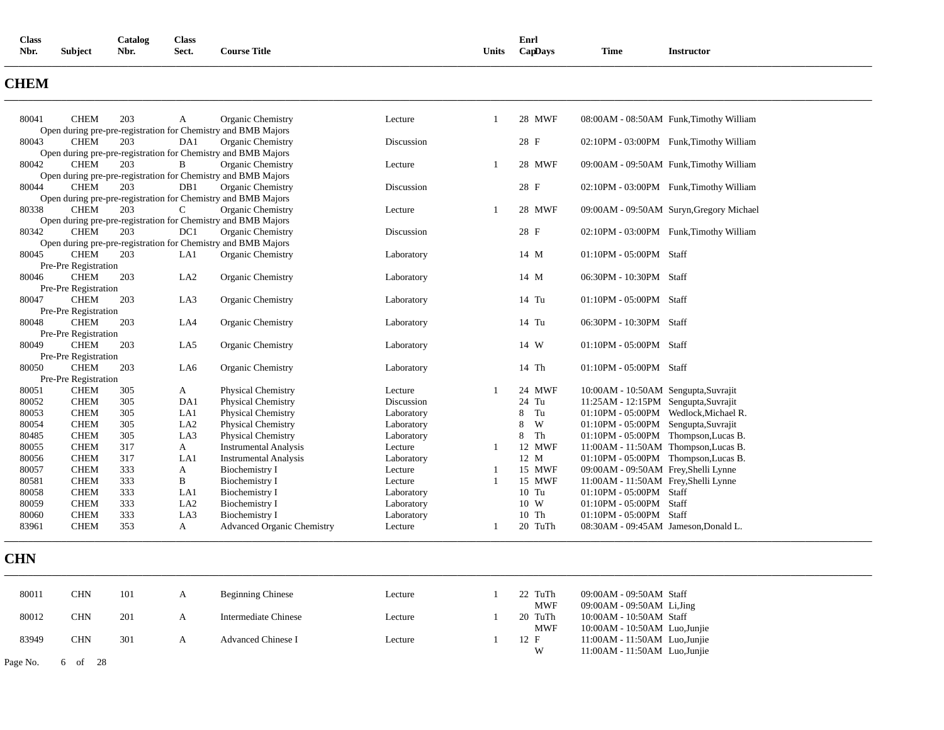| <b>Class</b> |                | Catalog | <b>Class</b> |                     |       | Enrl    |             |                 |
|--------------|----------------|---------|--------------|---------------------|-------|---------|-------------|-----------------|
| Nbr.         | <b>Subject</b> | Nbr.    | Sect.        | <b>Course Title</b> | Units | CapDays | <b>Time</b> | Instructor<br>. |
|              |                |         |              |                     |       |         |             |                 |

# **CHEM**

| 80041          | <b>CHEM</b>                         | 203        | A                      | Organic Chemistry                                             | Lecture               | -1           | 28 MWF          | 08:00AM - 08:50AM Funk, Timothy William                                      |
|----------------|-------------------------------------|------------|------------------------|---------------------------------------------------------------|-----------------------|--------------|-----------------|------------------------------------------------------------------------------|
|                |                                     |            |                        | Open during pre-pre-registration for Chemistry and BMB Majors |                       |              |                 |                                                                              |
| 80043          | <b>CHEM</b>                         | 203        | DA1                    | Organic Chemistry                                             | Discussion            |              | 28 F            | 02:10PM - 03:00PM Funk, Timothy William                                      |
|                |                                     |            |                        | Open during pre-pre-registration for Chemistry and BMB Majors |                       |              |                 |                                                                              |
| 80042          | <b>CHEM</b>                         | 203        | B                      | Organic Chemistry                                             | Lecture               | $\mathbf{1}$ | 28 MWF          | 09:00AM - 09:50AM Funk, Timothy William                                      |
|                |                                     |            |                        | Open during pre-pre-registration for Chemistry and BMB Majors |                       |              |                 |                                                                              |
| 80044          | <b>CHEM</b>                         | 203        | DB1                    | Organic Chemistry                                             | Discussion            |              | 28 F            | 02:10PM - 03:00PM Funk, Timothy William                                      |
|                |                                     |            |                        | Open during pre-pre-registration for Chemistry and BMB Majors |                       |              |                 |                                                                              |
| 80338          | <b>CHEM</b>                         | 203        | $\mathsf{C}$           | Organic Chemistry                                             | Lecture               | $\mathbf{1}$ | 28 MWF          | 09:00AM - 09:50AM Suryn, Gregory Michael                                     |
|                |                                     |            |                        | Open during pre-pre-registration for Chemistry and BMB Majors |                       |              |                 |                                                                              |
| 80342          | <b>CHEM</b>                         | 203        | DC1                    | Organic Chemistry                                             | Discussion            |              | 28 F            | 02:10PM - 03:00PM Funk, Timothy William                                      |
|                |                                     |            |                        | Open during pre-pre-registration for Chemistry and BMB Majors |                       |              |                 |                                                                              |
| 80045          | <b>CHEM</b>                         | 203        | LA1                    | Organic Chemistry                                             | Laboratory            |              | 14 M            | 01:10PM - 05:00PM Staff                                                      |
|                | Pre-Pre Registration                |            |                        |                                                               |                       |              |                 |                                                                              |
| 80046          | <b>CHEM</b>                         | 203        | LA <sub>2</sub>        | Organic Chemistry                                             | Laboratory            |              | 14 M            | 06:30PM - 10:30PM Staff                                                      |
|                | Pre-Pre Registration                |            |                        |                                                               |                       |              |                 |                                                                              |
| 80047          | <b>CHEM</b>                         | 203        | LA3                    | Organic Chemistry                                             | Laboratory            |              | 14 Tu           | 01:10PM - 05:00PM Staff                                                      |
|                | Pre-Pre Registration                |            |                        |                                                               |                       |              |                 |                                                                              |
| 80048          | <b>CHEM</b>                         | 203        | LA4                    | Organic Chemistry                                             | Laboratory            |              | 14 Tu           | 06:30PM - 10:30PM Staff                                                      |
|                | Pre-Pre Registration                |            |                        |                                                               |                       |              |                 |                                                                              |
| 80049          | <b>CHEM</b>                         | 203        | LA5                    | Organic Chemistry                                             | Laboratory            |              | 14 W            | 01:10PM - 05:00PM Staff                                                      |
|                | Pre-Pre Registration<br><b>CHEM</b> |            |                        |                                                               |                       |              | 14 Th           | 01:10PM - 05:00PM Staff                                                      |
| 80050          |                                     | 203        | LA6                    | Organic Chemistry                                             | Laboratory            |              |                 |                                                                              |
|                | Pre-Pre Registration                |            |                        |                                                               |                       | -1           |                 |                                                                              |
| 80051<br>80052 | <b>CHEM</b><br><b>CHEM</b>          | 305<br>305 | A<br>DA1               | <b>Physical Chemistry</b>                                     | Lecture<br>Discussion |              | 24 MWF<br>24 Tu | 10:00AM - 10:50AM Sengupta, Suvrajit                                         |
|                |                                     |            |                        | Physical Chemistry                                            |                       |              | Tu<br>8         | 11:25AM - 12:15PM Sengupta, Suvrajit                                         |
| 80053<br>80054 | <b>CHEM</b><br><b>CHEM</b>          | 305        | LA1<br>LA <sub>2</sub> | Physical Chemistry                                            | Laboratory            |              | 8<br>W          | 01:10PM - 05:00PM Wedlock, Michael R.                                        |
| 80485          | <b>CHEM</b>                         | 305        | LA3                    | Physical Chemistry                                            | Laboratory            |              | Th<br>8         | 01:10PM - 05:00PM Sengupta, Suvrajit<br>01:10PM - 05:00PM Thompson, Lucas B. |
| 80055          | <b>CHEM</b>                         | 305<br>317 | $\mathbf{A}$           | Physical Chemistry<br><b>Instrumental Analysis</b>            | Laboratory<br>Lecture | -1           | 12 MWF          | 11:00AM - 11:50AM Thompson, Lucas B.                                         |
| 80056          | <b>CHEM</b>                         | 317        | LA1                    | <b>Instrumental Analysis</b>                                  |                       |              | 12 M            | 01:10PM - 05:00PM Thompson, Lucas B.                                         |
| 80057          | <b>CHEM</b>                         | 333        |                        | Biochemistry I                                                | Laboratory<br>Lecture | 1            | 15 MWF          | 09:00AM - 09:50AM Frey, Shelli Lynne                                         |
|                |                                     |            | A                      |                                                               |                       | 1            |                 |                                                                              |
| 80581<br>80058 | <b>CHEM</b><br><b>CHEM</b>          | 333<br>333 | B<br>LA1               | Biochemistry I                                                | Lecture               |              | 15 MWF<br>10 Tu | 11:00AM - 11:50AM Frey, Shelli Lynne<br>01:10PM - 05:00PM Staff              |
| 80059          | <b>CHEM</b>                         | 333        |                        | Biochemistry I                                                | Laboratory            |              | 10 W            |                                                                              |
|                |                                     |            | LA <sub>2</sub>        | Biochemistry I                                                | Laboratory            |              |                 | 01:10PM - 05:00PM Staff                                                      |
|                | <b>CHEM</b>                         | 333<br>353 | LA3<br>A               | Biochemistry I                                                | Laboratory            |              | 10 Th           | 01:10PM - 05:00PM Staff                                                      |
| 80060<br>83961 | <b>CHEM</b>                         |            |                        | <b>Advanced Organic Chemistry</b>                             | Lecture               | 1            | 20 TuTh         | 08:30AM - 09:45AM Jameson, Donald L.                                         |

| 80011    | CHN          | 101 | <b>Beginning Chinese</b>  | Lecture | 22 TuTh    | 09:00AM - 09:50AM Staff       |  |
|----------|--------------|-----|---------------------------|---------|------------|-------------------------------|--|
|          |              |     |                           |         | <b>MWF</b> | $09:00AM - 09:50AM$ Li, Jing  |  |
| 80012    | CHN          | 201 | Intermediate Chinese      | Lecture | 20 TuTh    | 10:00AM - 10:50AM Staff       |  |
|          |              |     |                           |         | <b>MWF</b> | 10:00AM - 10:50AM Luo, Junije |  |
| 83949    | CHN          | 301 | <b>Advanced Chinese I</b> | Lecture | 12 F       | 11:00AM - 11:50AM Luo, Junije |  |
|          |              |     |                           |         | W          | 11:00AM - 11:50AM Luo, Junije |  |
| Page No. | - 28<br>6 of |     |                           |         |            |                               |  |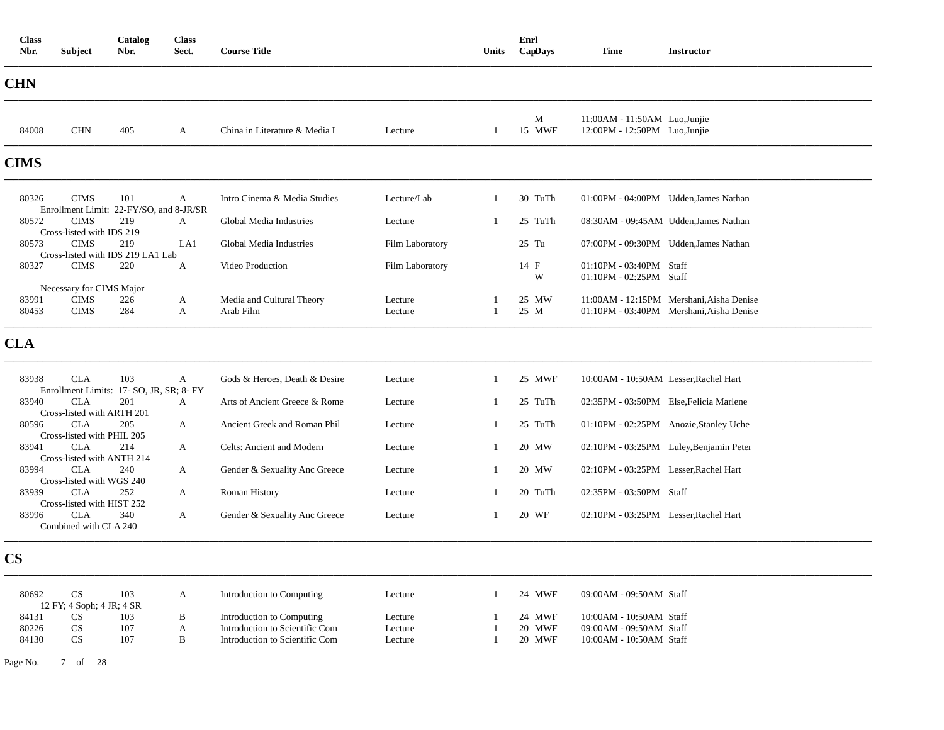| <b>Class</b><br>Nbr. | <b>Subject</b>                           | Catalog<br>Nbr.                                 | <b>Class</b><br>Sect. | <b>Course Title</b>           |                 | Units        | Enrl<br>CapDays | <b>Time</b>                                                    | <b>Instructor</b>                        |
|----------------------|------------------------------------------|-------------------------------------------------|-----------------------|-------------------------------|-----------------|--------------|-----------------|----------------------------------------------------------------|------------------------------------------|
| <b>CHN</b>           |                                          |                                                 |                       |                               |                 |              |                 |                                                                |                                          |
| 84008                | <b>CHN</b>                               | 405                                             | $\mathbf{A}$          | China in Literature & Media I | Lecture         | $\mathbf{1}$ | M<br>15 MWF     | 11:00AM - 11:50AM Luo, Junjie<br>12:00PM - 12:50PM Luo, Junjie |                                          |
| <b>CIMS</b>          |                                          |                                                 |                       |                               |                 |              |                 |                                                                |                                          |
| 80326                | <b>CIMS</b>                              | 101<br>Enrollment Limit: 22-FY/SO, and 8-JR/SR  | $\mathbf{A}$          | Intro Cinema & Media Studies  | Lecture/Lab     | 1            | 30 TuTh         |                                                                | 01:00PM - 04:00PM Udden, James Nathan    |
| 80572                | <b>CIMS</b>                              | 219                                             | $\mathbf{A}$          | Global Media Industries       | Lecture         | 1            | 25 TuTh         |                                                                | 08:30AM - 09:45AM Udden, James Nathan    |
| 80573                | Cross-listed with IDS 219<br><b>CIMS</b> | 219<br>Cross-listed with IDS 219 LA1 Lab        | LA1                   | Global Media Industries       | Film Laboratory |              | $25$ Tu         |                                                                | 07:00PM - 09:30PM Udden, James Nathan    |
| 80327                | <b>CIMS</b>                              | 220                                             | A                     | Video Production              | Film Laboratory |              | 14 F<br>W       | 01:10PM - 03:40PM Staff<br>01:10PM - 02:25PM Staff             |                                          |
| 83991                | Necessary for CIMS Major<br><b>CIMS</b>  | 226                                             | A                     | Media and Cultural Theory     | Lecture         |              | 25 MW           |                                                                | 11:00AM - 12:15PM Mershani, Aisha Denise |
| 80453                | <b>CIMS</b>                              | 284                                             | $\mathbf{A}$          | Arab Film                     | Lecture         | $\mathbf{1}$ | 25 M            |                                                                | 01:10PM - 03:40PM Mershani. Aisha Denise |
| <b>CLA</b>           |                                          |                                                 |                       |                               |                 |              |                 |                                                                |                                          |
| 83938                | CLA                                      | 103<br>Enrollment Limits: 17- SO, JR, SR; 8- FY | A                     | Gods & Heroes, Death & Desire | Lecture         | -1           | 25 MWF          | 10:00AM - 10:50AM Lesser, Rachel Hart                          |                                          |
| 83940                | <b>CLA</b><br>Cross-listed with ARTH 201 | 201                                             | A                     | Arts of Ancient Greece & Rome | Lecture         | 1            | 25 TuTh         |                                                                | 02:35PM - 03:50PM Else, Felicia Marlene  |
| 80596                | <b>CLA</b>                               | 205                                             | A                     | Ancient Greek and Roman Phil  | Lecture         | $\mathbf{1}$ | 25 TuTh         |                                                                | 01:10PM - 02:25PM Anozie, Stanley Uche   |
| 83941                | Cross-listed with PHIL 205<br><b>CLA</b> | 214                                             | A                     | Celts: Ancient and Modern     | Lecture         | 1            | 20 MW           |                                                                | 02:10PM - 03:25PM Luley, Benjamin Peter  |
|                      | Cross-listed with ANTH 214               |                                                 |                       |                               |                 |              |                 |                                                                |                                          |
| 83994                | <b>CLA</b><br>Cross-listed with WGS 240  | 240                                             | A                     | Gender & Sexuality Anc Greece | Lecture         | 1            | 20 MW           | 02:10PM - 03:25PM Lesser, Rachel Hart                          |                                          |
| 83939                | <b>CLA</b>                               | 252                                             | A                     | Roman History                 | Lecture         | -1           | 20 TuTh         | 02:35PM - 03:50PM Staff                                        |                                          |
|                      | Cross-listed with HIST 252               |                                                 |                       |                               |                 |              |                 |                                                                |                                          |
| 83996                | <b>CLA</b><br>Combined with CLA 240      | 340                                             | $\mathbf{A}$          | Gender & Sexuality Anc Greece | Lecture         | 1            | 20 WF           | 02:10PM - 03:25PM Lesser, Rachel Hart                          |                                          |
| $\mathbf{CS}$        |                                          |                                                 |                       |                               |                 |              |                 |                                                                |                                          |

| 80692 | 103<br>12 FY; 4 Soph; 4 JR; 4 SR | Introduction to Computing      | Lecture | 24 MWF    | $09:00AM - 09:50AM$ Staff |
|-------|----------------------------------|--------------------------------|---------|-----------|---------------------------|
| 84131 | 103                              | Introduction to Computing      | Lecture | 24 MWF    | $10:00AM - 10:50AM$ Staff |
| 80226 | 107                              | Introduction to Scientific Com | Lecture | 20 MWF    | $09:00AM - 09:50AM$ Staff |
| 84130 | 107                              | Introduction to Scientific Com | Lecture | MWF<br>20 | $10:00AM - 10:50AM$ Staff |

Page No. 7 of 28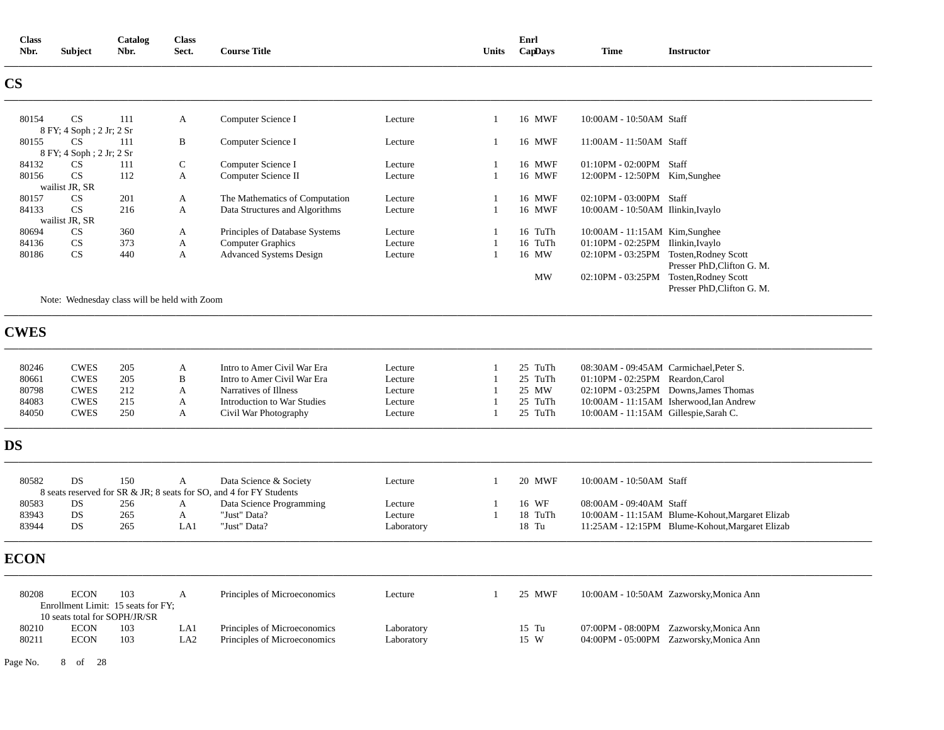| <b>Class</b><br>Nbr.   | <b>Subject</b>                 | Catalog<br>Nbr.                              | <b>Class</b><br>Sect. | <b>Course Title</b>                                                 |            | <b>Units</b>   | Enrl<br>CapDays | <b>Time</b>                            | <b>Instructor</b>                               |
|------------------------|--------------------------------|----------------------------------------------|-----------------------|---------------------------------------------------------------------|------------|----------------|-----------------|----------------------------------------|-------------------------------------------------|
| CS                     |                                |                                              |                       |                                                                     |            |                |                 |                                        |                                                 |
| 80154                  | CS                             | 111                                          | A                     | Computer Science I                                                  | Lecture    | -1             | 16 MWF          | 10:00AM - 10:50AM Staff                |                                                 |
|                        | 8 FY; 4 Soph; 2 Jr; 2 Sr       |                                              |                       |                                                                     |            |                |                 |                                        |                                                 |
| 80155                  | <b>CS</b>                      | 111                                          | B                     | Computer Science I                                                  | Lecture    | 1              | 16 MWF          | 11:00AM - 11:50AM Staff                |                                                 |
| 84132                  | 8 FY; 4 Soph; 2 Jr; 2 Sr<br>CS | 111                                          | $\mathsf{C}$          | Computer Science I                                                  | Lecture    | 1              | 16 MWF          | 01:10PM - 02:00PM Staff                |                                                 |
| 80156                  | CS                             | 112                                          | $\mathbf{A}$          | Computer Science II                                                 | Lecture    | $\mathbf{1}$   | 16 MWF          | 12:00PM - 12:50PM Kim,Sunghee          |                                                 |
|                        | wailist JR, SR                 |                                              |                       |                                                                     |            |                |                 |                                        |                                                 |
| 80157                  | CS                             | 201                                          | A                     | The Mathematics of Computation                                      | Lecture    | -1             | 16 MWF          | 02:10PM - 03:00PM Staff                |                                                 |
| 84133                  | <b>CS</b>                      | 216                                          | A                     | Data Structures and Algorithms                                      | Lecture    | $\overline{1}$ | 16 MWF          | 10:00AM - 10:50AM Ilinkin, Ivaylo      |                                                 |
|                        | wailist JR, SR                 |                                              |                       |                                                                     |            |                |                 |                                        |                                                 |
| 80694                  | CS                             | 360                                          | $\mathbf{A}$          | Principles of Database Systems                                      | Lecture    | -1             | 16 TuTh         | 10:00AM - 11:15AM Kim, Sunghee         |                                                 |
| 84136                  | CS                             | 373                                          | A                     | <b>Computer Graphics</b>                                            | Lecture    | $\overline{1}$ | 16 TuTh         | 01:10PM - 02:25PM Ilinkin, Ivaylo      |                                                 |
| 80186                  | CS                             | 440                                          | A                     | <b>Advanced Systems Design</b>                                      | Lecture    | -1             | 16 MW           | 02:10PM - 03:25PM Tosten, Rodney Scott |                                                 |
|                        |                                |                                              |                       |                                                                     |            |                |                 |                                        | Presser PhD, Clifton G. M.                      |
|                        |                                |                                              |                       |                                                                     |            |                | <b>MW</b>       | 02:10PM - 03:25PM Tosten, Rodney Scott |                                                 |
|                        |                                |                                              |                       |                                                                     |            |                |                 |                                        | Presser PhD, Clifton G. M.                      |
|                        |                                | Note: Wednesday class will be held with Zoom |                       |                                                                     |            |                |                 |                                        |                                                 |
| <b>CWES</b>            |                                |                                              |                       |                                                                     |            |                |                 |                                        |                                                 |
| 80246                  | <b>CWES</b>                    | 205                                          | A                     | Intro to Amer Civil War Era                                         | Lecture    | $\mathbf{1}$   | 25 TuTh         | 08:30AM - 09:45AM Carmichael, Peter S. |                                                 |
| 80661                  | <b>CWES</b>                    | 205                                          | B                     | Intro to Amer Civil War Era                                         | Lecture    | $\mathbf{1}$   | 25 TuTh         | 01:10PM - 02:25PM Reardon, Carol       |                                                 |
| 80798                  | <b>CWES</b>                    | 212                                          | $\mathbf{A}$          | Narratives of Illness                                               | Lecture    | $\overline{1}$ | 25 MW           |                                        | 02:10PM - 03:25PM Downs, James Thomas           |
| 84083                  | <b>CWES</b>                    | 215                                          | A                     | <b>Introduction to War Studies</b>                                  | Lecture    | -1             | 25 TuTh         |                                        | 10:00AM - 11:15AM Isherwood, Ian Andrew         |
| 84050                  | <b>CWES</b>                    | 250                                          | A                     | Civil War Photography                                               | Lecture    | $\overline{1}$ | 25 TuTh         | 10:00AM - 11:15AM Gillespie, Sarah C.  |                                                 |
|                        |                                |                                              |                       |                                                                     |            |                |                 |                                        |                                                 |
| $\overline{\text{DS}}$ |                                |                                              |                       |                                                                     |            |                |                 |                                        |                                                 |
| 80582                  | DS                             | 150                                          | A                     | Data Science & Society                                              | Lecture    | 1              | 20 MWF          | 10:00AM - 10:50AM Staff                |                                                 |
|                        |                                |                                              |                       | 8 seats reserved for SR & JR; 8 seats for SO, and 4 for FY Students |            |                |                 |                                        |                                                 |
| 80583                  | DS                             | 256                                          | A                     | Data Science Programming                                            | Lecture    | -1             | 16 WF           | 08:00AM - 09:40AM Staff                |                                                 |
| 83943                  | DS                             | 265                                          | $\mathbf{A}$          | "Just" Data?                                                        | Lecture    | $\overline{1}$ | 18 TuTh         |                                        | 10:00AM - 11:15AM Blume-Kohout, Margaret Elizab |
| 83944                  | DS                             | 265                                          | LA1                   | "Just" Data?                                                        | Laboratory |                | 18 Tu           |                                        | 11:25AM - 12:15PM Blume-Kohout, Margaret Elizab |
| <b>ECON</b>            |                                |                                              |                       |                                                                     |            |                |                 |                                        |                                                 |
| 80208                  | <b>ECON</b>                    | 103<br>Enrollment Limit: 15 seats for FY;    | A                     | Principles of Microeconomics                                        | Lecture    | 1              | 25 MWF          |                                        | 10:00AM - 10:50AM Zazworsky, Monica Ann         |
|                        |                                | 10 seats total for SOPH/JR/SR                |                       |                                                                     |            |                |                 |                                        |                                                 |
| 80210                  | <b>ECON</b>                    | 103                                          | LA1                   | Principles of Microeconomics                                        | Laboratory |                | 15 Tu           |                                        | 07:00PM - 08:00PM Zazworsky, Monica Ann         |
| 80211                  | <b>ECON</b>                    | 103                                          | LA <sub>2</sub>       | Principles of Microeconomics                                        | Laboratory |                | 15 W            |                                        | 04:00PM - 05:00PM Zazworsky, Monica Ann         |

Page No. 8 of 28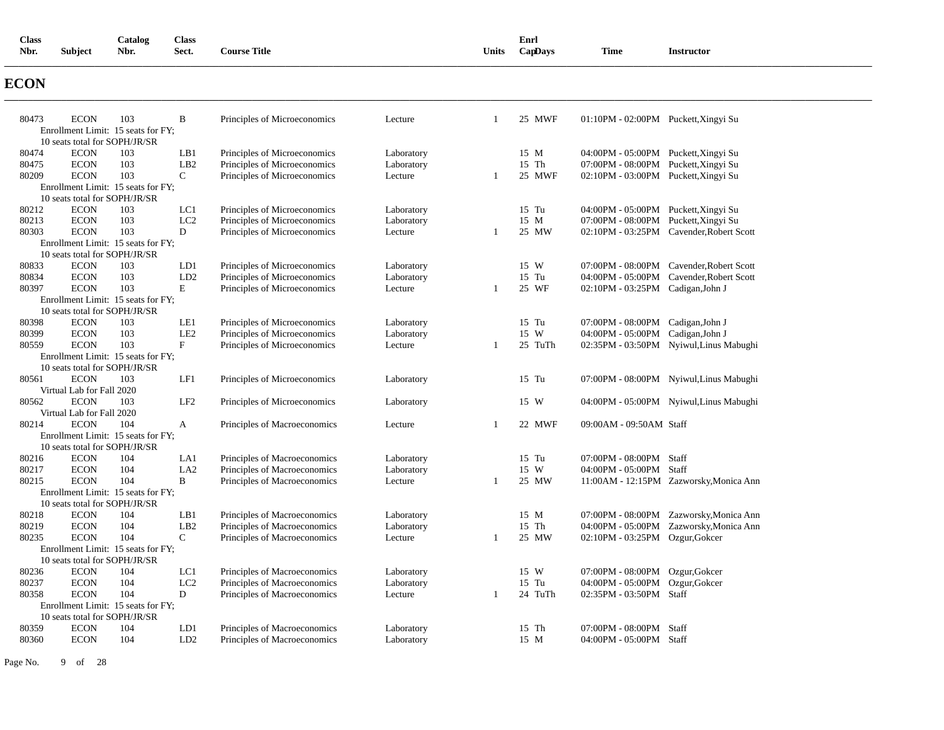| <b>Class</b> |                | Catalog | <b>Class</b> |                     |       | Enrl    |             |                 |
|--------------|----------------|---------|--------------|---------------------|-------|---------|-------------|-----------------|
| Nbr.         | <b>Subject</b> | Nbr.    | Sect.        | <b>Course Title</b> | Units | CapDays | <b>Time</b> | Instructor<br>. |
|              |                |         |              |                     |       |         |             |                 |

# **ECON**

| 80473          | <b>ECON</b>                        | 103        | B                      | Principles of Microeconomics                                 | Lecture               |    | 25 MWF        | 01:10PM - 02:00PM Puckett, Xingyi Su |                                                                                    |
|----------------|------------------------------------|------------|------------------------|--------------------------------------------------------------|-----------------------|----|---------------|--------------------------------------|------------------------------------------------------------------------------------|
|                | Enrollment Limit: 15 seats for FY; |            |                        |                                                              |                       |    |               |                                      |                                                                                    |
|                | 10 seats total for SOPH/JR/SR      |            |                        |                                                              |                       |    |               |                                      |                                                                                    |
| 80474          | <b>ECON</b>                        | 103        | LB1                    | Principles of Microeconomics                                 | Laboratory            |    | 15 M          | 04:00PM - 05:00PM Puckett, Xingyi Su |                                                                                    |
| 80475          | <b>ECON</b>                        | 103        | LB2                    | Principles of Microeconomics                                 | Laboratory            |    | 15 Th         | 07:00PM - 08:00PM Puckett, Xingyi Su |                                                                                    |
| 80209          | <b>ECON</b>                        | 103        | $\mathsf{C}$           | Principles of Microeconomics                                 | Lecture               | -1 | 25 MWF        | 02:10PM - 03:00PM Puckett, Xingyi Su |                                                                                    |
|                | Enrollment Limit: 15 seats for FY; |            |                        |                                                              |                       |    |               |                                      |                                                                                    |
|                | 10 seats total for SOPH/JR/SR      |            |                        |                                                              |                       |    |               |                                      |                                                                                    |
| 80212          | <b>ECON</b>                        | 103        | LC1                    | Principles of Microeconomics                                 | Laboratory            |    | 15 Tu         | 04:00PM - 05:00PM Puckett, Xingyi Su |                                                                                    |
| 80213          | <b>ECON</b>                        | 103        | LC <sub>2</sub>        | Principles of Microeconomics                                 | Laboratory            |    | 15 M          | 07:00PM - 08:00PM Puckett, Xingyi Su |                                                                                    |
| 80303          | <b>ECON</b>                        | 103        | D                      | Principles of Microeconomics                                 | Lecture               |    | 25 MW         |                                      | 02:10PM - 03:25PM Cavender, Robert Scott                                           |
|                | Enrollment Limit: 15 seats for FY; |            |                        |                                                              |                       |    |               |                                      |                                                                                    |
|                | 10 seats total for SOPH/JR/SR      |            |                        |                                                              |                       |    |               |                                      |                                                                                    |
| 80833          | <b>ECON</b>                        | 103        | LD1                    | Principles of Microeconomics                                 | Laboratory            |    | 15 W          |                                      | 07:00PM - 08:00PM Cavender, Robert Scott                                           |
| 80834          | <b>ECON</b>                        | 103        | LD <sub>2</sub>        | Principles of Microeconomics                                 | Laboratory            |    | 15 Tu         |                                      | 04:00PM - 05:00PM Cavender, Robert Scott                                           |
| 80397          | <b>ECON</b>                        | 103        | $\mathbf E$            | Principles of Microeconomics                                 | Lecture               | -1 | 25 WF         | 02:10PM - 03:25PM Cadigan, John J    |                                                                                    |
|                | Enrollment Limit: 15 seats for FY; |            |                        |                                                              |                       |    |               |                                      |                                                                                    |
|                | 10 seats total for SOPH/JR/SR      |            |                        |                                                              |                       |    |               |                                      |                                                                                    |
| 80398          | <b>ECON</b>                        | 103        | LE1                    | Principles of Microeconomics                                 | Laboratory            |    | 15 Tu         | 07:00PM - 08:00PM Cadigan, John J    |                                                                                    |
| 80399          | <b>ECON</b>                        | 103        | LE <sub>2</sub>        | Principles of Microeconomics                                 | Laboratory            |    | 15 W          | 04:00PM - 05:00PM Cadigan, John J    |                                                                                    |
| 80559          | <b>ECON</b>                        | 103        | $_{\rm F}$             | Principles of Microeconomics                                 | Lecture               | -1 | 25 TuTh       |                                      | 02:35PM - 03:50PM Nyiwul, Linus Mabughi                                            |
|                | Enrollment Limit: 15 seats for FY; |            |                        |                                                              |                       |    |               |                                      |                                                                                    |
|                | 10 seats total for SOPH/JR/SR      |            |                        |                                                              |                       |    |               |                                      |                                                                                    |
| 80561          | <b>ECON</b>                        | 103        | LF1                    | Principles of Microeconomics                                 | Laboratory            |    | 15 Tu         |                                      | 07:00PM - 08:00PM Nyiwul, Linus Mabughi                                            |
|                | Virtual Lab for Fall 2020          |            |                        |                                                              |                       |    |               |                                      |                                                                                    |
| 80562          | <b>ECON</b>                        | 103        | LF <sub>2</sub>        | Principles of Microeconomics                                 | Laboratory            |    | 15 W          |                                      | 04:00PM - 05:00PM Nyiwul, Linus Mabughi                                            |
|                | Virtual Lab for Fall 2020          |            |                        |                                                              |                       |    |               |                                      |                                                                                    |
| 80214          | <b>ECON</b>                        | 104        | $\mathbf{A}$           | Principles of Macroeconomics                                 | Lecture               | -1 | 22 MWF        | 09:00AM - 09:50AM Staff              |                                                                                    |
|                | Enrollment Limit: 15 seats for FY; |            |                        |                                                              |                       |    |               |                                      |                                                                                    |
|                | 10 seats total for SOPH/JR/SR      |            |                        |                                                              |                       |    |               |                                      |                                                                                    |
| 80216          | <b>ECON</b>                        | 104<br>104 | LA1<br>LA <sub>2</sub> | Principles of Macroeconomics                                 | Laboratory            |    | 15 Tu<br>15 W | 07:00PM - 08:00PM Staff              |                                                                                    |
| 80217<br>80215 | <b>ECON</b><br><b>ECON</b>         | 104        | $\, {\bf B}$           | Principles of Macroeconomics                                 | Laboratory<br>Lecture |    | 25 MW         | 04:00PM - 05:00PM Staff              |                                                                                    |
|                | Enrollment Limit: 15 seats for FY; |            |                        | Principles of Macroeconomics                                 |                       |    |               |                                      | 11:00AM - 12:15PM Zazworsky, Monica Ann                                            |
|                | 10 seats total for SOPH/JR/SR      |            |                        |                                                              |                       |    |               |                                      |                                                                                    |
| 80218          | <b>ECON</b>                        | 104        | LB1                    |                                                              | Laboratory            |    | 15 M          |                                      |                                                                                    |
| 80219          | <b>ECON</b>                        | 104        | LB2                    | Principles of Macroeconomics<br>Principles of Macroeconomics | Laboratory            |    | 15 Th         |                                      | 07:00PM - 08:00PM Zazworsky, Monica Ann<br>04:00PM - 05:00PM Zazworsky, Monica Ann |
| 80235          | <b>ECON</b>                        | 104        | $\mathbf C$            |                                                              | Lecture               | -1 | 25 MW         | 02:10PM - 03:25PM Ozgur, Gokcer      |                                                                                    |
|                | Enrollment Limit: 15 seats for FY; |            |                        | Principles of Macroeconomics                                 |                       |    |               |                                      |                                                                                    |
|                | 10 seats total for SOPH/JR/SR      |            |                        |                                                              |                       |    |               |                                      |                                                                                    |
| 80236          | <b>ECON</b>                        | 104        | LC1                    | Principles of Macroeconomics                                 | Laboratory            |    | 15 W          | 07:00PM - 08:00PM Ozgur, Gokcer      |                                                                                    |
| 80237          | <b>ECON</b>                        | 104        | LC <sub>2</sub>        | Principles of Macroeconomics                                 | Laboratory            |    | 15 Tu         | 04:00PM - 05:00PM Ozgur, Gokcer      |                                                                                    |
| 80358          | <b>ECON</b>                        | 104        | D                      | Principles of Macroeconomics                                 | Lecture               | -1 | 24 TuTh       | 02:35PM - 03:50PM Staff              |                                                                                    |
|                | Enrollment Limit: 15 seats for FY; |            |                        |                                                              |                       |    |               |                                      |                                                                                    |
|                | 10 seats total for SOPH/JR/SR      |            |                        |                                                              |                       |    |               |                                      |                                                                                    |
| 80359          | <b>ECON</b>                        | 104        | LD1                    | Principles of Macroeconomics                                 | Laboratory            |    | 15 Th         | 07:00PM - 08:00PM Staff              |                                                                                    |
| 80360          | <b>ECON</b>                        | 104        | LD2                    | Principles of Macroeconomics                                 | Laboratory            |    | 15 M          | 04:00PM - 05:00PM Staff              |                                                                                    |
|                |                                    |            |                        |                                                              |                       |    |               |                                      |                                                                                    |

Page No. 9 of 28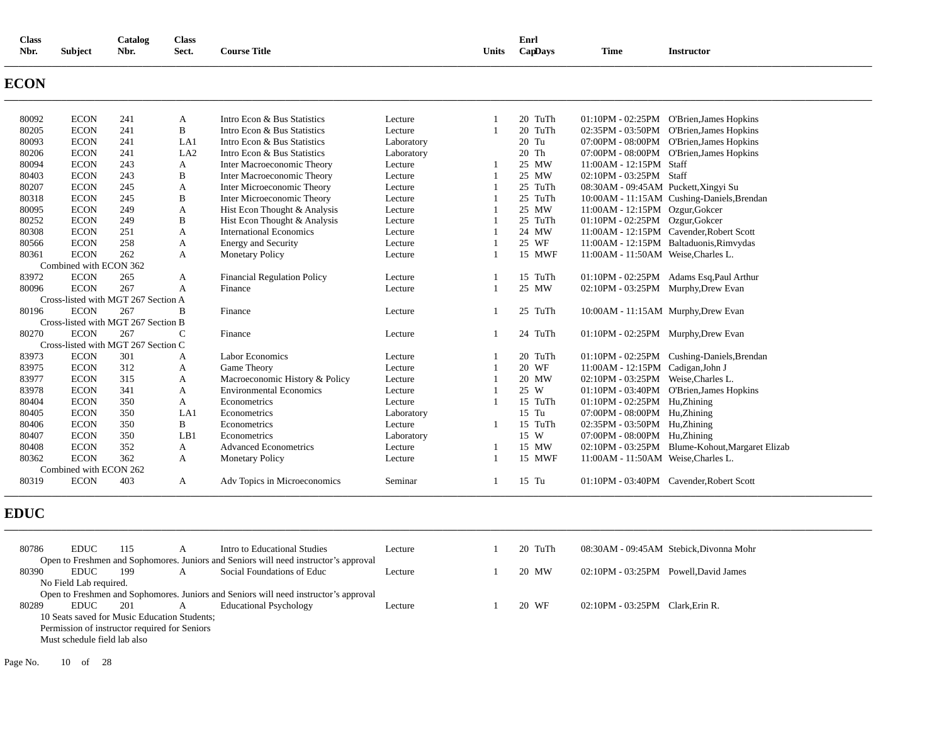| <b>Class</b><br>Catalog<br><b>Class</b><br>Nbr.<br><b>Subject</b><br>Nbr.<br>Sect. |                                     | <b>Course Title</b><br><b>Units</b> |                 |                                                                                      | Enrl<br>CapDays | <b>Time</b>    | <b>Instructor</b> |                                       |                                                 |
|------------------------------------------------------------------------------------|-------------------------------------|-------------------------------------|-----------------|--------------------------------------------------------------------------------------|-----------------|----------------|-------------------|---------------------------------------|-------------------------------------------------|
| <b>ECON</b>                                                                        |                                     |                                     |                 |                                                                                      |                 |                |                   |                                       |                                                 |
| 80092                                                                              | <b>ECON</b>                         | 241                                 | A               | Intro Econ & Bus Statistics                                                          | Lecture         | $\overline{1}$ | 20 TuTh           |                                       | 01:10PM - 02:25PM O'Brien, James Hopkins        |
| 80205                                                                              | <b>ECON</b>                         | 241                                 | B               | Intro Econ & Bus Statistics                                                          | Lecture         | $\overline{1}$ | 20 TuTh           |                                       | 02:35PM - 03:50PM O'Brien, James Hopkins        |
| 80093                                                                              | <b>ECON</b>                         | 241                                 | LA1             | Intro Econ & Bus Statistics                                                          | Laboratory      |                | 20 Tu             |                                       | 07:00PM - 08:00PM O'Brien, James Hopkins        |
| 80206                                                                              | <b>ECON</b>                         | 241                                 | LA <sub>2</sub> | Intro Econ & Bus Statistics                                                          | Laboratory      |                | 20 Th             |                                       | 07:00PM - 08:00PM O'Brien, James Hopkins        |
| 80094                                                                              | <b>ECON</b>                         | 243                                 | A               | <b>Inter Macroeconomic Theory</b>                                                    | Lecture         | -1             | 25 MW             | 11:00AM - 12:15PM Staff               |                                                 |
| 80403                                                                              | <b>ECON</b>                         | 243                                 | B               | Inter Macroeconomic Theory                                                           | Lecture         | $\mathbf{1}$   | 25 MW             | 02:10PM - 03:25PM Staff               |                                                 |
| 80207                                                                              | <b>ECON</b>                         | 245                                 | A               | Inter Microeconomic Theory                                                           | Lecture         | 1              | 25 TuTh           | 08:30AM - 09:45AM Puckett, Xingyi Su  |                                                 |
| 80318                                                                              | <b>ECON</b>                         | 245                                 | B               | Inter Microeconomic Theory                                                           | Lecture         | $\mathbf{1}$   | 25 TuTh           |                                       | 10:00AM - 11:15AM Cushing-Daniels, Brendan      |
| 80095                                                                              | <b>ECON</b>                         | 249                                 | A               | Hist Econ Thought & Analysis                                                         | Lecture         | 1              | 25 MW             | 11:00AM - 12:15PM Ozgur, Gokcer       |                                                 |
| 80252                                                                              | <b>ECON</b>                         | 249                                 | B               | Hist Econ Thought & Analysis                                                         | Lecture         | $\overline{1}$ | 25 TuTh           | 01:10PM - 02:25PM Ozgur, Gokcer       |                                                 |
| 80308                                                                              | <b>ECON</b>                         | 251                                 | A               | <b>International Economics</b>                                                       | Lecture         | $\mathbf{1}$   | 24 MW             |                                       | 11:00AM - 12:15PM Cavender, Robert Scott        |
| 80566                                                                              | <b>ECON</b>                         | 258                                 | A               | <b>Energy and Security</b>                                                           | Lecture         | -1             | 25 WF             |                                       | 11:00AM - 12:15PM Baltaduonis, Rimvydas         |
| 80361                                                                              | <b>ECON</b>                         | 262                                 | A               | <b>Monetary Policy</b>                                                               | Lecture         | $\overline{1}$ | 15 MWF            | 11:00AM - 11:50AM Weise, Charles L.   |                                                 |
|                                                                                    | Combined with ECON 362              |                                     |                 |                                                                                      |                 |                |                   |                                       |                                                 |
| 83972                                                                              | <b>ECON</b>                         | 265                                 | A               | <b>Financial Regulation Policy</b>                                                   | Lecture         | $\mathbf{1}$   | 15 TuTh           |                                       | 01:10PM - 02:25PM Adams Esq, Paul Arthur        |
| 80096                                                                              | <b>ECON</b>                         | 267                                 | A               | Finance                                                                              | Lecture         | $\mathbf{1}$   | 25 MW             | 02:10PM - 03:25PM Murphy, Drew Evan   |                                                 |
|                                                                                    | Cross-listed with MGT 267 Section A |                                     |                 |                                                                                      |                 |                |                   |                                       |                                                 |
| 80196                                                                              | <b>ECON</b>                         | 267                                 | B               | Finance                                                                              | Lecture         | 1              | 25 TuTh           | 10:00AM - 11:15AM Murphy, Drew Evan   |                                                 |
|                                                                                    | Cross-listed with MGT 267 Section B |                                     |                 |                                                                                      |                 |                |                   |                                       |                                                 |
| 80270                                                                              | <b>ECON</b>                         | 267                                 | $\mathsf{C}$    | Finance                                                                              | Lecture         | 1              | 24 TuTh           | 01:10PM - 02:25PM Murphy, Drew Evan   |                                                 |
|                                                                                    | Cross-listed with MGT 267 Section C |                                     |                 |                                                                                      |                 |                |                   |                                       |                                                 |
| 83973                                                                              | <b>ECON</b>                         | 301                                 | A               | Labor Economics                                                                      | Lecture         | 1              | 20 TuTh           |                                       | 01:10PM - 02:25PM Cushing-Daniels, Brendan      |
| 83975                                                                              | <b>ECON</b>                         | 312                                 | A               | Game Theory                                                                          | Lecture         | $\mathbf{1}$   | 20 WF             | 11:00AM - 12:15PM Cadigan, John J     |                                                 |
| 83977                                                                              | <b>ECON</b>                         | 315                                 | A               | Macroeconomic History & Policy                                                       | Lecture         | 1              | 20 MW             | 02:10PM - 03:25PM Weise, Charles L.   |                                                 |
| 83978                                                                              | <b>ECON</b>                         | 341                                 | A               | <b>Environmental Economics</b>                                                       | Lecture         | 1              | 25 W              |                                       | 01:10PM - 03:40PM O'Brien, James Hopkins        |
| 80404                                                                              | <b>ECON</b>                         | 350                                 | A               | Econometrics                                                                         | Lecture         | $\mathbf{1}$   | 15 TuTh           | 01:10PM - 02:25PM Hu, Zhining         |                                                 |
| 80405                                                                              | <b>ECON</b>                         | 350                                 | LA1             | Econometrics                                                                         | Laboratory      |                | 15 Tu             | 07:00PM - 08:00PM Hu,Zhining          |                                                 |
| 80406                                                                              | <b>ECON</b>                         | 350                                 | B               | Econometrics                                                                         | Lecture         | 1              | 15 TuTh           | 02:35PM - 03:50PM Hu, Zhining         |                                                 |
| 80407                                                                              | <b>ECON</b>                         | 350                                 | LB1             | Econometrics                                                                         | Laboratory      |                | 15 W              | 07:00PM - 08:00PM Hu, Zhining         |                                                 |
| 80408                                                                              | <b>ECON</b>                         | 352                                 | A               | <b>Advanced Econometrics</b>                                                         | Lecture         | -1             | 15 MW             |                                       | 02:10PM - 03:25PM Blume-Kohout, Margaret Elizab |
| 80362                                                                              | <b>ECON</b>                         | 362                                 | A               | <b>Monetary Policy</b>                                                               | Lecture         | $\overline{1}$ | 15 MWF            | 11:00AM - 11:50AM Weise, Charles L.   |                                                 |
|                                                                                    | Combined with ECON 262              |                                     |                 |                                                                                      |                 |                |                   |                                       |                                                 |
| 80319                                                                              | <b>ECON</b>                         | 403                                 | A               | Adv Topics in Microeconomics                                                         | Seminar         | -1             | 15 Tu             |                                       | 01:10PM - 03:40PM Cavender, Robert Scott        |
| <b>EDUC</b>                                                                        |                                     |                                     |                 |                                                                                      |                 |                |                   |                                       |                                                 |
|                                                                                    |                                     |                                     |                 |                                                                                      |                 |                |                   |                                       |                                                 |
| 80786                                                                              | <b>EDUC</b>                         | 115                                 | A               | Intro to Educational Studies                                                         | Lecture         | $\mathbf{1}$   | 20 TuTh           |                                       | 08:30AM - 09:45AM Stebick, Divonna Mohr         |
|                                                                                    |                                     |                                     |                 | Open to Freshmen and Sophomores. Juniors and Seniors will need instructor's approval |                 |                |                   |                                       |                                                 |
| 80390                                                                              | <b>EDUC</b>                         | 199                                 | $\mathbf{A}$    | Social Foundations of Educ                                                           | Lecture         | $\mathbf{1}$   | 20 MW             | 02:10PM - 03:25PM Powell, David James |                                                 |
|                                                                                    | No Field Lab required.              |                                     |                 |                                                                                      |                 |                |                   |                                       |                                                 |
|                                                                                    |                                     |                                     |                 | Open to Freshmen and Sophomores. Juniors and Seniors will need instructor's approval |                 |                |                   |                                       |                                                 |
| 80289                                                                              | <b>EDUC</b>                         | 201                                 | A               | <b>Educational Psychology</b>                                                        | Lecture         | $\overline{1}$ | 20 WF             | 02:10PM - 03:25PM Clark, Erin R.      |                                                 |

10 Seats saved for Music Education Students;

Permission of instructor required for Seniors

Must schedule field lab also

Page No. 10 of 28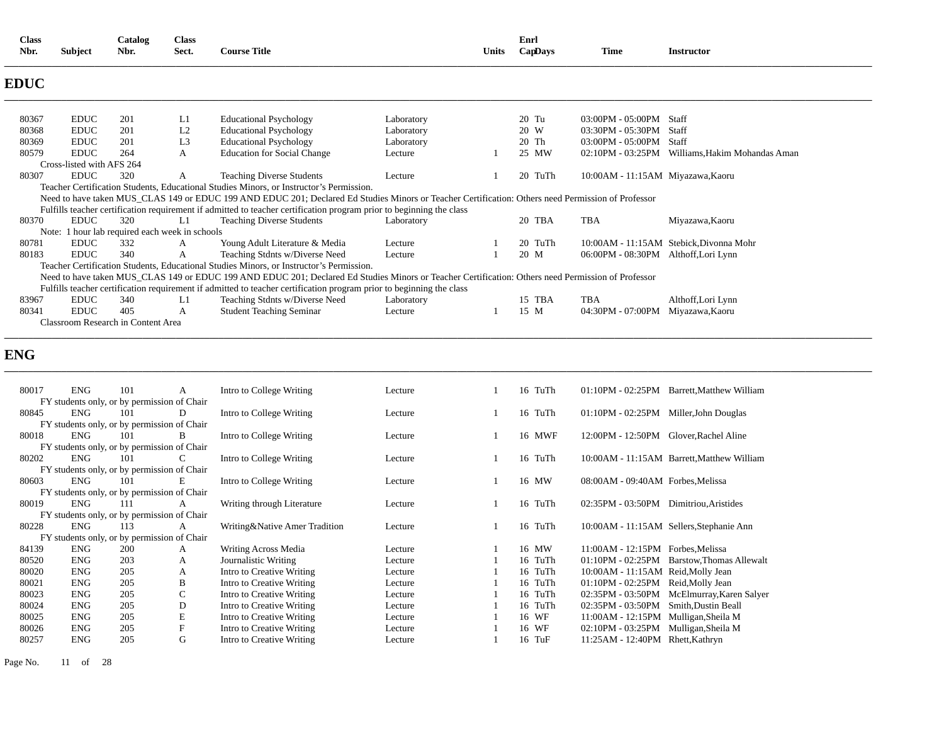| <b>Class</b><br>Nbr. | <b>Subject</b>            | Catalog<br>Nbr.                                | <b>Class</b><br>Sect. | <b>Course Title</b>                                                                                                                                |            | Units | Enrl<br>CapDays | Time                                 | <b>Instructor</b>                       |
|----------------------|---------------------------|------------------------------------------------|-----------------------|----------------------------------------------------------------------------------------------------------------------------------------------------|------------|-------|-----------------|--------------------------------------|-----------------------------------------|
| <b>EDUC</b>          |                           |                                                |                       |                                                                                                                                                    |            |       |                 |                                      |                                         |
| 80367                | <b>EDUC</b>               | 201                                            | L1                    | <b>Educational Psychology</b>                                                                                                                      | Laboratory |       | $20$ Tu         | 03:00PM - 05:00PM                    | Staff                                   |
| 80368                | <b>EDUC</b>               | 201                                            | L2                    | <b>Educational Psychology</b>                                                                                                                      | Laboratory |       | 20 W            | 03:30PM - 05:30PM                    | Staff                                   |
| 80369                | <b>EDUC</b>               | 201                                            | L <sub>3</sub>        | <b>Educational Psychology</b>                                                                                                                      | Laboratory |       | 20 Th           | 03:00PM - 05:00PM                    | Staff                                   |
| 80579                | <b>EDUC</b>               | 264                                            | A                     | <b>Education for Social Change</b>                                                                                                                 | Lecture    |       | 25 MW           | 02:10PM - 03:25PM                    | Williams, Hakim Mohandas Aman           |
|                      | Cross-listed with AFS 264 |                                                |                       |                                                                                                                                                    |            |       |                 |                                      |                                         |
| 80307                | <b>EDUC</b>               | 320                                            | A                     | <b>Teaching Diverse Students</b>                                                                                                                   | Lecture    |       | 20 TuTh         | 10:00AM - 11:15AM Miyazawa, Kaoru    |                                         |
|                      |                           |                                                |                       | Teacher Certification Students, Educational Studies Minors, or Instructor's Permission.                                                            |            |       |                 |                                      |                                         |
|                      |                           |                                                |                       | Need to have taken MUS CLAS 149 or EDUC 199 AND EDUC 201; Declared Ed Studies Minors or Teacher Certification: Others need Permission of Professor |            |       |                 |                                      |                                         |
|                      |                           |                                                |                       | Fulfills teacher certification requirement if admitted to teacher certification program prior to beginning the class                               |            |       |                 |                                      |                                         |
| 80370                | <b>EDUC</b>               | 320                                            | L1                    | <b>Teaching Diverse Students</b>                                                                                                                   | Laboratory |       | 20 TBA          | TBA                                  | Miyazawa, Kaoru                         |
|                      |                           | Note: 1 hour lab required each week in schools |                       |                                                                                                                                                    |            |       |                 |                                      |                                         |
| 80781                | <b>EDUC</b>               | 332                                            | A                     | Young Adult Literature & Media                                                                                                                     | Lecture    |       | 20 TuTh         |                                      | 10:00AM - 11:15AM Stebick, Divonna Mohr |
| 80183                | <b>EDUC</b>               | 340                                            | A                     | Teaching Stdnts w/Diverse Need                                                                                                                     | Lecture    |       | 20 M            | 06:00PM - 08:30PM Althoff, Lori Lynn |                                         |
|                      |                           |                                                |                       | Teacher Certification Students, Educational Studies Minors, or Instructor's Permission.                                                            |            |       |                 |                                      |                                         |
|                      |                           |                                                |                       | Need to have taken MUS CLAS 149 or EDUC 199 AND EDUC 201; Declared Ed Studies Minors or Teacher Certification: Others need Permission of Professor |            |       |                 |                                      |                                         |
|                      |                           |                                                |                       | Fulfills teacher certification requirement if admitted to teacher certification program prior to beginning the class                               |            |       |                 |                                      |                                         |
| 83967                | <b>EDUC</b>               | 340                                            | L1                    | Teaching Stdnts w/Diverse Need                                                                                                                     | Laboratory |       | 15 TBA          | TBA                                  | Althoff, Lori Lynn                      |
| 80341                | <b>EDUC</b>               | 405                                            | A                     | <b>Student Teaching Seminar</b>                                                                                                                    | Lecture    |       | 15 M            | 04:30PM - 07:00PM                    | Miyazawa, Kaoru                         |
|                      |                           | Classroom Research in Content Area             |                       |                                                                                                                                                    |            |       |                 |                                      |                                         |

**\_\_\_\_\_\_\_\_\_\_\_\_\_\_\_\_\_\_\_\_\_\_\_\_\_\_\_\_\_\_\_\_\_\_\_\_\_\_\_\_\_\_\_\_\_\_\_\_\_\_\_\_\_\_\_\_\_\_\_\_\_\_\_\_\_\_\_\_\_\_\_\_\_\_\_\_\_\_\_\_\_\_\_\_\_\_\_\_\_\_\_\_\_\_\_\_\_\_\_\_\_\_\_\_\_\_\_\_\_\_\_\_\_\_\_\_\_\_\_\_\_\_\_\_\_\_\_\_\_\_\_\_\_\_\_\_\_\_\_\_\_\_\_\_\_\_\_\_\_\_\_\_\_\_\_\_\_\_\_\_\_\_\_\_\_\_\_\_\_\_\_\_\_\_\_\_\_\_\_\_\_\_** 

# **ENG**

| 80017 | <b>ENG</b> | 101                                         | A             | Intro to College Writing      | Lecture | 16 TuTh |                                        | 01:10PM - 02:25PM Barrett, Matthew William |
|-------|------------|---------------------------------------------|---------------|-------------------------------|---------|---------|----------------------------------------|--------------------------------------------|
|       |            | FY students only, or by permission of Chair |               |                               |         |         |                                        |                                            |
| 80845 | <b>ENG</b> | 101                                         | D             | Intro to College Writing      | Lecture | 16 TuTh | 01:10PM - 02:25PM                      | Miller, John Douglas                       |
|       |            | FY students only, or by permission of Chair |               |                               |         |         |                                        |                                            |
| 80018 | <b>ENG</b> | 101                                         | B             | Intro to College Writing      | Lecture | 16 MWF  | 12:00PM - 12:50PM Glover, Rachel Aline |                                            |
|       |            | FY students only, or by permission of Chair |               |                               |         |         |                                        |                                            |
| 80202 | <b>ENG</b> | 101                                         | C             | Intro to College Writing      | Lecture | 16 TuTh |                                        | 10:00AM - 11:15AM Barrett, Matthew William |
|       |            | FY students only, or by permission of Chair |               |                               |         |         |                                        |                                            |
| 80603 | <b>ENG</b> | 101                                         | E             | Intro to College Writing      | Lecture | 16 MW   | 08:00AM - 09:40AM Forbes, Melissa      |                                            |
|       |            | FY students only, or by permission of Chair |               |                               |         |         |                                        |                                            |
| 80019 | <b>ENG</b> | 111                                         | A             | Writing through Literature    | Lecture | 16 TuTh | 02:35PM - 03:50PM Dimitriou, Aristides |                                            |
|       |            | FY students only, or by permission of Chair |               |                               |         |         |                                        |                                            |
| 80228 | <b>ENG</b> | 113                                         | A             | Writing&Native Amer Tradition | Lecture | 16 TuTh |                                        | 10:00 AM - 11:15 AM Sellers, Stephanie Ann |
|       |            | FY students only, or by permission of Chair |               |                               |         |         |                                        |                                            |
| 84139 | <b>ENG</b> | 200                                         | A             | Writing Across Media          | Lecture | 16 MW   | 11:00AM - 12:15PM Forbes, Melissa      |                                            |
| 80520 | <b>ENG</b> | 203                                         | A             | Journalistic Writing          | Lecture | 16 TuTh | 01:10PM - 02:25PM                      | Barstow, Thomas Allewalt                   |
| 80020 | <b>ENG</b> | 205                                         | A             | Intro to Creative Writing     | Lecture | 16 TuTh | 10:00AM - 11:15AM Reid, Molly Jean     |                                            |
| 80021 | <b>ENG</b> | 205                                         | B             | Intro to Creative Writing     | Lecture | 16 TuTh | $01:10PM - 02:25PM$                    | Reid, Molly Jean                           |
| 80023 | <b>ENG</b> | 205                                         | $\mathcal{C}$ | Intro to Creative Writing     | Lecture | 16 TuTh | 02:35PM - 03:50PM                      | McElmurray, Karen Salyer                   |
| 80024 | <b>ENG</b> | 205                                         | D             | Intro to Creative Writing     | Lecture | 16 TuTh | 02:35PM - 03:50PM                      | Smith, Dustin Beall                        |
| 80025 | <b>ENG</b> | 205                                         | E             | Intro to Creative Writing     | Lecture | 16 WF   | 11:00AM - 12:15PM                      | Mulligan, Sheila M                         |
| 80026 | <b>ENG</b> | 205                                         | F             | Intro to Creative Writing     | Lecture | 16 WF   | 02:10PM - 03:25PM                      | Mulligan, Sheila M                         |
| 80257 | <b>ENG</b> | 205                                         | G             | Intro to Creative Writing     | Lecture | 16 TuF  | 11:25AM - 12:40PM Rhett, Kathryn       |                                            |
|       |            |                                             |               |                               |         |         |                                        |                                            |

Page No. 11 of 28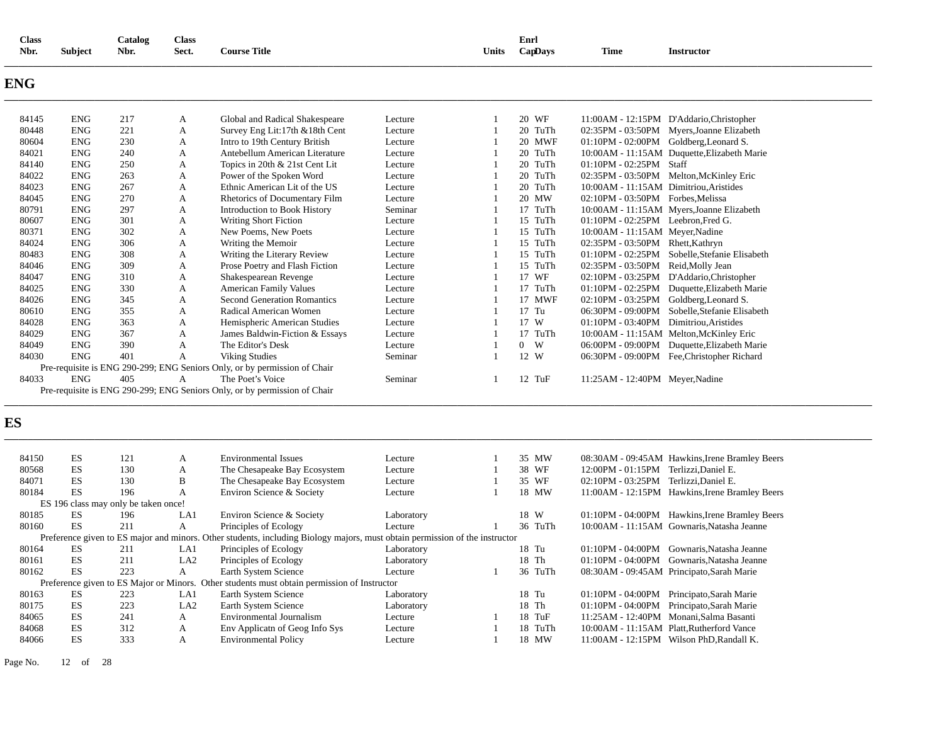| <b>Class</b><br>Nbr. | <b>Subject</b> | Catalog<br>Nbr.                      | <b>Class</b><br>Sect. | <b>Course Title</b>                                                                                                         |            | Units          | Enrl<br>CapDays     | <b>Time</b>                            | <b>Instructor</b>                              |
|----------------------|----------------|--------------------------------------|-----------------------|-----------------------------------------------------------------------------------------------------------------------------|------------|----------------|---------------------|----------------------------------------|------------------------------------------------|
| ENG                  |                |                                      |                       |                                                                                                                             |            |                |                     |                                        |                                                |
| 84145                | <b>ENG</b>     | 217                                  | A                     | Global and Radical Shakespeare                                                                                              | Lecture    | 1              | 20 WF               |                                        | 11:00AM - 12:15PM D'Addario, Christopher       |
| 80448                | <b>ENG</b>     | 221                                  | A                     | Survey Eng Lit:17th &18th Cent                                                                                              | Lecture    | $\mathbf{1}$   | 20 TuTh             |                                        | 02:35PM - 03:50PM Myers, Joanne Elizabeth      |
| 80604                | <b>ENG</b>     | 230                                  | A                     | Intro to 19th Century British                                                                                               | Lecture    | $\overline{1}$ | 20 MWF              |                                        | 01:10PM - 02:00PM Goldberg, Leonard S.         |
| 84021                | <b>ENG</b>     | 240                                  | A                     | Antebellum American Literature                                                                                              | Lecture    | $\mathbf{1}$   | 20 TuTh             |                                        | 10:00AM - 11:15AM Duquette, Elizabeth Marie    |
| 84140                | <b>ENG</b>     | 250                                  | A                     | Topics in 20th & 21st Cent Lit                                                                                              | Lecture    | $\overline{1}$ | 20 TuTh             | 01:10PM - 02:25PM Staff                |                                                |
| 84022                | <b>ENG</b>     | 263                                  | A                     | Power of the Spoken Word                                                                                                    | Lecture    | $\overline{1}$ | 20 TuTh             |                                        | 02:35PM - 03:50PM Melton, McKinley Eric        |
| 84023                | <b>ENG</b>     | 267                                  | A                     | Ethnic American Lit of the US                                                                                               | Lecture    | $\overline{1}$ | 20 TuTh             | 10:00AM - 11:15AM Dimitriou, Aristides |                                                |
| 84045                | <b>ENG</b>     | 270                                  | A                     | Rhetorics of Documentary Film                                                                                               | Lecture    | $\overline{1}$ | 20 MW               | 02:10PM - 03:50PM Forbes, Melissa      |                                                |
| 80791                | <b>ENG</b>     | 297                                  | A                     | <b>Introduction to Book History</b>                                                                                         | Seminar    | $\overline{1}$ | 17 TuTh             |                                        | 10:00AM - 11:15AM Myers, Joanne Elizabeth      |
| 80607                | <b>ENG</b>     | 301                                  | A                     | <b>Writing Short Fiction</b>                                                                                                | Lecture    | $\overline{1}$ | 15 TuTh             | $01:10PM - 02:25PM$ Leebron, Fred G.   |                                                |
| 80371                | <b>ENG</b>     | 302                                  | A                     | New Poems, New Poets                                                                                                        | Lecture    | $\mathbf{1}$   | 15 TuTh             | 10:00AM - 11:15AM Meyer, Nadine        |                                                |
| 84024                | <b>ENG</b>     | 306                                  | A                     | Writing the Memoir                                                                                                          | Lecture    | $\overline{1}$ | 15 TuTh             | 02:35PM - 03:50PM Rhett, Kathryn       |                                                |
| 80483                | <b>ENG</b>     | 308                                  | A                     | Writing the Literary Review                                                                                                 | Lecture    | $\mathbf{1}$   | 15 TuTh             |                                        | 01:10PM - 02:25PM Sobelle, Stefanie Elisabeth  |
| 84046                | <b>ENG</b>     | 309                                  | A                     | Prose Poetry and Flash Fiction                                                                                              | Lecture    | $\mathbf{1}$   | 15 TuTh             | 02:35PM - 03:50PM Reid, Molly Jean     |                                                |
| 84047                | <b>ENG</b>     | 310                                  | A                     | Shakespearean Revenge                                                                                                       | Lecture    | $\mathbf{1}$   | 17 WF               |                                        | 02:10PM - 03:25PM D'Addario, Christopher       |
| 84025                | <b>ENG</b>     | 330                                  | A                     | <b>American Family Values</b>                                                                                               | Lecture    | $\overline{1}$ | 17 TuTh             |                                        | 01:10PM - 02:25PM Duquette, Elizabeth Marie    |
| 84026                | <b>ENG</b>     | 345                                  | A                     | <b>Second Generation Romantics</b>                                                                                          | Lecture    | $\overline{1}$ | 17 MWF              |                                        | 02:10PM - 03:25PM Goldberg, Leonard S.         |
| 80610                | <b>ENG</b>     | 355                                  | A                     | Radical American Women                                                                                                      | Lecture    | $\overline{1}$ | $17$ Tu             |                                        | 06:30PM - 09:00PM Sobelle, Stefanie Elisabeth  |
| 84028                | <b>ENG</b>     | 363                                  | A                     | Hemispheric American Studies                                                                                                | Lecture    | $\overline{1}$ | 17 W                | 01:10PM - 03:40PM Dimitriou, Aristides |                                                |
| 84029                | <b>ENG</b>     | 367                                  | A                     | James Baldwin-Fiction & Essays                                                                                              | Lecture    | $\overline{1}$ | 17 TuTh             |                                        | 10:00AM - 11:15AM Melton, McKinley Eric        |
| 84049                | <b>ENG</b>     | 390                                  | A                     | The Editor's Desk                                                                                                           | Lecture    | 1              | W<br>$\overline{0}$ |                                        | 06:00PM - 09:00PM Duquette, Elizabeth Marie    |
| 84030                | <b>ENG</b>     | 401                                  | A                     | <b>Viking Studies</b>                                                                                                       | Seminar    | $\overline{1}$ | 12 W                |                                        | 06:30PM - 09:00PM Fee, Christopher Richard     |
|                      |                |                                      |                       | Pre-requisite is ENG 290-299; ENG Seniors Only, or by permission of Chair                                                   |            |                |                     |                                        |                                                |
| 84033                | <b>ENG</b>     | 405                                  | A                     | The Poet's Voice                                                                                                            | Seminar    | 1              | 12 TuF              | 11:25AM - 12:40PM Meyer, Nadine        |                                                |
|                      |                |                                      |                       | Pre-requisite is ENG 290-299; ENG Seniors Only, or by permission of Chair                                                   |            |                |                     |                                        |                                                |
|                      |                |                                      |                       |                                                                                                                             |            |                |                     |                                        |                                                |
| ES                   |                |                                      |                       |                                                                                                                             |            |                |                     |                                        |                                                |
| 84150                | ES             | 121                                  | A                     | <b>Environmental Issues</b>                                                                                                 | Lecture    | 1              | 35 MW               |                                        | 08:30AM - 09:45AM Hawkins, Irene Bramley Beers |
| 80568                | ES             | 130                                  | A                     | The Chesapeake Bay Ecosystem                                                                                                | Lecture    | $\overline{1}$ | 38 WF               | 12:00PM - 01:15PM Terlizzi, Daniel E.  |                                                |
| 84071                | <b>ES</b>      | 130                                  | $\, {\bf B}$          | The Chesapeake Bay Ecosystem                                                                                                | Lecture    | $\overline{1}$ | 35 WF               | 02:10PM - 03:25PM Terlizzi, Daniel E.  |                                                |
| 80184                | <b>ES</b>      | 196                                  | A                     | Environ Science & Society                                                                                                   | Lecture    | $\overline{1}$ | 18 MW               |                                        | 11:00AM - 12:15PM Hawkins, Irene Bramley Beers |
|                      |                | ES 196 class may only be taken once! |                       |                                                                                                                             |            |                |                     |                                        |                                                |
| 80185                | ES             | 196                                  | LA1                   | Environ Science & Society                                                                                                   | Laboratory |                | 18 W                |                                        | 01:10PM - 04:00PM Hawkins, Irene Bramley Beers |
| 80160                | ES             | 211                                  | A                     | Principles of Ecology                                                                                                       | Lecture    | 1              | 36 TuTh             |                                        | 10:00AM - 11:15AM Gownaris, Natasha Jeanne     |
|                      |                |                                      |                       | Preference given to ES major and minors. Other students, including Biology majors, must obtain permission of the instructor |            |                |                     |                                        |                                                |
| 80164                | ES             | 211                                  | LA1                   | Principles of Ecology                                                                                                       | Laboratory |                | 18 Tu               |                                        | 01:10PM - 04:00PM Gownaris, Natasha Jeanne     |
| 80161                | ES             | 211                                  | LA <sub>2</sub>       | Principles of Ecology                                                                                                       | Laboratory |                | 18 Th               |                                        | 01:10PM - 04:00PM Gownaris, Natasha Jeanne     |
| 80162                | ES             | 223                                  | $\mathbf{A}$          | Earth System Science                                                                                                        | Lecture    | $\overline{1}$ | 36 TuTh             |                                        | 08:30AM - 09:45AM Principato, Sarah Marie      |
|                      |                |                                      |                       | Preference given to ES Major or Minors. Other students must obtain permission of Instructor                                 |            |                |                     |                                        |                                                |
| 80163                | ES             | 223                                  | LA1                   | Earth System Science                                                                                                        |            |                | 18 Tu               |                                        | 01:10PM - 04:00PM Principato, Sarah Marie      |
|                      |                | 223                                  | LA <sub>2</sub>       |                                                                                                                             | Laboratory |                | 18 Th               |                                        |                                                |
| 80175                | ES             | 241                                  | A                     | Earth System Science                                                                                                        | Laboratory |                |                     |                                        | 01:10PM - 04:00PM Principato, Sarah Marie      |
| 84065                | ES<br>ES       | 312                                  |                       | <b>Environmental Journalism</b>                                                                                             | Lecture    | $\overline{1}$ | 18 TuF              |                                        | 11:25AM - 12:40PM Monani, Salma Basanti        |
| 84068                | <b>ES</b>      |                                      | A                     | Env Applicat nof Geog Info Sys                                                                                              | Lecture    | $\overline{1}$ | 18 TuTh             |                                        | 10:00AM - 11:15AM Platt, Rutherford Vance      |
| 84066                |                | 333                                  | A                     | <b>Environmental Policy</b>                                                                                                 | Lecture    |                | 18 MW               |                                        | 11:00AM - 12:15PM Wilson PhD, Randall K.       |

Page No. 12 of 28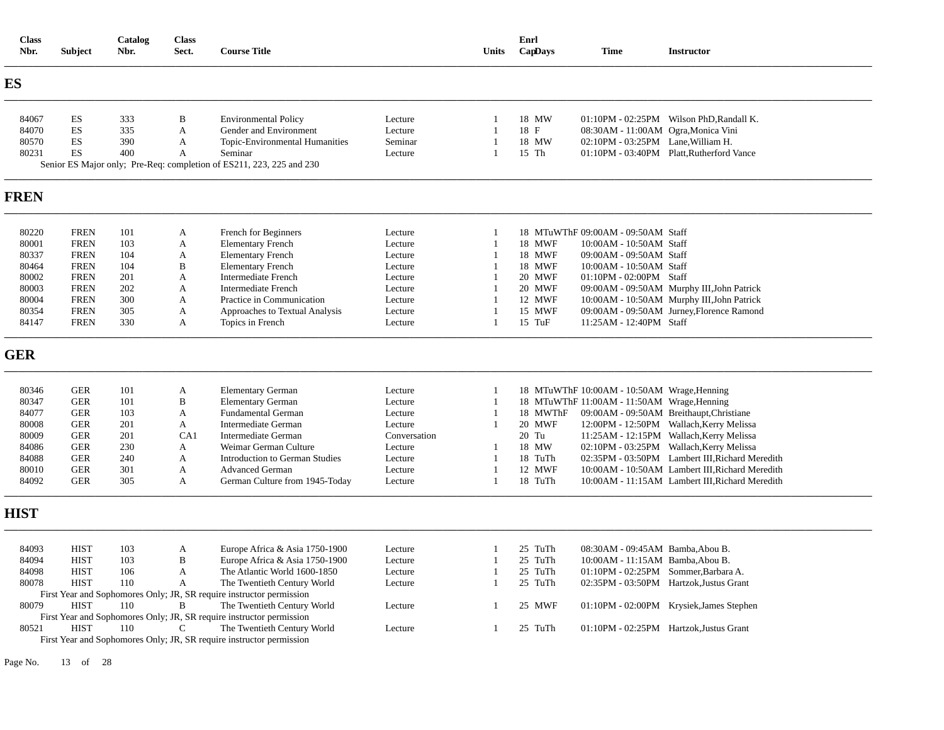| <b>Class</b><br>Nbr. | <b>Subject</b>             | Catalog<br>Nbr. | <b>Class</b><br>Sect. | <b>Course Title</b>                                                  |                    | Units          | Enrl<br>CapDays    | <b>Time</b>                                                              | <b>Instructor</b>                               |
|----------------------|----------------------------|-----------------|-----------------------|----------------------------------------------------------------------|--------------------|----------------|--------------------|--------------------------------------------------------------------------|-------------------------------------------------|
| <b>ES</b>            |                            |                 |                       |                                                                      |                    |                |                    |                                                                          |                                                 |
| 84067                | ES                         | 333             | B                     | <b>Environmental Policy</b>                                          | Lecture            | $\overline{1}$ | 18 MW              |                                                                          | 01:10PM - 02:25PM Wilson PhD, Randall K.        |
| 84070                | ES                         | 335             | $\mathbf{A}$          | Gender and Environment                                               | Lecture            |                | 18 F               | 08:30AM - 11:00AM Ogra, Monica Vini                                      |                                                 |
| 80570                | ES                         | 390             | A                     | Topic-Environmental Humanities                                       | Seminar            |                | 18 MW              | 02:10PM - 03:25PM Lane, William H.                                       |                                                 |
| 80231                | ES                         | 400             | A                     | Seminar                                                              | Lecture            |                | 15 Th              |                                                                          | 01:10PM - 03:40PM Platt, Rutherford Vance       |
|                      |                            |                 |                       | Senior ES Major only; Pre-Req: completion of ES211, 223, 225 and 230 |                    |                |                    |                                                                          |                                                 |
| <b>FREN</b>          |                            |                 |                       |                                                                      |                    |                |                    |                                                                          |                                                 |
| 80220                | <b>FREN</b>                | 101             | A                     | French for Beginners                                                 | Lecture            |                |                    | 18 MTuWThF 09:00AM - 09:50AM Staff                                       |                                                 |
| 80001                | <b>FREN</b>                | 103             | A                     | <b>Elementary French</b>                                             | Lecture            |                | 18 MWF             | 10:00AM - 10:50AM Staff                                                  |                                                 |
| 80337                | <b>FREN</b>                | 104             | A                     | <b>Elementary French</b>                                             | Lecture            |                | 18 MWF             | 09:00AM - 09:50AM Staff                                                  |                                                 |
| 80464                | <b>FREN</b>                | 104             | B                     | <b>Elementary French</b>                                             | Lecture            |                | 18 MWF             | 10:00AM - 10:50AM Staff                                                  |                                                 |
| 80002                | <b>FREN</b>                | 201             | A                     | <b>Intermediate French</b>                                           | Lecture            |                | 20 MWF             | 01:10PM - 02:00PM Staff                                                  |                                                 |
| 80003                | <b>FREN</b>                | 202             | A                     | <b>Intermediate French</b>                                           | Lecture            |                | 20 MWF             |                                                                          | 09:00AM - 09:50AM Murphy III, John Patrick      |
| 80004                | <b>FREN</b>                | 300             | A                     | Practice in Communication                                            | Lecture            |                | 12 MWF             |                                                                          | 10:00AM - 10:50AM Murphy III, John Patrick      |
| 80354                | <b>FREN</b>                | 305             | A                     | Approaches to Textual Analysis                                       | Lecture            | $\overline{1}$ | 15 MWF             |                                                                          | 09:00AM - 09:50AM Jurney, Florence Ramond       |
| 84147                | <b>FREN</b>                | 330             | A                     | Topics in French                                                     | Lecture            |                | 15 TuF             | 11:25AM - 12:40PM Staff                                                  |                                                 |
| <b>GER</b>           |                            |                 |                       |                                                                      |                    |                |                    |                                                                          |                                                 |
| 80346                | <b>GER</b>                 | 101             | A                     | <b>Elementary German</b>                                             | Lecture            | -1             |                    | 18 MTuWThF 10:00AM - 10:50AM Wrage, Henning                              |                                                 |
| 80347                | <b>GER</b>                 | 101             | B                     | <b>Elementary German</b>                                             | Lecture            | -1             |                    | 18 MTuWThF 11:00AM - 11:50AM Wrage, Henning                              |                                                 |
| 84077                | <b>GER</b>                 | 103             | A                     | <b>Fundamental German</b>                                            | Lecture            |                | 18 MWThF           |                                                                          | 09:00AM - 09:50AM Breithaupt, Christiane        |
| 80008                | <b>GER</b>                 | 201             | $\mathbf{A}$          | <b>Intermediate German</b>                                           | Lecture            |                | 20 MWF             |                                                                          | 12:00PM - 12:50PM Wallach, Kerry Melissa        |
| 80009                | <b>GER</b>                 | 201             | CA1                   | Intermediate German                                                  | Conversation       |                | 20 Tu              |                                                                          | 11:25AM - 12:15PM Wallach, Kerry Melissa        |
| 84086                | <b>GER</b>                 | 230             | A                     | Weimar German Culture                                                | Lecture            |                | 18 MW              |                                                                          | 02:10PM - 03:25PM Wallach, Kerry Melissa        |
| 84088                | <b>GER</b>                 | 240             | A                     | <b>Introduction to German Studies</b>                                | Lecture            | $\overline{1}$ | 18 TuTh            |                                                                          | 02:35PM - 03:50PM Lambert III, Richard Meredith |
| 80010                | <b>GER</b>                 | 301             | A                     | <b>Advanced German</b>                                               | Lecture            |                | 12 MWF             |                                                                          | 10:00AM - 10:50AM Lambert III, Richard Meredith |
| 84092                | <b>GER</b>                 | 305             | A                     | German Culture from 1945-Today                                       | Lecture            | $\mathbf{1}$   | 18 TuTh            |                                                                          | 10:00AM - 11:15AM Lambert III, Richard Meredith |
| <b>HIST</b>          |                            |                 |                       |                                                                      |                    |                |                    |                                                                          |                                                 |
|                      |                            |                 |                       |                                                                      |                    |                |                    |                                                                          |                                                 |
| 84093                | <b>HIST</b><br><b>HIST</b> | 103<br>103      | A<br>B                | Europe Africa & Asia 1750-1900                                       | Lecture            |                | 25 TuTh<br>25 TuTh | 08:30AM - 09:45AM Bamba, Abou B.                                         |                                                 |
| 84094<br>84098       | <b>HIST</b>                | 106             | A                     | Europe Africa & Asia 1750-1900<br>The Atlantic World 1600-1850       | Lecture<br>Lecture |                | 25 TuTh            | 10:00AM - 11:15AM Bamba, Abou B.<br>01:10PM - 02:25PM Sommer, Barbara A. |                                                 |
| 80078                | <b>HIST</b>                | 110             | A                     | The Twentieth Century World                                          | Lecture            | -1             | 25 TuTh            |                                                                          | 02:35PM - 03:50PM Hartzok, Justus Grant         |
|                      |                            |                 |                       | First Year and Sophomores Only; JR, SR require instructor permission |                    |                |                    |                                                                          |                                                 |
| 80079                | <b>HIST</b>                | 110             | $\mathbf B$           | The Twentieth Century World                                          | Lecture            |                | 25 MWF             |                                                                          | 01:10PM - 02:00PM Krysiek, James Stephen        |
|                      |                            |                 |                       | First Year and Sophomores Only; JR, SR require instructor permission |                    |                |                    |                                                                          |                                                 |
| 80521                | <b>HIST</b>                | 110             | C                     | The Twentieth Century World                                          | Lecture            | 1              | 25 TuTh            |                                                                          | 01:10PM - 02:25PM Hartzok, Justus Grant         |
|                      |                            |                 |                       | First Year and Sophomores Only; JR, SR require instructor permission |                    |                |                    |                                                                          |                                                 |

Page No. 13 of 28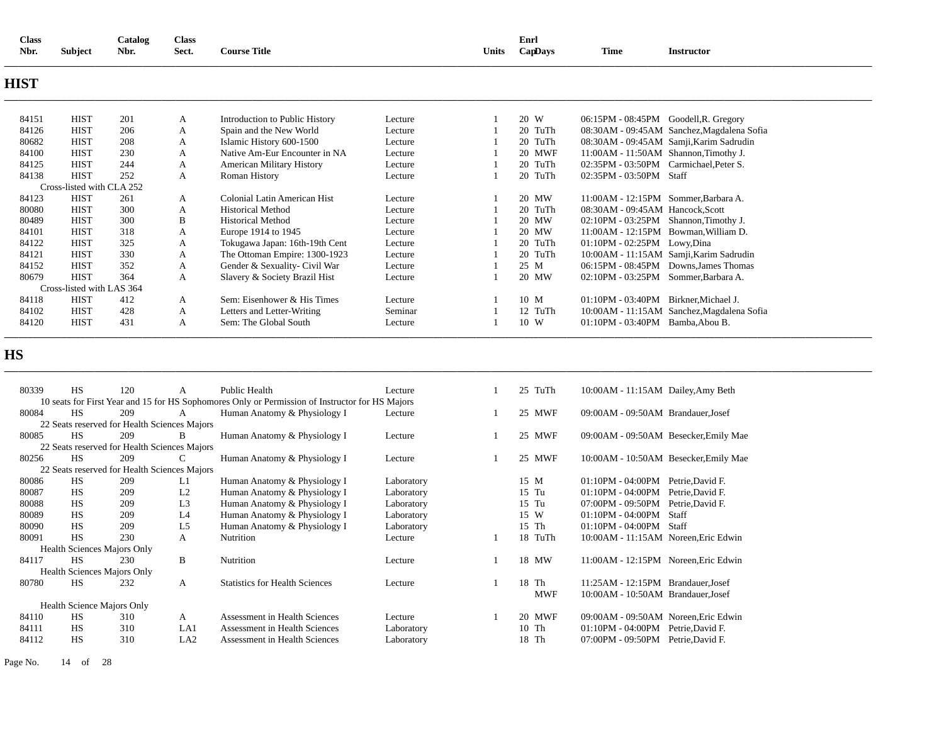| <b>Class</b><br>Catalog<br>Nbr.<br><b>Subject</b><br>Nbr. |                           | <b>Class</b><br>Sect. | <b>Course Title</b> |                                  | Units   | Enrl<br>CapDays | <b>Time</b> | <b>Instructor</b>                      |                                              |
|-----------------------------------------------------------|---------------------------|-----------------------|---------------------|----------------------------------|---------|-----------------|-------------|----------------------------------------|----------------------------------------------|
|                                                           |                           |                       |                     |                                  |         |                 |             |                                        |                                              |
| <b>HIST</b>                                               |                           |                       |                     |                                  |         |                 |             |                                        |                                              |
| 84151                                                     | <b>HIST</b>               | 201                   | A                   | Introduction to Public History   | Lecture |                 | 20 W        | 06:15PM - 08:45PM Goodell, R. Gregory  |                                              |
| 84126                                                     | <b>HIST</b>               | 206                   | A                   | Spain and the New World          | Lecture |                 | 20 TuTh     |                                        | 08:30AM - 09:45AM Sanchez, Magdalena Sofia   |
| 80682                                                     | <b>HIST</b>               | 208                   | A                   | Islamic History 600-1500         | Lecture |                 | 20 TuTh     |                                        | 08:30AM - 09:45AM Samji, Karim Sadrudin      |
| 84100                                                     | <b>HIST</b>               | 230                   | А                   | Native Am-Eur Encounter in NA    | Lecture |                 | 20 MWF      | 11:00AM - 11:50AM Shannon, Timothy J.  |                                              |
| 84125                                                     | <b>HIST</b>               | 244                   | А                   | <b>American Military History</b> | Lecture |                 | 20 TuTh     | 02:35PM - 03:50PM Carmichael, Peter S. |                                              |
| 84138                                                     | <b>HIST</b>               | 252                   | A                   | Roman History                    | Lecture |                 | 20 TuTh     | 02:35PM - 03:50PM Staff                |                                              |
|                                                           | Cross-listed with CLA 252 |                       |                     |                                  |         |                 |             |                                        |                                              |
| 84123                                                     | <b>HIST</b>               | 261                   | A                   | Colonial Latin American Hist     | Lecture |                 | 20 MW       | $11:00AM - 12:15PM$ Sommer Barbara A.  |                                              |
| 80080                                                     | <b>HIST</b>               | 300                   | A                   | <b>Historical Method</b>         | Lecture |                 | 20 TuTh     | 08:30AM - 09:45AM Hancock, Scott       |                                              |
| 80489                                                     | <b>HIST</b>               | 300                   | B                   | <b>Historical Method</b>         | Lecture |                 | 20 MW       | 02:10PM - 03:25PM Shannon, Timothy J.  |                                              |
| 84101                                                     | <b>HIST</b>               | 318                   | A                   | Europe 1914 to 1945              | Lecture |                 | 20 MW       |                                        | 11:00AM - 12:15PM Bowman, William D.         |
| 84122                                                     | <b>HIST</b>               | 325                   | A                   | Tokugawa Japan: 16th-19th Cent   | Lecture |                 | 20 TuTh     | 01:10PM - 02:25PM Lowy, Dina           |                                              |
| 84121                                                     | <b>HIST</b>               | 330                   | A                   | The Ottoman Empire: 1300-1923    | Lecture |                 | 20 TuTh     |                                        | 10:00AM - 11:15AM Samji, Karim Sadrudin      |
| 84152                                                     | <b>HIST</b>               | 352                   | A                   | Gender & Sexuality- Civil War    | Lecture |                 | 25 M        |                                        | 06:15PM - 08:45PM Downs, James Thomas        |
| 80679                                                     | <b>HIST</b>               | 364                   | A                   | Slavery & Society Brazil Hist    | Lecture |                 | 20 MW       | 02:10PM - 03:25PM Sommer, Barbara A.   |                                              |
|                                                           | Cross-listed with LAS 364 |                       |                     |                                  |         |                 |             |                                        |                                              |
| 84118                                                     | <b>HIST</b>               | 412                   | A                   | Sem: Eisenhower & His Times      | Lecture |                 | 10 M        | 01:10PM - 03:40PM Birkner, Michael J.  |                                              |
| 84102                                                     | <b>HIST</b>               | 428                   | A                   | Letters and Letter-Writing       | Seminar |                 | 12 TuTh     |                                        | 10:00 AM - 11:15 AM Sanchez, Magdalena Sofia |
| 84120                                                     | <b>HIST</b>               | 431                   | A                   | Sem: The Global South            | Lecture |                 | 10 W        | 01:10PM - 03:40PM Bamba, Abou B.       |                                              |

**\_\_\_\_\_\_\_\_\_\_\_\_\_\_\_\_\_\_\_\_\_\_\_\_\_\_\_\_\_\_\_\_\_\_\_\_\_\_\_\_\_\_\_\_\_\_\_\_\_\_\_\_\_\_\_\_\_\_\_\_\_\_\_\_\_\_\_\_\_\_\_\_\_\_\_\_\_\_\_\_\_\_\_\_\_\_\_\_\_\_\_\_\_\_\_\_\_\_\_\_\_\_\_\_\_\_\_\_\_\_\_\_\_\_\_\_\_\_\_\_\_\_\_\_\_\_\_\_\_\_\_\_\_\_\_\_\_\_\_\_\_\_\_\_\_\_\_\_\_\_\_\_\_\_\_\_\_\_\_\_\_\_\_\_\_\_\_\_\_\_\_\_\_\_\_\_\_\_\_\_\_\_** 

# **HS**

| 80339 | <b>HS</b> | 120                                          | A              | Public Health                                                                                   | Lecture    |       | 25 TuTh    | 10:00 AM - 11:15 AM Dailey, Amy Beth    |  |
|-------|-----------|----------------------------------------------|----------------|-------------------------------------------------------------------------------------------------|------------|-------|------------|-----------------------------------------|--|
|       |           |                                              |                | 10 seats for First Year and 15 for HS Sophomores Only or Permission of Instructor for HS Majors |            |       |            |                                         |  |
| 80084 | <b>HS</b> | 209                                          | А              | Human Anatomy & Physiology I                                                                    | Lecture    |       | 25 MWF     | 09:00AM - 09:50AM Brandauer, Josef      |  |
|       |           | 22 Seats reserved for Health Sciences Majors |                |                                                                                                 |            |       |            |                                         |  |
| 80085 | <b>HS</b> | 209                                          | B              | Human Anatomy & Physiology I                                                                    | Lecture    |       | 25 MWF     | 09:00AM - 09:50AM Besecker, Emily Mae   |  |
|       |           | 22 Seats reserved for Health Sciences Majors |                |                                                                                                 |            |       |            |                                         |  |
| 80256 | <b>HS</b> | 209                                          | C              | Human Anatomy & Physiology I                                                                    | Lecture    |       | 25 MWF     | 10:00AM - 10:50AM Besecker, Emily Mae   |  |
|       |           | 22 Seats reserved for Health Sciences Majors |                |                                                                                                 |            |       |            |                                         |  |
| 80086 | <b>HS</b> | 209                                          | L1             | Human Anatomy & Physiology I                                                                    | Laboratory | 15 M  |            | $01:10PM - 04:00PM$<br>Petrie.David F.  |  |
| 80087 | <b>HS</b> | 209                                          | L <sub>2</sub> | Human Anatomy & Physiology I                                                                    | Laboratory | 15 Tu |            | $01:10PM - 04:00PM$<br>Petrie, David F. |  |
| 80088 | <b>HS</b> | 209                                          | L <sub>3</sub> | Human Anatomy & Physiology I                                                                    | Laboratory | 15 Tu |            | 07:00PM - 09:50PM<br>Petrie, David F.   |  |
| 80089 | <b>HS</b> | 209                                          | L <sub>4</sub> | Human Anatomy & Physiology I                                                                    | Laboratory | 15 W  |            | $01:10PM - 04:00PM$<br>Staff            |  |
| 80090 | <b>HS</b> | 209                                          | L <sub>5</sub> | Human Anatomy & Physiology I                                                                    | Laboratory | 15 Th |            | $01:10PM - 04:00PM$<br>Staff            |  |
| 80091 | <b>HS</b> | 230                                          | A              | <b>Nutrition</b>                                                                                | Lecture    |       | 18 TuTh    | 10:00AM - 11:15AM Noreen, Eric Edwin    |  |
|       |           | <b>Health Sciences Majors Only</b>           |                |                                                                                                 |            |       |            |                                         |  |
| 84117 | <b>HS</b> | 230                                          | B              | Nutrition                                                                                       | Lecture    |       | 18 MW      | 11:00AM - 12:15PM Noreen, Eric Edwin    |  |
|       |           | <b>Health Sciences Majors Only</b>           |                |                                                                                                 |            |       |            |                                         |  |
| 80780 | <b>HS</b> | 232                                          | A              | <b>Statistics for Health Sciences</b>                                                           | Lecture    | 18 Th |            | 11:25AM - 12:15PM Brandauer, Josef      |  |
|       |           |                                              |                |                                                                                                 |            |       | <b>MWF</b> | 10:00AM - 10:50AM Brandauer, Josef      |  |
|       |           | <b>Health Science Majors Only</b>            |                |                                                                                                 |            |       |            |                                         |  |
| 84110 | <b>HS</b> | 310                                          | A              | Assessment in Health Sciences                                                                   | Lecture    |       | 20 MWF     | 09:00AM - 09:50AM Noreen. Eric Edwin    |  |
| 84111 | <b>HS</b> | 310                                          | LA1            | Assessment in Health Sciences                                                                   | Laboratory | 10 Th |            | $01:10PM - 04:00PM$<br>Petrie, David F. |  |
| 84112 | <b>HS</b> | 310                                          | LA2            | <b>Assessment in Health Sciences</b>                                                            | Laboratory | 18 Th |            | Petrie, David F.<br>07:00PM - 09:50PM   |  |
|       |           |                                              |                |                                                                                                 |            |       |            |                                         |  |

Page No. 14 of 28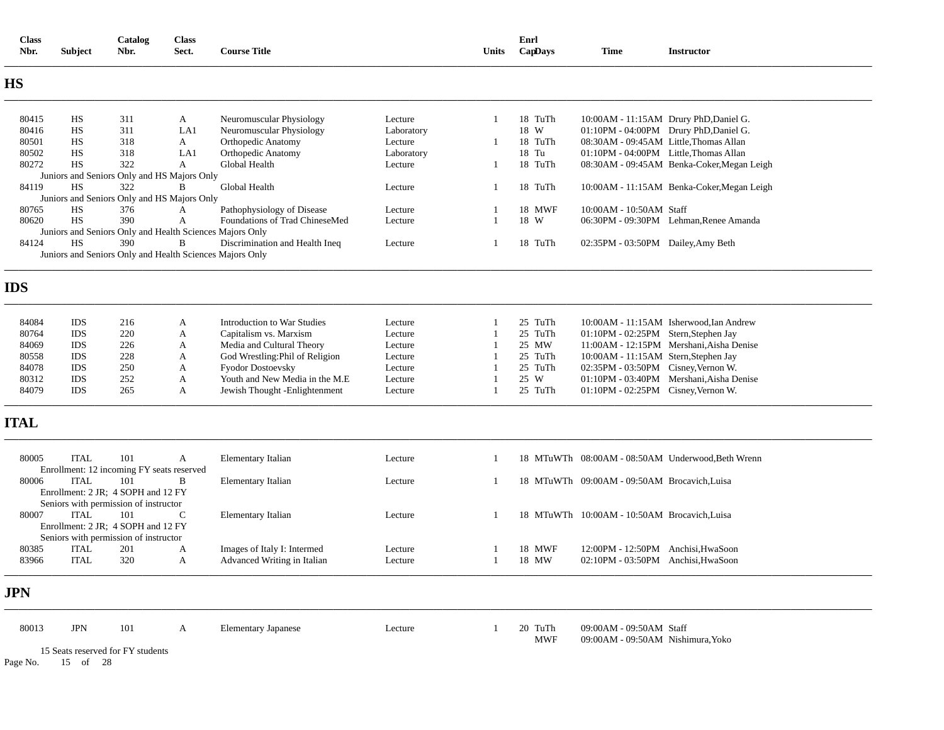| <b>Class</b><br>Nbr. | Subject     | Catalog<br>Nbr.                                          | <b>Class</b><br>Sect. | <b>Course Title</b>             |            | Units | Enrl<br>CapDays | <b>Time</b>                                  | <b>Instructor</b>                                 |
|----------------------|-------------|----------------------------------------------------------|-----------------------|---------------------------------|------------|-------|-----------------|----------------------------------------------|---------------------------------------------------|
| <b>HS</b>            |             |                                                          |                       |                                 |            |       |                 |                                              |                                                   |
| 80415                | HS          | 311                                                      | A                     | Neuromuscular Physiology        | Lecture    | 1     | 18 TuTh         |                                              | 10:00AM - 11:15AM Drury PhD, Daniel G.            |
| 80416                | HS          | 311                                                      | LA1                   | Neuromuscular Physiology        | Laboratory |       | 18 W            | 01:10PM - 04:00PM Drury PhD, Daniel G.       |                                                   |
| 80501                | HS          | 318                                                      | A                     | Orthopedic Anatomy              | Lecture    |       | 18 TuTh         | 08:30AM - 09:45AM Little, Thomas Allan       |                                                   |
| 80502                | HS          | 318                                                      | LA1                   | <b>Orthopedic Anatomy</b>       | Laboratory |       | 18 Tu           | 01:10PM - 04:00PM Little, Thomas Allan       |                                                   |
| 80272                | HS          | 322                                                      | A                     | Global Health                   | Lecture    | 1     | 18 TuTh         |                                              | 08:30AM - 09:45AM Benka-Coker, Megan Leigh        |
|                      |             | Juniors and Seniors Only and HS Majors Only              |                       |                                 |            |       |                 |                                              |                                                   |
| 84119                | HS          | 322                                                      | B                     | Global Health                   | Lecture    |       | 18 TuTh         |                                              | 10:00AM - 11:15AM Benka-Coker, Megan Leigh        |
|                      |             | Juniors and Seniors Only and HS Majors Only              |                       |                                 |            |       |                 |                                              |                                                   |
| 80765                | HS          | 376                                                      | A                     | Pathophysiology of Disease      | Lecture    |       | 18 MWF          | 10:00AM - 10:50AM Staff                      |                                                   |
| 80620                | HS          | 390                                                      | A                     | Foundations of Trad ChineseMed  | Lecture    | 1     | 18 W            |                                              | 06:30PM - 09:30PM Lehman, Renee Amanda            |
|                      |             | Juniors and Seniors Only and Health Sciences Majors Only |                       |                                 |            |       |                 |                                              |                                                   |
| 84124                | <b>HS</b>   | 390                                                      | B                     | Discrimination and Health Ineq  | Lecture    | 1     | 18 TuTh         | 02:35PM - 03:50PM Dailey, Amy Beth           |                                                   |
|                      |             | Juniors and Seniors Only and Health Sciences Majors Only |                       |                                 |            |       |                 |                                              |                                                   |
| <b>IDS</b>           |             |                                                          |                       |                                 |            |       |                 |                                              |                                                   |
| 84084                | IDS         | 216                                                      | A                     | Introduction to War Studies     | Lecture    |       | 25 TuTh         |                                              | 10:00 AM - 11:15 AM Isherwood, Ian Andrew         |
| 80764                | <b>IDS</b>  | 220                                                      | A                     | Capitalism vs. Marxism          | Lecture    |       | 25 TuTh         | 01:10PM - 02:25PM Stern, Stephen Jay         |                                                   |
| 84069                | <b>IDS</b>  | 226                                                      | A                     | Media and Cultural Theory       | Lecture    |       | 25 MW           |                                              | 11:00AM - 12:15PM Mershani, Aisha Denise          |
| 80558                | <b>IDS</b>  | 228                                                      | A                     | God Wrestling: Phil of Religion | Lecture    |       | 25 TuTh         | 10:00AM - 11:15AM Stern, Stephen Jay         |                                                   |
| 84078                | <b>IDS</b>  | 250                                                      | A                     | <b>Fyodor Dostoevsky</b>        | Lecture    |       | 25 TuTh         | 02:35PM - 03:50PM Cisney, Vernon W.          |                                                   |
| 80312                | <b>IDS</b>  | 252                                                      | A                     | Youth and New Media in the M.E  | Lecture    |       | 25 W            |                                              | 01:10PM - 03:40PM Mershani, Aisha Denise          |
| 84079                | <b>IDS</b>  | 265                                                      | A                     | Jewish Thought -Enlightenment   | Lecture    | 1     | 25 TuTh         | 01:10PM - 02:25PM Cisney, Vernon W.          |                                                   |
| <b>ITAL</b>          |             |                                                          |                       |                                 |            |       |                 |                                              |                                                   |
| 80005                | <b>ITAL</b> | 101                                                      | A                     | <b>Elementary Italian</b>       | Lecture    |       |                 |                                              | 18 MTuWTh 08:00AM - 08:50AM Underwood, Beth Wrenn |
| 80006                | <b>ITAL</b> | Enrollment: 12 incoming FY seats reserved<br>101         | B                     | Elementary Italian              | Lecture    | 1     |                 | 18 MTuWTh 09:00AM - 09:50AM Brocavich, Luisa |                                                   |
|                      |             | Enrollment: 2 JR; 4 SOPH and 12 FY                       |                       |                                 |            |       |                 |                                              |                                                   |
|                      |             | Seniors with permission of instructor                    |                       |                                 |            |       |                 |                                              |                                                   |
| 80007                | <b>ITAL</b> | 101                                                      | C                     | <b>Elementary Italian</b>       | Lecture    |       |                 | 18 MTuWTh 10:00AM - 10:50AM Brocavich.Luisa  |                                                   |
|                      |             | Enrollment: 2 JR; 4 SOPH and 12 FY                       |                       |                                 |            |       |                 |                                              |                                                   |
|                      |             | Seniors with permission of instructor                    |                       |                                 |            |       |                 |                                              |                                                   |
| 80385                | <b>ITAL</b> | 201                                                      | A                     | Images of Italy I: Intermed     | Lecture    |       | 18 MWF          | 12:00PM - 12:50PM Anchisi, HwaSoon           |                                                   |
| 83966                | <b>ITAL</b> | 320                                                      | A                     | Advanced Writing in Italian     | Lecture    | 1     | 18 MW           | 02:10PM - 03:50PM Anchisi, HwaSoon           |                                                   |
| <b>JPN</b>           |             |                                                          |                       |                                 |            |       |                 |                                              |                                                   |
| 80013                | <b>JPN</b>  | 101                                                      | A                     | <b>Elementary Japanese</b>      | Lecture    |       | 20 TuTh         | 09:00AM - 09:50AM Staff                      |                                                   |
|                      |             | 15 Seats reserved for FY students                        |                       |                                 |            |       | <b>MWF</b>      | 09:00AM - 09:50AM Nishimura, Yoko            |                                                   |
| Page No.             | 15 of 28    |                                                          |                       |                                 |            |       |                 |                                              |                                                   |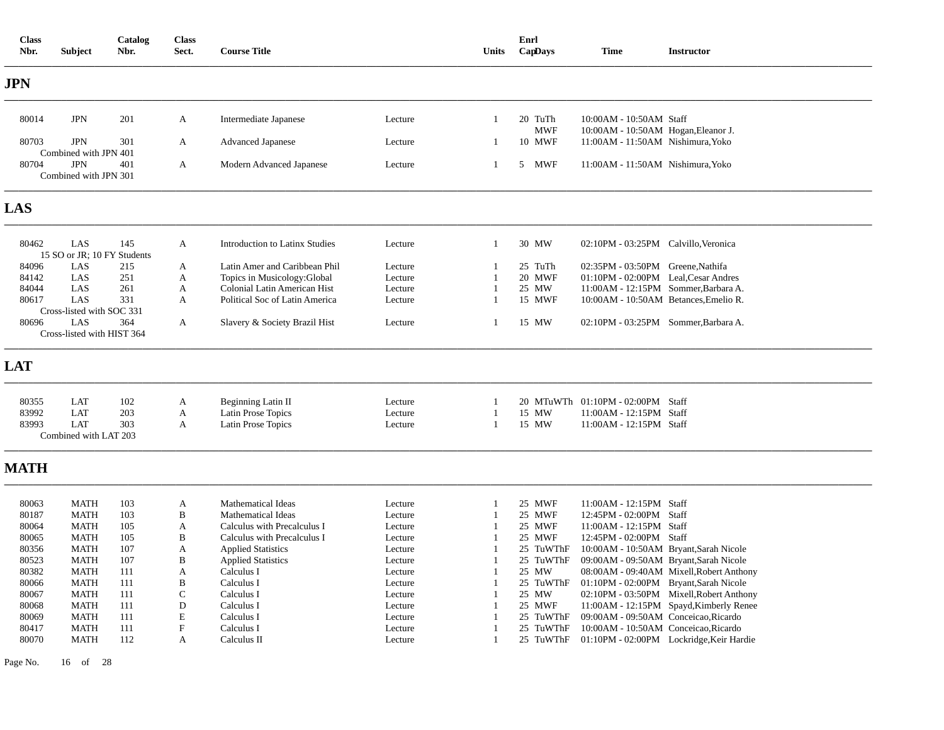| <b>Class</b><br>Nbr. | <b>Subject</b>                      | Catalog<br>Nbr. | <b>Class</b><br>Sect.     | <b>Course Title</b>            |         | Units          | Enrl<br>CapDays       | <b>Time</b>                                                    | <b>Instructor</b>                        |
|----------------------|-------------------------------------|-----------------|---------------------------|--------------------------------|---------|----------------|-----------------------|----------------------------------------------------------------|------------------------------------------|
| <b>JPN</b>           |                                     |                 |                           |                                |         |                |                       |                                                                |                                          |
| 80014                | <b>JPN</b>                          | 201             | A                         | Intermediate Japanese          | Lecture | $\overline{1}$ | 20 TuTh<br><b>MWF</b> | 10:00AM - 10:50AM Staff<br>10:00AM - 10:50AM Hogan, Eleanor J. |                                          |
| 80703                | <b>JPN</b><br>Combined with JPN 401 | 301             | A                         | <b>Advanced Japanese</b>       | Lecture | -1             | 10 MWF                | 11:00AM - 11:50AM Nishimura, Yoko                              |                                          |
| 80704                | <b>JPN</b><br>Combined with JPN 301 | 401             | A                         | Modern Advanced Japanese       | Lecture | 1              | 5 MWF                 | 11:00AM - 11:50AM Nishimura, Yoko                              |                                          |
| LAS                  |                                     |                 |                           |                                |         |                |                       |                                                                |                                          |
| 80462                | LAS<br>15 SO or JR; 10 FY Students  | 145             | A                         | Introduction to Latinx Studies | Lecture | $\overline{1}$ | 30 MW                 | 02:10PM - 03:25PM Calvillo, Veronica                           |                                          |
| 84096                | LAS                                 | 215             | A                         | Latin Amer and Caribbean Phil  | Lecture |                | 25 TuTh               | 02:35PM - 03:50PM Greene, Nathifa                              |                                          |
| 84142                | LAS                                 | 251             | A                         | Topics in Musicology: Global   | Lecture |                | 20 MWF                | 01:10PM - 02:00PM Leal, Cesar Andres                           |                                          |
| 84044                | LAS                                 | 261             | A                         | Colonial Latin American Hist   | Lecture |                | 25 MW                 | 11:00AM - 12:15PM Sommer, Barbara A.                           |                                          |
| 80617                | LAS                                 | 331             | A                         | Political Soc of Latin America | Lecture |                | 15 MWF                | 10:00AM - 10:50AM Betances, Emelio R.                          |                                          |
|                      | Cross-listed with SOC 331           |                 |                           |                                |         |                |                       |                                                                |                                          |
| 80696                | LAS<br>Cross-listed with HIST 364   | 364             | A                         | Slavery & Society Brazil Hist  | Lecture | $\mathbf{1}$   | 15 MW                 | 02:10PM - 03:25PM Sommer, Barbara A.                           |                                          |
| <b>LAT</b>           |                                     |                 |                           |                                |         |                |                       |                                                                |                                          |
| 80355                | LAT                                 | 102             | A                         | Beginning Latin II             | Lecture | -1             | 20 MTuWTh             | 01:10PM - 02:00PM Staff                                        |                                          |
| 83992                | LAT                                 | 203             | A                         | Latin Prose Topics             | Lecture | $\overline{1}$ | 15 MW                 | 11:00AM - 12:15PM Staff                                        |                                          |
| 83993                | <b>LAT</b>                          | 303             | A                         | Latin Prose Topics             | Lecture | $\overline{1}$ | 15 MW                 | 11:00AM - 12:15PM Staff                                        |                                          |
|                      | Combined with LAT 203               |                 |                           |                                |         |                |                       |                                                                |                                          |
| <b>MATH</b>          |                                     |                 |                           |                                |         |                |                       |                                                                |                                          |
| 80063                | <b>MATH</b>                         | 103             | A                         | <b>Mathematical Ideas</b>      | Lecture |                | 25 MWF                | 11:00AM - 12:15PM Staff                                        |                                          |
| 80187                | <b>MATH</b>                         | 103             | B                         | <b>Mathematical Ideas</b>      | Lecture |                | 25 MWF                | 12:45PM - 02:00PM                                              | Staff                                    |
| 80064                | <b>MATH</b>                         | 105             | A                         | Calculus with Precalculus I    | Lecture |                | 25 MWF                | 11:00AM - 12:15PM Staff                                        |                                          |
| 80065                | <b>MATH</b>                         | 105             | B                         | Calculus with Precalculus I    | Lecture |                | 25 MWF                | 12:45PM - 02:00PM Staff                                        |                                          |
| 80356                | <b>MATH</b>                         | 107             | A                         | <b>Applied Statistics</b>      | Lecture |                | 25 TuWThF             | 10:00AM - 10:50AM Bryant, Sarah Nicole                         |                                          |
| 80523                | <b>MATH</b>                         | 107             | $\, {\bf B}$              | <b>Applied Statistics</b>      | Lecture |                | 25 TuWThF             | 09:00AM - 09:50AM Bryant, Sarah Nicole                         |                                          |
| 80382                | <b>MATH</b>                         | 111             | A                         | Calculus I                     | Lecture |                | 25 MW                 |                                                                | 08:00AM - 09:40AM Mixell, Robert Anthony |
| 80066                | <b>MATH</b>                         | 111             | B                         | Calculus I                     | Lecture |                | 25 TuWThF             | 01:10PM - 02:00PM Bryant, Sarah Nicole                         |                                          |
| 80067                | <b>MATH</b>                         | 111             | $\mathsf{C}$              | Calculus I                     | Lecture |                | 25 MW                 |                                                                | 02:10PM - 03:50PM Mixell, Robert Anthony |
| 80068                | <b>MATH</b>                         | 111             | D                         | Calculus I                     | Lecture |                | 25 MWF                |                                                                | 11:00AM - 12:15PM Spayd, Kimberly Renee  |
| 80069                | <b>MATH</b>                         | 111             | ${\bf E}$                 | Calculus I                     | Lecture |                | 25 TuWThF             | 09:00AM - 09:50AM Conceicao, Ricardo                           |                                          |
| 80417                | <b>MATH</b>                         | 111             | $\boldsymbol{\mathrm{F}}$ | Calculus I                     | Lecture |                | 25 TuWThF             | 10:00AM - 10:50AM Conceicao, Ricardo                           |                                          |
| 80070                | <b>MATH</b>                         | 112             | A                         | Calculus II                    | Lecture | $\overline{1}$ | 25 TuWThF             |                                                                | 01:10PM - 02:00PM Lockridge, Keir Hardie |

Page No. 16 of 28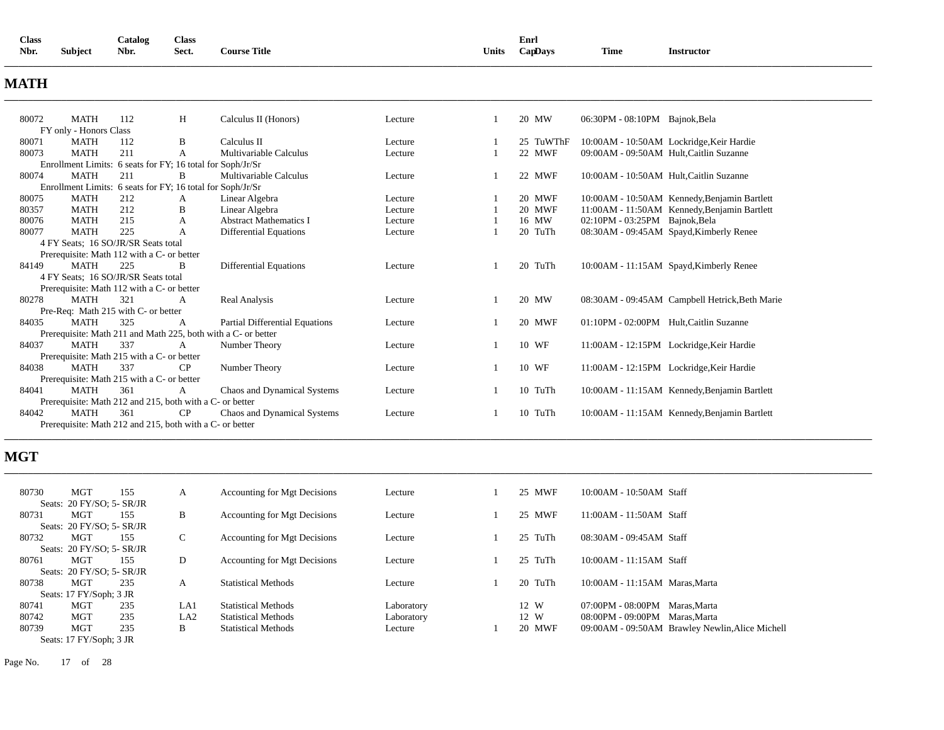| <b>Class</b> |                | Catalog | Class |                          |       | Enrl       |             |                 |
|--------------|----------------|---------|-------|--------------------------|-------|------------|-------------|-----------------|
| Nbr.         | <b>Subject</b> | Nbr.    | Sect. | <b>Course Title</b><br>. | Units | $Cap$ Davs | <b>Time</b> | Instructor<br>. |
|              |                |         |       |                          |       |            |             |                 |

# **MATH**

| 80072                                                      | <b>MATH</b>                                              | 112 | H                                                          | Calculus II (Honors)                                          | Lecture |  | 20 MW     | 06:30PM - 08:10PM Bajnok, Bela                 |  |  |  |
|------------------------------------------------------------|----------------------------------------------------------|-----|------------------------------------------------------------|---------------------------------------------------------------|---------|--|-----------|------------------------------------------------|--|--|--|
|                                                            | FY only - Honors Class                                   |     |                                                            |                                                               |         |  |           |                                                |  |  |  |
| 80071                                                      | <b>MATH</b>                                              | 112 | B                                                          | Calculus II                                                   | Lecture |  | 25 TuWThF | 10:00AM - 10:50AM Lockridge, Keir Hardie       |  |  |  |
| 80073                                                      | <b>MATH</b>                                              | 211 | A                                                          | Multivariable Calculus                                        | Lecture |  | 22 MWF    | 09:00AM - 09:50AM Hult, Caitlin Suzanne        |  |  |  |
|                                                            |                                                          |     | Enrollment Limits: 6 seats for FY; 16 total for Soph/Jr/Sr |                                                               |         |  |           |                                                |  |  |  |
| 80074                                                      | <b>MATH</b>                                              | 211 | B                                                          | Multivariable Calculus                                        | Lecture |  | 22 MWF    | 10:00AM - 10:50AM Hult, Caitlin Suzanne        |  |  |  |
| Enrollment Limits: 6 seats for FY; 16 total for Soph/Jr/Sr |                                                          |     |                                                            |                                                               |         |  |           |                                                |  |  |  |
| 80075                                                      | <b>MATH</b>                                              | 212 | A                                                          | Linear Algebra                                                | Lecture |  | 20 MWF    | 10:00AM - 10:50AM Kennedy, Benjamin Bartlett   |  |  |  |
| 80357                                                      | <b>MATH</b>                                              | 212 | B                                                          | Linear Algebra                                                | Lecture |  | 20 MWF    | 11:00AM - 11:50AM Kennedy, Benjamin Bartlett   |  |  |  |
| 80076                                                      | MATH                                                     | 215 | A                                                          | <b>Abstract Mathematics I</b>                                 | Lecture |  | 16 MW     | 02:10PM - 03:25PM Bajnok, Bela                 |  |  |  |
| 80077                                                      | <b>MATH</b>                                              | 225 | A                                                          | Differential Equations                                        | Lecture |  | 20 TuTh   | 08:30AM - 09:45AM Spayd, Kimberly Renee        |  |  |  |
|                                                            | 4 FY Seats: 16 SO/JR/SR Seats total                      |     |                                                            |                                                               |         |  |           |                                                |  |  |  |
|                                                            | Prerequisite: Math 112 with a C- or better               |     |                                                            |                                                               |         |  |           |                                                |  |  |  |
| 84149                                                      | <b>MATH</b>                                              | 225 | <sup>R</sup>                                               | <b>Differential Equations</b>                                 | Lecture |  | 20 TuTh   | 10:00AM - 11:15AM Spayd, Kimberly Renee        |  |  |  |
|                                                            | 4 FY Seats; 16 SO/JR/SR Seats total                      |     |                                                            |                                                               |         |  |           |                                                |  |  |  |
|                                                            | Prerequisite: Math 112 with a C- or better               |     |                                                            |                                                               |         |  |           |                                                |  |  |  |
| 80278                                                      | <b>MATH</b>                                              | 321 | A                                                          | Real Analysis                                                 | Lecture |  | 20 MW     | 08:30AM - 09:45AM Campbell Hetrick, Beth Marie |  |  |  |
|                                                            | Pre-Req: Math 215 with C- or better                      |     |                                                            |                                                               |         |  |           |                                                |  |  |  |
| 84035                                                      | <b>MATH</b>                                              | 325 | A                                                          | Partial Differential Equations                                | Lecture |  | 20 MWF    | 01:10PM - 02:00PM Hult, Caitlin Suzanne        |  |  |  |
|                                                            |                                                          |     |                                                            | Prerequisite: Math 211 and Math 225, both with a C- or better |         |  |           |                                                |  |  |  |
| 84037                                                      | <b>MATH</b>                                              | 337 | A                                                          | Number Theory                                                 | Lecture |  | 10 WF     | 11:00AM - 12:15PM Lockridge, Keir Hardie       |  |  |  |
|                                                            | Prerequisite: Math 215 with a C- or better               |     |                                                            |                                                               |         |  |           |                                                |  |  |  |
| 84038                                                      | <b>MATH</b>                                              | 337 | CP                                                         | Number Theory                                                 | Lecture |  | 10 WF     | 11:00AM - 12:15PM Lockridge, Keir Hardie       |  |  |  |
|                                                            | Prerequisite: Math 215 with a C- or better               |     |                                                            |                                                               |         |  |           |                                                |  |  |  |
| 84041                                                      | <b>MATH</b>                                              | 361 | A                                                          | Chaos and Dynamical Systems                                   | Lecture |  | 10 TuTh   | 10:00AM - 11:15AM Kennedy, Benjamin Bartlett   |  |  |  |
|                                                            |                                                          |     | Prerequisite: Math 212 and 215, both with a C- or better   |                                                               |         |  |           |                                                |  |  |  |
| 84042                                                      | <b>MATH</b>                                              | 361 | CP                                                         | Chaos and Dynamical Systems                                   | Lecture |  | 10 TuTh   | 10:00AM - 11:15AM Kennedy, Benjamin Bartlett   |  |  |  |
|                                                            | Prerequisite: Math 212 and 215, both with a C- or better |     |                                                            |                                                               |         |  |           |                                                |  |  |  |

# **MGT**

| <b>MGT</b> | 155 | A                                                                                                                                                                      | Accounting for Mgt Decisions        | Lecture    | 25 MWF  | 10:00AM - 10:50AM Staff                         |
|------------|-----|------------------------------------------------------------------------------------------------------------------------------------------------------------------------|-------------------------------------|------------|---------|-------------------------------------------------|
|            |     |                                                                                                                                                                        |                                     |            |         |                                                 |
| MGT        | 155 | B                                                                                                                                                                      | Accounting for Mgt Decisions        | Lecture    | 25 MWF  | 11:00AM - 11:50AM Staff                         |
|            |     |                                                                                                                                                                        |                                     |            |         |                                                 |
| MGT        | 155 | C                                                                                                                                                                      | Accounting for Mgt Decisions        | Lecture    | 25 TuTh | 08:30AM - 09:45AM Staff                         |
|            |     |                                                                                                                                                                        |                                     |            |         |                                                 |
| MGT        | 155 | D                                                                                                                                                                      | <b>Accounting for Mgt Decisions</b> | Lecture    | 25 TuTh | 10:00AM - 11:15AM Staff                         |
|            |     |                                                                                                                                                                        |                                     |            |         |                                                 |
| MGT        | 235 | A                                                                                                                                                                      | <b>Statistical Methods</b>          | Lecture    | 20 TuTh | 10:00AM - 11:15AM Maras, Marta                  |
|            |     |                                                                                                                                                                        |                                     |            |         |                                                 |
| MGT        | 235 | LA1                                                                                                                                                                    | <b>Statistical Methods</b>          | Laboratory | 12 W    | 07:00PM - 08:00PM Maras, Marta                  |
| <b>MGT</b> | 235 | LA <sub>2</sub>                                                                                                                                                        | <b>Statistical Methods</b>          | Laboratory | 12 W    | 08:00PM - 09:00PM Maras, Marta                  |
| MGT        | 235 | B                                                                                                                                                                      | <b>Statistical Methods</b>          | Lecture    | 20 MWF  | 09:00AM - 09:50AM Brawley Newlin, Alice Michell |
|            |     |                                                                                                                                                                        |                                     |            |         |                                                 |
|            |     | Seats: 20 FY/SO; 5- SR/JR<br>Seats: 20 FY/SO; 5- SR/JR<br>Seats: 20 FY/SO; 5- SR/JR<br>Seats: 20 FY/SO; 5- SR/JR<br>Seats: 17 FY/Soph; 3 JR<br>Seats: 17 FY/Soph: 3 JR |                                     |            |         |                                                 |

**\_\_\_\_\_\_\_\_\_\_\_\_\_\_\_\_\_\_\_\_\_\_\_\_\_\_\_\_\_\_\_\_\_\_\_\_\_\_\_\_\_\_\_\_\_\_\_\_\_\_\_\_\_\_\_\_\_\_\_\_\_\_\_\_\_\_\_\_\_\_\_\_\_\_\_\_\_\_\_\_\_\_\_\_\_\_\_\_\_\_\_\_\_\_\_\_\_\_\_\_\_\_\_\_\_\_\_\_\_\_\_\_\_\_\_\_\_\_\_\_\_\_\_\_\_\_\_\_\_\_\_\_\_\_\_\_\_\_\_\_\_\_\_\_\_\_\_\_\_\_\_\_\_\_\_\_\_\_\_\_\_\_\_\_\_\_\_\_\_\_\_\_\_\_\_\_\_\_\_\_\_\_** 

**\_\_\_\_\_\_\_\_\_\_\_\_\_\_\_\_\_\_\_\_\_\_\_\_\_\_\_\_\_\_\_\_\_\_\_\_\_\_\_\_\_\_\_\_\_\_\_\_\_\_\_\_\_\_\_\_\_\_\_\_\_\_\_\_\_\_\_\_\_\_\_\_\_\_\_\_\_\_\_\_\_\_\_\_\_\_\_\_\_\_\_\_\_\_\_\_\_\_\_\_\_\_\_\_\_\_\_\_\_\_\_\_\_\_\_\_\_\_\_\_\_\_\_\_\_\_\_\_\_\_\_\_\_\_\_\_\_\_\_\_\_\_\_\_\_\_\_\_\_\_\_\_\_\_\_\_\_\_\_\_\_\_\_\_\_\_\_\_\_\_\_\_\_\_\_\_\_\_\_\_\_\_** 

Page No. 17 of 28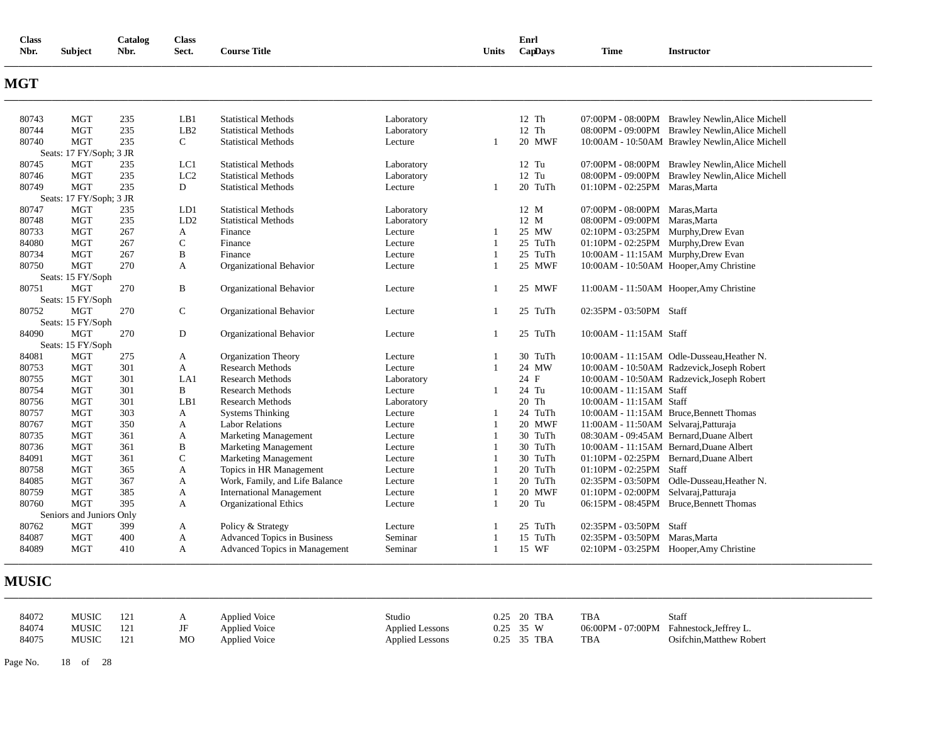| <b>Class</b><br>Nbr. | <b>Subject</b>           | Catalog<br>Nbr. | <b>Class</b><br>Sect. | <b>Course Title</b>             |                    | Units          | Enrl<br>CapDays  | <b>Time</b>                                                                | <b>Instructor</b>                               |
|----------------------|--------------------------|-----------------|-----------------------|---------------------------------|--------------------|----------------|------------------|----------------------------------------------------------------------------|-------------------------------------------------|
| <b>MGT</b>           |                          |                 |                       |                                 |                    |                |                  |                                                                            |                                                 |
| 80743                | MGT                      | 235             | LB1                   | <b>Statistical Methods</b>      | Laboratory         |                | 12 Th            |                                                                            | 07:00PM - 08:00PM Brawley Newlin, Alice Michell |
| 80744                | <b>MGT</b>               | 235             | LB <sub>2</sub>       | <b>Statistical Methods</b>      | Laboratory         |                | 12 Th            |                                                                            | 08:00PM - 09:00PM Brawley Newlin, Alice Michell |
| 80740                | <b>MGT</b>               | 235             | $\mathsf{C}$          | <b>Statistical Methods</b>      | Lecture            | $\mathbf{1}$   | <b>20 MWF</b>    |                                                                            | 10:00AM - 10:50AM Brawley Newlin, Alice Michell |
|                      | Seats: 17 FY/Soph; 3 JR  |                 |                       |                                 |                    |                |                  |                                                                            |                                                 |
| 80745                | MGT                      | 235             | LC1                   | <b>Statistical Methods</b>      | Laboratory         |                | $12$ Tu          |                                                                            | 07:00PM - 08:00PM Brawley Newlin, Alice Michell |
| 80746                | <b>MGT</b>               | 235             | LC2                   | <b>Statistical Methods</b>      | Laboratory         |                | 12 Tu            |                                                                            | 08:00PM - 09:00PM Brawley Newlin, Alice Michell |
| 80749                | <b>MGT</b>               | 235             | D                     | <b>Statistical Methods</b>      | Lecture            | 1              | 20 TuTh          | 01:10PM - 02:25PM Maras, Marta                                             |                                                 |
|                      | Seats: 17 FY/Soph; 3 JR  |                 |                       |                                 |                    |                |                  |                                                                            |                                                 |
| 80747                | <b>MGT</b><br><b>MGT</b> | 235<br>235      | LD1<br>LD2            | <b>Statistical Methods</b>      | Laboratory         |                | 12 M<br>12 M     | 07:00PM - 08:00PM Maras, Marta                                             |                                                 |
| 80748                | <b>MGT</b>               |                 | A                     | <b>Statistical Methods</b>      | Laboratory         |                |                  | 08:00PM - 09:00PM Maras, Marta                                             |                                                 |
| 80733<br>84080       | <b>MGT</b>               | 267<br>267      | $\mathsf{C}$          | Finance<br>Finance              | Lecture<br>Lecture | 1              | 25 MW<br>25 TuTh | 02:10PM - 03:25PM Murphy, Drew Evan                                        |                                                 |
| 80734                | <b>MGT</b>               | 267             | B                     | Finance                         | Lecture            | 1              | 25 TuTh          | 01:10PM - 02:25PM Murphy, Drew Evan<br>10:00AM - 11:15AM Murphy, Drew Evan |                                                 |
| 80750                | <b>MGT</b>               | 270             | $\mathbf{A}$          | Organizational Behavior         | Lecture            | $\mathbf{1}$   | 25 MWF           |                                                                            | 10:00AM - 10:50AM Hooper, Amy Christine         |
|                      | Seats: 15 FY/Soph        |                 |                       |                                 |                    |                |                  |                                                                            |                                                 |
| 80751                | <b>MGT</b>               | 270             | B                     | Organizational Behavior         | Lecture            | 1              | 25 MWF           |                                                                            | 11:00AM - 11:50AM Hooper, Amy Christine         |
|                      | Seats: 15 FY/Soph        |                 |                       |                                 |                    |                |                  |                                                                            |                                                 |
| 80752                | <b>MGT</b>               | 270             | $\mathsf{C}$          | Organizational Behavior         | Lecture            | 1              | 25 TuTh          | 02:35PM - 03:50PM Staff                                                    |                                                 |
|                      | Seats: 15 FY/Soph        |                 |                       |                                 |                    |                |                  |                                                                            |                                                 |
| 84090                | <b>MGT</b>               | 270             | D                     | Organizational Behavior         | Lecture            | 1              | 25 TuTh          | 10:00AM - 11:15AM Staff                                                    |                                                 |
|                      | Seats: 15 FY/Soph        |                 |                       |                                 |                    |                |                  |                                                                            |                                                 |
| 84081                | <b>MGT</b>               | 275             | A                     | <b>Organization Theory</b>      | Lecture            | 1              | 30 TuTh          |                                                                            | 10:00AM - 11:15AM Odle-Dusseau, Heather N.      |
| 80753                | <b>MGT</b>               | 301             | A                     | <b>Research Methods</b>         | Lecture            | $\mathbf{1}$   | 24 MW            |                                                                            | 10:00AM - 10:50AM Radzevick, Joseph Robert      |
| 80755                | <b>MGT</b>               | 301             | LA1                   | <b>Research Methods</b>         | Laboratory         |                | 24 F             |                                                                            | 10:00AM - 10:50AM Radzevick,Joseph Robert       |
| 80754                | <b>MGT</b>               | 301             | B                     | <b>Research Methods</b>         | Lecture            | -1             | 24 Tu            | 10:00AM - 11:15AM Staff                                                    |                                                 |
| 80756                | <b>MGT</b>               | 301             | LB1                   | <b>Research Methods</b>         | Laboratory         |                | 20 Th            | 10:00AM - 11:15AM Staff                                                    |                                                 |
| 80757                | <b>MGT</b>               | 303             | A                     | <b>Systems Thinking</b>         | Lecture            | 1              | 24 TuTh          |                                                                            | 10:00AM - 11:15AM Bruce, Bennett Thomas         |
| 80767                | <b>MGT</b>               | 350             | A                     | <b>Labor Relations</b>          | Lecture            | 1              | 20 MWF           | 11:00AM - 11:50AM Selvaraj, Patturaja                                      |                                                 |
| 80735                | <b>MGT</b>               | 361             | A                     | <b>Marketing Management</b>     | Lecture            |                | 30 TuTh          |                                                                            | 08:30AM - 09:45AM Bernard, Duane Albert         |
| 80736                | <b>MGT</b>               | 361             | $\, {\bf B}$          | <b>Marketing Management</b>     | Lecture            | 1              | 30 TuTh          |                                                                            | 10:00AM - 11:15AM Bernard, Duane Albert         |
| 84091                | <b>MGT</b>               | 361             | C                     | Marketing Management            | Lecture            | 1              | 30 TuTh          |                                                                            | 01:10PM - 02:25PM Bernard, Duane Albert         |
| 80758                | <b>MGT</b>               | 365             | A                     | Topics in HR Management         | Lecture            | 1              | 20 TuTh          | 01:10PM - 02:25PM Staff                                                    |                                                 |
| 84085                | <b>MGT</b>               | 367             | $\mathbf{A}$          | Work, Family, and Life Balance  | Lecture            | $\mathbf{1}$   | 20 TuTh          |                                                                            | 02:35PM - 03:50PM Odle-Dusseau, Heather N.      |
| 80759                | <b>MGT</b>               | 385             | A                     | <b>International Management</b> | Lecture            | $\mathbf{1}$   | 20 MWF           | 01:10PM - 02:00PM Selvaraj, Patturaja                                      |                                                 |
| 80760                | <b>MGT</b>               | 395             | A                     | Organizational Ethics           | Lecture            | $\overline{1}$ | 20 Tu            |                                                                            | 06:15PM - 08:45PM Bruce, Bennett Thomas         |
|                      | Seniors and Juniors Only |                 |                       |                                 |                    |                |                  |                                                                            |                                                 |
| 80762                | <b>MGT</b>               | 399             | A                     | Policy & Strategy               | Lecture            | 1              | 25 TuTh          | 02:35PM - 03:50PM Staff                                                    |                                                 |
| 84087                | <b>MGT</b>               | 400             | A                     | Advanced Topics in Business     | Seminar            | 1              | 15 TuTh          | 02:35PM - 03:50PM Maras, Marta                                             |                                                 |
| 84089                | <b>MGT</b>               | 410             | A                     | Advanced Topics in Management   | Seminar            | $\mathbf{1}$   | 15 WF            |                                                                            | 02:10PM - 03:25PM Hooper, Amy Christine         |

# **MUSIC**

| 84072 | MUSIC | 121 |    | <b>Applied Voice</b> | Studio                 | 0.25 20 TBA | <b>TBA</b> | Staff                                   |
|-------|-------|-----|----|----------------------|------------------------|-------------|------------|-----------------------------------------|
| 84074 | MUSIC | 121 |    | <b>Applied Voice</b> | <b>Applied Lessons</b> | $0.25$ 35 W |            | 06:00PM - 07:00PM Fahnestock.Jeffrey L. |
| 84075 | MUSIC | 121 | MO | <b>Applied Voice</b> | <b>Applied Lessons</b> | 0.25 35 TBA | TBA        | Osifchin.Matthew Robert                 |

**\_\_\_\_\_\_\_\_\_\_\_\_\_\_\_\_\_\_\_\_\_\_\_\_\_\_\_\_\_\_\_\_\_\_\_\_\_\_\_\_\_\_\_\_\_\_\_\_\_\_\_\_\_\_\_\_\_\_\_\_\_\_\_\_\_\_\_\_\_\_\_\_\_\_\_\_\_\_\_\_\_\_\_\_\_\_\_\_\_\_\_\_\_\_\_\_\_\_\_\_\_\_\_\_\_\_\_\_\_\_\_\_\_\_\_\_\_\_\_\_\_\_\_\_\_\_\_\_\_\_\_\_\_\_\_\_\_\_\_\_\_\_\_\_\_\_\_\_\_\_\_\_\_\_\_\_\_\_\_\_\_\_\_\_\_\_\_\_\_\_\_\_\_\_\_\_\_\_\_\_\_\_** 

Page No. 18 of 28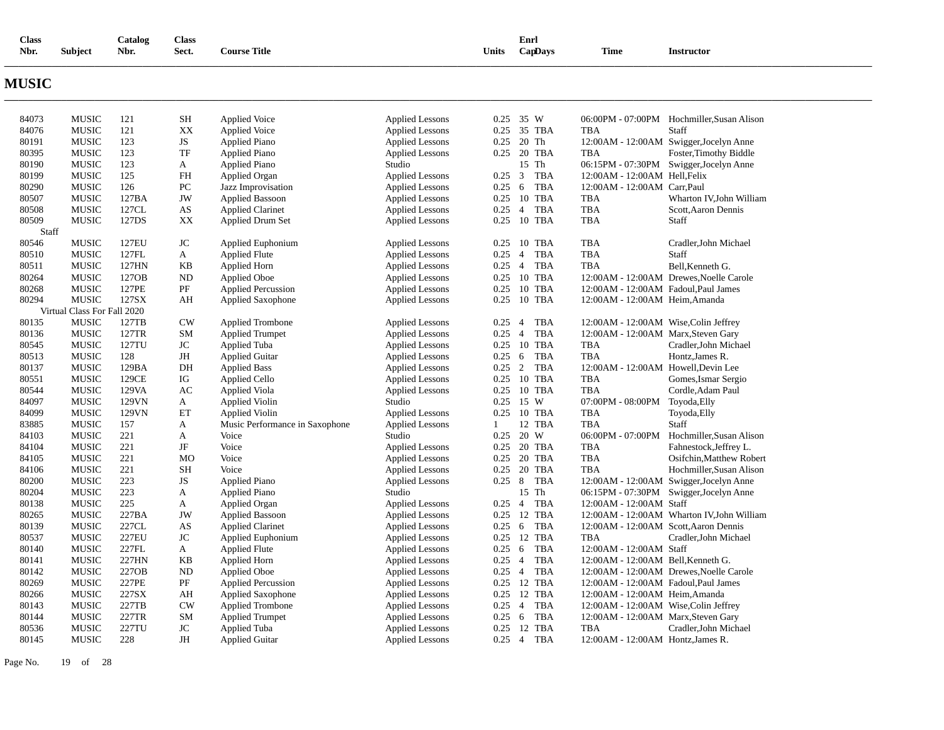| $\sim$<br>Class |         | <b>Catalog</b> | <b>Class</b> |                     |       | Enrl    |             |                 |
|-----------------|---------|----------------|--------------|---------------------|-------|---------|-------------|-----------------|
| Nbr.            | Subject | Nbr.           | Sect.        | <b>Course Title</b> | Units | CapDays | <b>Time</b> | Instructor<br>. |
|                 |         |                |              |                     |       |         |             |                 |

# **MUSIC**

| 84073 | <b>MUSIC</b>                | 121          | SН               | Applied Voice                  | <b>Applied Lessons</b> |                | $0.25$ 35 W                  |                                        | 06:00PM - 07:00PM Hochmiller, Susan Alison |
|-------|-----------------------------|--------------|------------------|--------------------------------|------------------------|----------------|------------------------------|----------------------------------------|--------------------------------------------|
| 84076 | <b>MUSIC</b>                | 121          | XX               | <b>Applied Voice</b>           | <b>Applied Lessons</b> |                | 0.25 35 TBA                  | <b>TBA</b>                             | Staff                                      |
| 80191 | <b>MUSIC</b>                | 123          | JS               | <b>Applied Piano</b>           | <b>Applied Lessons</b> |                | $0.25$ 20 Th                 |                                        | 12:00AM - 12:00AM Swigger, Jocelyn Anne    |
| 80395 | <b>MUSIC</b>                | 123          | TF               | <b>Applied Piano</b>           | <b>Applied Lessons</b> |                | 0.25 20 TBA                  | <b>TBA</b>                             | Foster, Timothy Biddle                     |
| 80190 | <b>MUSIC</b>                | 123          | A                | <b>Applied Piano</b>           | Studio                 |                | 15 Th                        |                                        | 06:15PM - 07:30PM Swigger, Jocelyn Anne    |
| 80199 | <b>MUSIC</b>                | 125          | <b>FH</b>        | Applied Organ                  | <b>Applied Lessons</b> | $0.25 \quad 3$ | <b>TBA</b>                   | 12:00AM - 12:00AM Hell, Felix          |                                            |
| 80290 | <b>MUSIC</b>                | 126          | ${\rm P}{\bf C}$ | Jazz Improvisation             | <b>Applied Lessons</b> | 0.25           | <b>TBA</b><br>- 6            | 12:00AM - 12:00AM Carr, Paul           |                                            |
| 80507 | <b>MUSIC</b>                | 127BA        | JW               | <b>Applied Bassoon</b>         | <b>Applied Lessons</b> |                | 0.25 10 TBA                  | TBA                                    | Wharton IV, John William                   |
| 80508 | <b>MUSIC</b>                | 127CL        | AS               | <b>Applied Clarinet</b>        | <b>Applied Lessons</b> | 0.25           | <b>TBA</b><br>$\overline{4}$ | TBA                                    | Scott, Aaron Dennis                        |
| 80509 | <b>MUSIC</b>                | 127DS        | XX               | <b>Applied Drum Set</b>        | <b>Applied Lessons</b> | 0.25           | 10 TBA                       | TBA                                    | Staff                                      |
| Staff |                             |              |                  |                                |                        |                |                              |                                        |                                            |
| 80546 | <b>MUSIC</b>                | 127EU        | JC               | Applied Euphonium              | <b>Applied Lessons</b> | 0.25           | 10 TBA                       | <b>TBA</b>                             | Cradler, John Michael                      |
| 80510 | <b>MUSIC</b>                | 127FL        | A                | <b>Applied Flute</b>           | <b>Applied Lessons</b> | 0.25           | <b>TBA</b><br>$\overline{4}$ | <b>TBA</b>                             | Staff                                      |
| 80511 | <b>MUSIC</b>                | 127HN        | ΚB               | Applied Horn                   | <b>Applied Lessons</b> | $0.25 \quad 4$ | <b>TBA</b>                   | TBA                                    | Bell, Kenneth G.                           |
| 80264 | <b>MUSIC</b>                | 127OB        | <b>ND</b>        | <b>Applied Oboe</b>            | <b>Applied Lessons</b> | 0.25           | 10 TBA                       |                                        | 12:00 AM - 12:00 AM Drewes, Noelle Carole  |
| 80268 | <b>MUSIC</b>                | 127PE        | PF               | <b>Applied Percussion</b>      | <b>Applied Lessons</b> |                | 0.25 10 TBA                  | 12:00 AM - 12:00 AM Fadoul, Paul James |                                            |
| 80294 | <b>MUSIC</b>                | 127SX        | AH               | Applied Saxophone              | <b>Applied Lessons</b> |                | 0.25 10 TBA                  | 12:00AM - 12:00AM Heim, Amanda         |                                            |
|       | Virtual Class For Fall 2020 |              |                  |                                |                        |                |                              |                                        |                                            |
| 80135 | <b>MUSIC</b>                | 127TB        | CW               | <b>Applied Trombone</b>        | <b>Applied Lessons</b> | 0.25           | <b>TBA</b><br>$\overline{4}$ | 12:00AM - 12:00AM Wise, Colin Jeffrey  |                                            |
| 80136 | <b>MUSIC</b>                | 127TR        | SM               | <b>Applied Trumpet</b>         | <b>Applied Lessons</b> | 0.25           | <b>TBA</b><br>$\overline{4}$ | 12:00AM - 12:00AM Marx, Steven Gary    |                                            |
| 80545 | <b>MUSIC</b>                | 127TU        | JC               | Applied Tuba                   | <b>Applied Lessons</b> |                | 0.25 10 TBA                  | TBA                                    | Cradler, John Michael                      |
| 80513 | <b>MUSIC</b>                | 128          | JH               | <b>Applied Guitar</b>          | <b>Applied Lessons</b> | 0.25           | <b>TBA</b><br>- 6            | TBA                                    | Hontz, James R.                            |
| 80137 | <b>MUSIC</b>                | 129BA        | DH               | <b>Applied Bass</b>            | <b>Applied Lessons</b> | $0.25 \quad 2$ | <b>TBA</b>                   | 12:00AM - 12:00AM Howell, Devin Lee    |                                            |
| 80551 | <b>MUSIC</b>                | 129CE        | IG               |                                | <b>Applied Lessons</b> |                | 0.25 10 TBA                  | <b>TBA</b>                             | Gomes, Ismar Sergio                        |
| 80544 | <b>MUSIC</b>                | 129VA        | AC               | <b>Applied Cello</b>           | <b>Applied Lessons</b> |                | 0.25 10 TBA                  | <b>TBA</b>                             | Cordle, Adam Paul                          |
| 84097 | <b>MUSIC</b>                | 129VN        |                  | <b>Applied Viola</b>           | Studio                 |                | 15 W                         |                                        |                                            |
|       |                             |              | A                | <b>Applied Violin</b>          |                        | 0.25           |                              | 07:00PM - 08:00PM                      | Toyoda, Elly                               |
| 84099 | <b>MUSIC</b>                | 129VN        | ET               | <b>Applied Violin</b>          | <b>Applied Lessons</b> | 0.25           | 10 TBA                       | <b>TBA</b>                             | Toyoda, Elly                               |
| 83885 | <b>MUSIC</b>                | 157          | A                | Music Performance in Saxophone | <b>Applied Lessons</b> | 1              | 12 TBA                       | TBA                                    | Staff                                      |
| 84103 | <b>MUSIC</b>                | 221          | A                | Voice                          | Studio                 | 0.25           | 20 W                         | 06:00PM - 07:00PM                      | Hochmiller, Susan Alison                   |
| 84104 | <b>MUSIC</b>                | 221          | JF               | Voice                          | <b>Applied Lessons</b> |                | 0.25 20 TBA                  | <b>TBA</b>                             | Fahnestock, Jeffrey L.                     |
| 84105 | <b>MUSIC</b>                | 221          | M <sub>O</sub>   | Voice                          | <b>Applied Lessons</b> |                | 0.25 20 TBA                  | TBA                                    | Osifchin, Matthew Robert                   |
| 84106 | <b>MUSIC</b>                | 221          | <b>SH</b>        | Voice                          | <b>Applied Lessons</b> |                | 0.25 20 TBA                  | <b>TBA</b>                             | Hochmiller.Susan Alison                    |
| 80200 | <b>MUSIC</b>                | 223          | <b>JS</b>        | <b>Applied Piano</b>           | <b>Applied Lessons</b> | $0.25 \quad 8$ | <b>TBA</b>                   |                                        | 12:00AM - 12:00AM Swigger, Jocelyn Anne    |
| 80204 | <b>MUSIC</b>                | 223          | A                | <b>Applied Piano</b>           | Studio                 |                | 15 Th                        |                                        | 06:15PM - 07:30PM Swigger, Jocelyn Anne    |
| 80138 | <b>MUSIC</b>                | 225          | A                | <b>Applied Organ</b>           | <b>Applied Lessons</b> | $0.25 \quad 4$ | <b>TBA</b>                   | 12:00AM - 12:00AM Staff                |                                            |
| 80265 | <b>MUSIC</b>                | 227BA        | JW               | <b>Applied Bassoon</b>         | <b>Applied Lessons</b> | 0.25           | 12 TBA                       |                                        | 12:00AM - 12:00AM Wharton IV, John William |
| 80139 | <b>MUSIC</b>                | 227CL        | AS               | <b>Applied Clarinet</b>        | <b>Applied Lessons</b> | $0.25 \quad 6$ | TBA                          | 12:00AM - 12:00AM Scott, Aaron Dennis  |                                            |
| 80537 | <b>MUSIC</b>                | <b>227EU</b> | <b>JC</b>        | Applied Euphonium              | <b>Applied Lessons</b> |                | 0.25 12 TBA                  | <b>TBA</b>                             | Cradler, John Michael                      |
| 80140 | <b>MUSIC</b>                | 227FL        | A                | <b>Applied Flute</b>           | <b>Applied Lessons</b> | $0.25 \quad 6$ | <b>TBA</b>                   | 12:00AM - 12:00AM Staff                |                                            |
| 80141 | <b>MUSIC</b>                | 227HN        | <b>KB</b>        | Applied Horn                   | <b>Applied Lessons</b> | $0.25 \quad 4$ | <b>TBA</b>                   | 12:00AM - 12:00AM Bell, Kenneth G.     |                                            |
| 80142 | <b>MUSIC</b>                | 227OB        | <b>ND</b>        | <b>Applied Oboe</b>            | <b>Applied Lessons</b> | $0.25 \quad 4$ | <b>TBA</b>                   |                                        | 12:00 AM - 12:00 AM Drewes, Noelle Carole  |
| 80269 | <b>MUSIC</b>                | 227PE        | PF               | <b>Applied Percussion</b>      | <b>Applied Lessons</b> |                | 0.25 12 TBA                  | 12:00 AM - 12:00 AM Fadoul, Paul James |                                            |
| 80266 | <b>MUSIC</b>                | 227SX        | AH               | Applied Saxophone              | <b>Applied Lessons</b> |                | 0.25 12 TBA                  | 12:00AM - 12:00AM Heim, Amanda         |                                            |
| 80143 | <b>MUSIC</b>                | 227TB        | <b>CW</b>        | Applied Trombone               | <b>Applied Lessons</b> | $0.25 \quad 4$ | <b>TBA</b>                   | 12:00AM - 12:00AM Wise, Colin Jeffrey  |                                            |
| 80144 | <b>MUSIC</b>                | 227TR        | SM               | <b>Applied Trumpet</b>         | <b>Applied Lessons</b> | 0.25           | 6<br><b>TBA</b>              | 12:00AM - 12:00AM Marx, Steven Gary    |                                            |
| 80536 | <b>MUSIC</b>                | 227TU        | <b>JC</b>        | Applied Tuba                   | <b>Applied Lessons</b> | 0.25           | 12 TBA                       | <b>TBA</b>                             | Cradler, John Michael                      |
| 80145 | <b>MUSIC</b>                | 228          | JH               | <b>Applied Guitar</b>          | <b>Applied Lessons</b> | $0.25 \quad 4$ | <b>TBA</b>                   | 12:00AM - 12:00AM Hontz, James R.      |                                            |

Page No. 19 of 28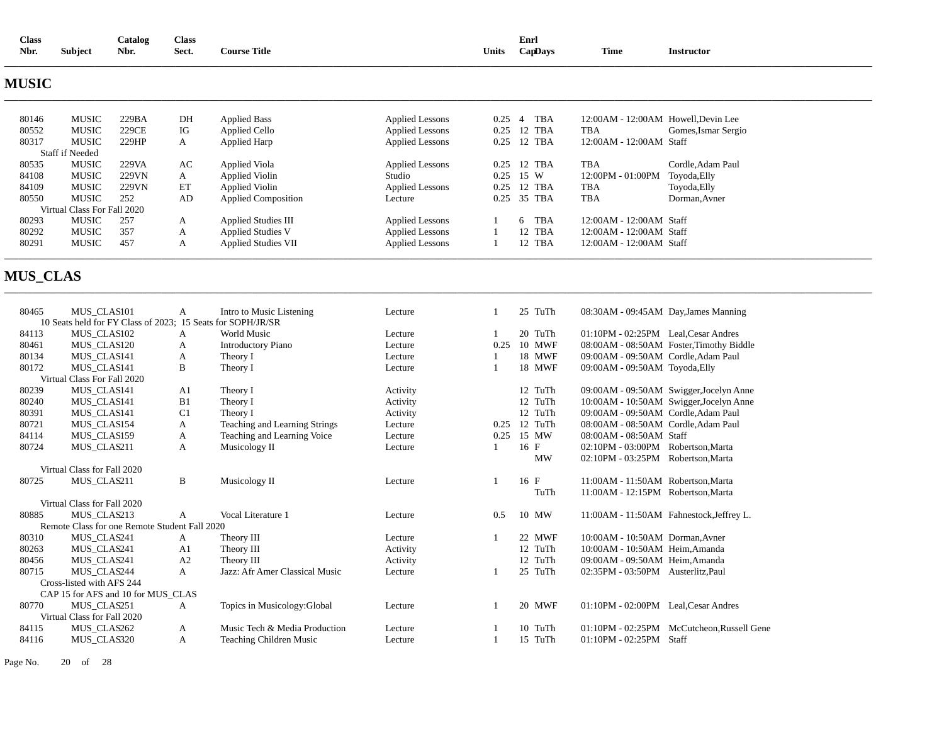| <b>Class</b> |                | Catalog | Class |                     |       | Enrl    |      |            |
|--------------|----------------|---------|-------|---------------------|-------|---------|------|------------|
| Nbr.         | <b>Subject</b> | Nbr.    | Sect. | <b>Course Title</b> | Units | CapDays | Time | Instructor |
|              |                |         |       |                     |       |         |      |            |

# **MUSIC**

| 80146 | <b>MUSIC</b>                | 229BA | DH | <b>Applied Bass</b>        | Applied Lessons        | 0.25 | <b>TBA</b>                 | 12:00AM - 12:00AM Howell.Devin Lee |                     |
|-------|-----------------------------|-------|----|----------------------------|------------------------|------|----------------------------|------------------------------------|---------------------|
| 80552 | <b>MUSIC</b>                | 229CE | IG | Applied Cello              | <b>Applied Lessons</b> | 0.25 | 12 TBA                     | TBA                                | Gomes, Ismar Sergio |
| 80317 | <b>MUSIC</b>                | 229HP | A  | Applied Harp               | Applied Lessons        | 0.25 | 12 TBA                     | $12:00AM - 12:00AM$ Staff          |                     |
|       | <b>Staff if Needed</b>      |       |    |                            |                        |      |                            |                                    |                     |
| 80535 | <b>MUSIC</b>                | 229VA | AC | Applied Viola              | <b>Applied Lessons</b> | 0.25 | 12 TBA                     | <b>TBA</b>                         | Cordle.Adam Paul    |
| 84108 | <b>MUSIC</b>                | 229VN | A  | Applied Violin             | Studio                 | 0.25 | 15 W                       | $12:00PM - 01:00PM$                | Toyoda, Elly        |
| 84109 | <b>MUSIC</b>                | 229VN | ET | Applied Violin             | <b>Applied Lessons</b> | 0.25 | 12 TBA                     | TBA                                | Toyoda, Elly        |
| 80550 | <b>MUSIC</b>                | 252   | AD | <b>Applied Composition</b> | Lecture                | 0.25 | 35 TBA                     | <b>TBA</b>                         | Dorman.Avner        |
|       | Virtual Class For Fall 2020 |       |    |                            |                        |      |                            |                                    |                     |
| 80293 | <b>MUSIC</b>                | 257   | А  | <b>Applied Studies III</b> | <b>Applied Lessons</b> |      | <b>TBA</b><br><sub>6</sub> | 12:00 AM - 12:00 AM Staff          |                     |
| 80292 | MUSIC                       | 357   | А  | <b>Applied Studies V</b>   | <b>Applied Lessons</b> |      | 12 TBA                     | 12:00 AM - 12:00 AM Staff          |                     |
| 80291 | <b>MUSIC</b>                | 457   | А  | <b>Applied Studies VII</b> | <b>Applied Lessons</b> |      | 12 TBA                     | 12:00 AM - 12:00 AM Staff          |                     |
|       |                             |       |    |                            |                        |      |                            |                                    |                     |

**\_\_\_\_\_\_\_\_\_\_\_\_\_\_\_\_\_\_\_\_\_\_\_\_\_\_\_\_\_\_\_\_\_\_\_\_\_\_\_\_\_\_\_\_\_\_\_\_\_\_\_\_\_\_\_\_\_\_\_\_\_\_\_\_\_\_\_\_\_\_\_\_\_\_\_\_\_\_\_\_\_\_\_\_\_\_\_\_\_\_\_\_\_\_\_\_\_\_\_\_\_\_\_\_\_\_\_\_\_\_\_\_\_\_\_\_\_\_\_\_\_\_\_\_\_\_\_\_\_\_\_\_\_\_\_\_\_\_\_\_\_\_\_\_\_\_\_\_\_\_\_\_\_\_\_\_\_\_\_\_\_\_\_\_\_\_\_\_\_\_\_\_\_\_\_\_\_\_\_\_\_\_** 

**\_\_\_\_\_\_\_\_\_\_\_\_\_\_\_\_\_\_\_\_\_\_\_\_\_\_\_\_\_\_\_\_\_\_\_\_\_\_\_\_\_\_\_\_\_\_\_\_\_\_\_\_\_\_\_\_\_\_\_\_\_\_\_\_\_\_\_\_\_\_\_\_\_\_\_\_\_\_\_\_\_\_\_\_\_\_\_\_\_\_\_\_\_\_\_\_\_\_\_\_\_\_\_\_\_\_\_\_\_\_\_\_\_\_\_\_\_\_\_\_\_\_\_\_\_\_\_\_\_\_\_\_\_\_\_\_\_\_\_\_\_\_\_\_\_\_\_\_\_\_\_\_\_\_\_\_\_\_\_\_\_\_\_\_\_\_\_\_\_\_\_\_\_\_\_\_\_\_\_\_\_\_** 

# **MUS\_CLAS**

| 80465 | MUS CLAS101                                                 | A              | Intro to Music Listening       | Lecture  |      | 25 TuTh   | 08:30AM - 09:45AM Day, James Manning |                                          |
|-------|-------------------------------------------------------------|----------------|--------------------------------|----------|------|-----------|--------------------------------------|------------------------------------------|
|       | 10 Seats held for FY Class of 2023; 15 Seats for SOPH/JR/SR |                |                                |          |      |           |                                      |                                          |
| 84113 | MUS_CLAS102                                                 | A              | <b>World Music</b>             | Lecture  |      | 20 TuTh   | 01:10PM - 02:25PM Leal.Cesar Andres  |                                          |
| 80461 | MUS CLAS120                                                 | А              | <b>Introductory Piano</b>      | Lecture  | 0.25 | 10 MWF    |                                      | 08:00AM - 08:50AM Foster, Timothy Biddle |
| 80134 | MUS_CLAS141                                                 | A              | Theory I                       | Lecture  |      | 18 MWF    | 09:00AM - 09:50AM Cordle, Adam Paul  |                                          |
| 80172 | MUS CLAS141                                                 | B              | Theory I                       | Lecture  | 1    | 18 MWF    | 09:00AM - 09:50AM Toyoda, Elly       |                                          |
|       | Virtual Class For Fall 2020                                 |                |                                |          |      |           |                                      |                                          |
| 80239 | MUS_CLAS141                                                 | A <sub>1</sub> | Theory I                       | Activity |      | 12 TuTh   |                                      | 09:00AM - 09:50AM Swigger, Jocelyn Anne  |
| 80240 | MUS CLAS141                                                 | B1             | Theory I                       | Activity |      | 12 TuTh   |                                      | 10:00AM - 10:50AM Swigger, Jocelyn Anne  |
| 80391 | MUS CLAS141                                                 | C <sub>1</sub> | Theory I                       | Activity |      | 12 TuTh   | 09:00AM - 09:50AM Cordle, Adam Paul  |                                          |
| 80721 | MUS_CLAS154                                                 | А              | Teaching and Learning Strings  | Lecture  | 0.25 | 12 TuTh   | 08:00AM - 08:50AM Cordle, Adam Paul  |                                          |
| 84114 | MUS CLAS159                                                 | А              | Teaching and Learning Voice    | Lecture  | 0.25 | 15 MW     | 08:00AM - 08:50AM Staff              |                                          |
| 80724 | MUS CLAS211                                                 | A              | Musicology II                  | Lecture  |      | 16 F      | 02:10PM - 03:00PM Robertson, Marta   |                                          |
|       |                                                             |                |                                |          |      | <b>MW</b> | $02:10PM - 03:25PM$                  | Robertson, Marta                         |
|       | Virtual Class for Fall 2020                                 |                |                                |          |      |           |                                      |                                          |
| 80725 | MUS CLAS211                                                 | B              | Musicology II                  | Lecture  |      | 16 F      | 11:00AM - 11:50AM Robertson.Marta    |                                          |
|       |                                                             |                |                                |          |      | TuTh      | 11:00AM - 12:15PM Robertson.Marta    |                                          |
|       | Virtual Class for Fall 2020                                 |                |                                |          |      |           |                                      |                                          |
| 80885 | MUS_CLAS213                                                 | A              | Vocal Literature 1             | Lecture  | 0.5  | 10 MW     |                                      | 11:00AM - 11:50AM Fahnestock, Jeffrey L. |
|       | Remote Class for one Remote Student Fall 2020               |                |                                |          |      |           |                                      |                                          |
| 80310 | MUS_CLAS241                                                 | A              | Theory III                     | Lecture  |      | 22 MWF    | 10:00AM - 10:50AM Dorman.Avner       |                                          |
| 80263 | MUS CLAS241                                                 | A <sub>1</sub> | Theory III                     | Activity |      | 12 TuTh   | 10:00AM - 10:50AM Heim, Amanda       |                                          |
| 80456 | MUS CLAS241                                                 | A2             | Theory III                     | Activity |      | 12 TuTh   | 09:00AM - 09:50AM Heim, Amanda       |                                          |
| 80715 | MUS CLAS244                                                 | A              | Jazz: Afr Amer Classical Music | Lecture  |      | 25 TuTh   | 02:35PM - 03:50PM Austerlitz, Paul   |                                          |
|       | Cross-listed with AFS 244                                   |                |                                |          |      |           |                                      |                                          |
|       | CAP 15 for AFS and 10 for MUS CLAS                          |                |                                |          |      |           |                                      |                                          |
| 80770 | MUS_CLAS251                                                 | A              | Topics in Musicology: Global   | Lecture  |      | 20 MWF    | $01:10PM - 02:00PM$                  | Leal, Cesar Andres                       |
|       | Virtual Class for Fall 2020                                 |                |                                |          |      |           |                                      |                                          |
| 84115 | MUS CLAS262                                                 | A              | Music Tech & Media Production  | Lecture  |      | 10 TuTh   | $01:10PM - 02:25PM$                  | McCutcheon, Russell Gene                 |
| 84116 | MUS_CLAS320                                                 | А              | Teaching Children Music        | Lecture  |      | 15 TuTh   | $01:10PM - 02:25PM$                  | Staff                                    |

Page No. 20 of 28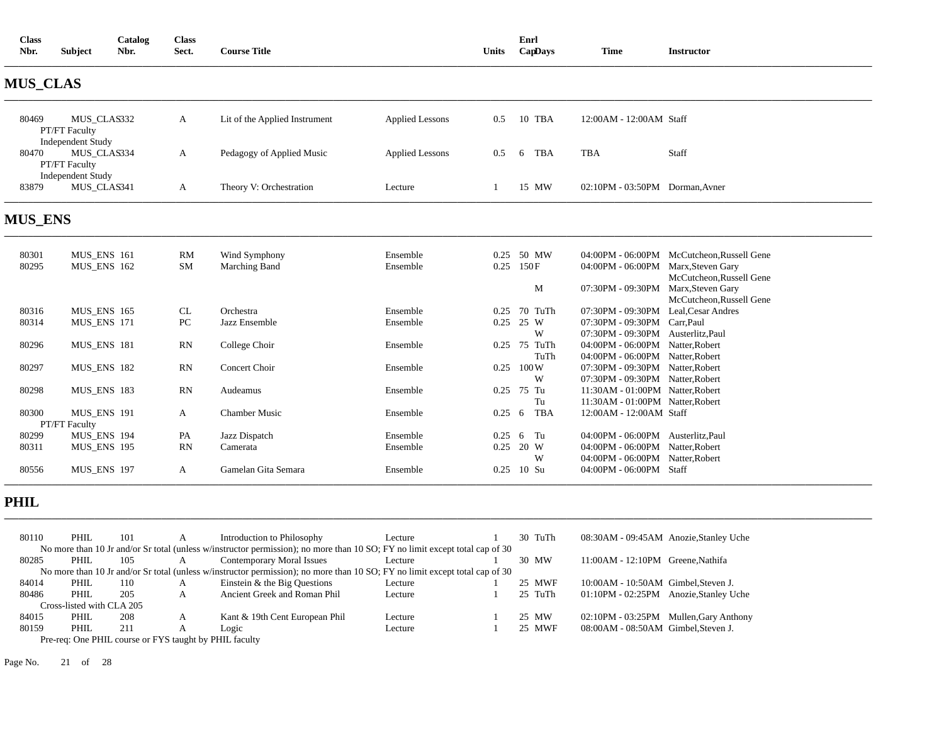| <b>Class</b><br>Nbr. | Subject                                                         | Catalog<br>Nbr. | Class<br>Sect. | <b>Course Title</b>           |                        | Units | Enrl<br>CapDays | <b>Time</b>                     | <b>Instructor</b> |
|----------------------|-----------------------------------------------------------------|-----------------|----------------|-------------------------------|------------------------|-------|-----------------|---------------------------------|-------------------|
| <b>MUS_CLAS</b>      |                                                                 |                 |                |                               |                        |       |                 |                                 |                   |
| 80469                | MUS_CLAS332<br><b>PT/FT Faculty</b>                             |                 | A              | Lit of the Applied Instrument | Applied Lessons        | 0.5   | 10 TBA          | 12:00AM - 12:00AM Staff         |                   |
| 80470                | <b>Independent Study</b><br>MUS CLAS334<br><b>PT/FT Faculty</b> |                 | $\mathbf{A}$   | Pedagogy of Applied Music     | <b>Applied Lessons</b> | 0.5   | TBA<br>-6       | <b>TBA</b>                      | Staff             |
| 83879                | <b>Independent Study</b><br>MUS CLAS341                         |                 | A              | Theory V: Orchestration       | Lecture                |       | 15 MW           | 02:10PM - 03:50PM Dorman, Avner |                   |

# **MUS\_ENS**

| 80301 | MUS_ENS 161        | RM        | Wind Symphony        | Ensemble | 0.25 | 50 MW           |                                      | 04:00PM - 06:00PM McCutcheon, Russell Gene |
|-------|--------------------|-----------|----------------------|----------|------|-----------------|--------------------------------------|--------------------------------------------|
| 80295 | MUS_ENS 162        | <b>SM</b> | Marching Band        | Ensemble | 0.25 | 150F            | 04:00PM - 06:00PM Marx, Steven Gary  |                                            |
|       |                    |           |                      |          |      |                 |                                      | McCutcheon, Russell Gene                   |
|       |                    |           |                      |          |      | М               | 07:30PM - 09:30PM                    | Marx, Steven Gary                          |
|       |                    |           |                      |          |      |                 |                                      | McCutcheon, Russell Gene                   |
| 80316 | <b>MUS ENS 165</b> | CL        | Orchestra            | Ensemble | 0.25 | 70 TuTh         | 07:30PM - 09:30PM Leal, Cesar Andres |                                            |
| 80314 | MUS ENS 171        | PC        | Jazz Ensemble        | Ensemble | 0.25 | 25 W            | 07:30PM - 09:30PM Carr.Paul          |                                            |
|       |                    |           |                      |          |      | W               | 07:30PM - 09:30PM Austerlitz, Paul   |                                            |
| 80296 | MUS ENS 181        | RN        | College Choir        | Ensemble | 0.25 | 75<br>TuTh      | 04:00PM - 06:00PM Natter, Robert     |                                            |
|       |                    |           |                      |          |      | TuTh            | 04:00PM - 06:00PM Natter, Robert     |                                            |
| 80297 | MUS ENS 182        | RN        | Concert Choir        | Ensemble | 0.25 | 100W            | 07:30PM - 09:30PM Natter.Robert      |                                            |
|       |                    |           |                      |          |      | W               | 07:30PM - 09:30PM Natter.Robert      |                                            |
| 80298 | MUS ENS 183        | RN        | Audeamus             | Ensemble | 0.25 | 75 Tu           | 11:30AM - 01:00PM Natter, Robert     |                                            |
|       |                    |           |                      |          |      | Tu              | 11:30AM - 01:00PM Natter.Robert      |                                            |
| 80300 | MUS_ENS 191        | A         | <b>Chamber Music</b> | Ensemble | 0.25 | <b>TBA</b><br>6 | 12:00AM - 12:00AM Staff              |                                            |
|       | PT/FT Faculty      |           |                      |          |      |                 |                                      |                                            |
| 80299 | MUS ENS 194        | PA        | Jazz Dispatch        | Ensemble | 0.25 | 6 Tu            | 04:00PM - 06:00PM Austerlitz, Paul   |                                            |
| 80311 | <b>MUS ENS 195</b> | RN        | Camerata             | Ensemble | 0.25 | 20 W            | 04:00PM - 06:00PM Natter, Robert     |                                            |
|       |                    |           |                      |          |      | W               | 04:00PM - 06:00PM Natter.Robert      |                                            |
| 80556 | <b>MUS ENS 197</b> | A         | Gamelan Gita Semara  | Ensemble | 0.25 | 10 Su           | $04:00$ PM - $06:00$ PM Staff        |                                            |
|       |                    |           |                      |          |      |                 |                                      |                                            |

**\_\_\_\_\_\_\_\_\_\_\_\_\_\_\_\_\_\_\_\_\_\_\_\_\_\_\_\_\_\_\_\_\_\_\_\_\_\_\_\_\_\_\_\_\_\_\_\_\_\_\_\_\_\_\_\_\_\_\_\_\_\_\_\_\_\_\_\_\_\_\_\_\_\_\_\_\_\_\_\_\_\_\_\_\_\_\_\_\_\_\_\_\_\_\_\_\_\_\_\_\_\_\_\_\_\_\_\_\_\_\_\_\_\_\_\_\_\_\_\_\_\_\_\_\_\_\_\_\_\_\_\_\_\_\_\_\_\_\_\_\_\_\_\_\_\_\_\_\_\_\_\_\_\_\_\_\_\_\_\_\_\_\_\_\_\_\_\_\_\_\_\_\_\_\_\_\_\_\_\_\_\_** 

# **PHIL**

| 80110 | PHIL.                     | 101 |   | Introduction to Philosophy                                                                                                  | Lecture | 30 TuTh | 08:30AM - 09:45AM Anozie, Stanley Uche |
|-------|---------------------------|-----|---|-----------------------------------------------------------------------------------------------------------------------------|---------|---------|----------------------------------------|
|       |                           |     |   | No more than 10 Jr and/or Sr total (unless w/instructor permission); no more than 10 SO; FY no limit except total cap of 30 |         |         |                                        |
| 80285 | PHIL                      | 105 | А | Contemporary Moral Issues                                                                                                   | Lecture | 30 MW   | 11:00AM - 12:10PM Greene.Nathifa       |
|       |                           |     |   | No more than 10 Jr and/or Sr total (unless w/instructor permission); no more than 10 SO; FY no limit except total cap of 30 |         |         |                                        |
| 84014 | PHIL                      | 110 | А | Einstein $&$ the Big Questions                                                                                              | Lecture | 25 MWF  | 10:00AM - 10:50AM Gimbel, Steven J.    |
| 80486 | PHIL                      | 205 | А | Ancient Greek and Roman Phil                                                                                                | Lecture | 25 TuTh | 01:10PM - 02:25PM Anozie, Stanley Uche |
|       | Cross-listed with CLA 205 |     |   |                                                                                                                             |         |         |                                        |
| 84015 | PHIL                      | 208 | A | Kant & 19th Cent European Phil                                                                                              | Lecture | 25 MW   | 02:10PM - 03:25PM Mullen, Gary Anthony |
| 80159 | PHIL                      | 211 |   | Logic                                                                                                                       | Lecture | 25 MWF  | 08:00AM - 08:50AM Gimbel, Steven J.    |
|       |                           |     |   | Pre-req: One PHIL course or FYS taught by PHIL faculty                                                                      |         |         |                                        |

Page No. 21 of 28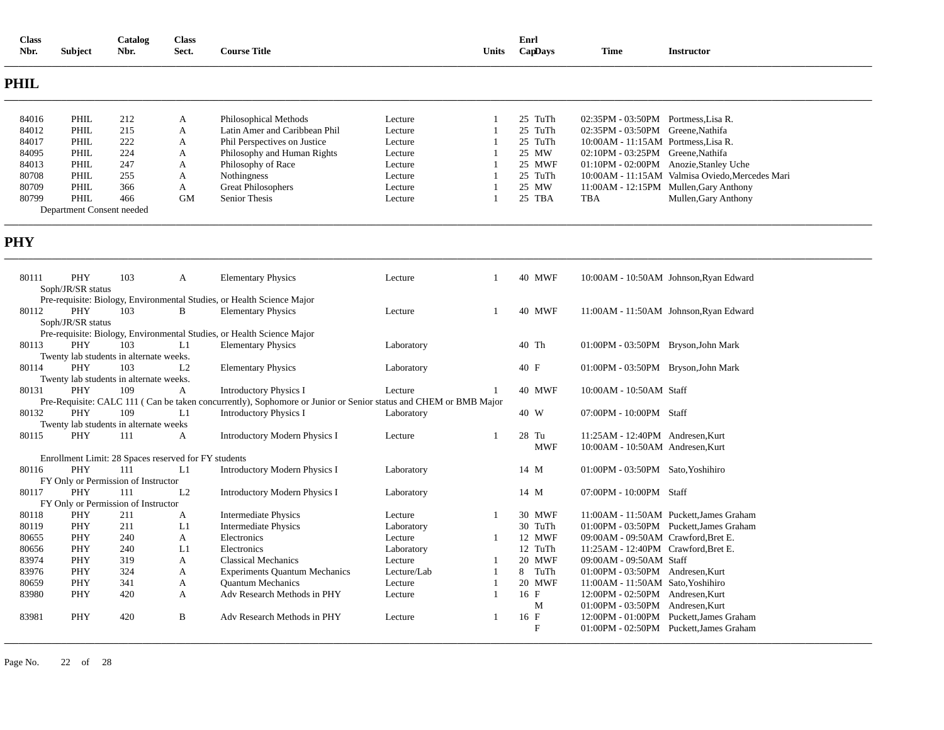| <b>Class</b><br>Nbr. | <b>Subject</b>                                       | Catalog<br>Nbr. | <b>Class</b><br>Sect. | <b>Course Title</b>                                                                                             |             | Units          | Enrl | CapDays      | <b>Time</b>                         | <b>Instructor</b>                               |
|----------------------|------------------------------------------------------|-----------------|-----------------------|-----------------------------------------------------------------------------------------------------------------|-------------|----------------|------|--------------|-------------------------------------|-------------------------------------------------|
| <b>PHIL</b>          |                                                      |                 |                       |                                                                                                                 |             |                |      |              |                                     |                                                 |
| 84016                | PHIL                                                 | 212             | A                     | Philosophical Methods                                                                                           | Lecture     |                |      | 25 TuTh      | 02:35PM - 03:50PM Portmess, Lisa R. |                                                 |
| 84012                | PHIL                                                 | 215             | A                     | Latin Amer and Caribbean Phil                                                                                   | Lecture     |                |      | 25 TuTh      | 02:35PM - 03:50PM Greene, Nathifa   |                                                 |
| 84017                | PHIL                                                 | 222             | A                     | Phil Perspectives on Justice                                                                                    | Lecture     |                |      | 25 TuTh      | 10:00AM - 11:15AM Portmess, Lisa R. |                                                 |
| 84095                | PHIL                                                 | 224             | A                     | Philosophy and Human Rights                                                                                     | Lecture     |                |      | 25 MW        | 02:10PM - 03:25PM Greene, Nathifa   |                                                 |
| 84013                | PHIL                                                 | 247             | A                     | Philosophy of Race                                                                                              | Lecture     |                |      | 25 MWF       |                                     | 01:10PM - 02:00PM Anozie, Stanley Uche          |
| 80708                | PHIL                                                 | 255             | A                     | Nothingness                                                                                                     | Lecture     |                |      | 25 TuTh      |                                     | 10:00AM - 11:15AM Valmisa Oviedo, Mercedes Mari |
| 80709                | PHIL                                                 | 366             | A                     | <b>Great Philosophers</b>                                                                                       | Lecture     |                |      | 25 MW        |                                     | 11:00AM - 12:15PM Mullen, Gary Anthony          |
| 80799                | PHIL                                                 | 466             | <b>GM</b>             | <b>Senior Thesis</b>                                                                                            | Lecture     |                |      | 25 TBA       | <b>TBA</b>                          | Mullen, Gary Anthony                            |
|                      | Department Consent needed                            |                 |                       |                                                                                                                 |             |                |      |              |                                     |                                                 |
| <b>PHY</b>           |                                                      |                 |                       |                                                                                                                 |             |                |      |              |                                     |                                                 |
| 80111                | PHY                                                  | 103             | A                     | <b>Elementary Physics</b>                                                                                       | Lecture     | $\overline{1}$ |      | 40 MWF       |                                     | 10:00AM - 10:50AM Johnson, Ryan Edward          |
|                      | Soph/JR/SR status                                    |                 |                       |                                                                                                                 |             |                |      |              |                                     |                                                 |
|                      |                                                      |                 |                       | Pre-requisite: Biology, Environmental Studies, or Health Science Major                                          |             |                |      |              |                                     |                                                 |
| 80112                | PHY                                                  | 103             | B                     | <b>Elementary Physics</b>                                                                                       | Lecture     | $\overline{1}$ |      | 40 MWF       |                                     | 11:00AM - 11:50AM Johnson, Ryan Edward          |
|                      | Soph/JR/SR status                                    |                 |                       |                                                                                                                 |             |                |      |              |                                     |                                                 |
|                      |                                                      |                 |                       | Pre-requisite: Biology, Environmental Studies, or Health Science Major                                          |             |                |      |              |                                     |                                                 |
| 80113                | PHY                                                  | 103             | L1                    | <b>Elementary Physics</b>                                                                                       | Laboratory  |                |      | 40 Th        | 01:00PM - 03:50PM Bryson, John Mark |                                                 |
|                      | Twenty lab students in alternate weeks.              |                 |                       |                                                                                                                 |             |                |      |              |                                     |                                                 |
| 80114                | PHY                                                  | 103             | L2                    | <b>Elementary Physics</b>                                                                                       | Laboratory  |                |      | 40 F         | 01:00PM - 03:50PM Bryson, John Mark |                                                 |
|                      | Twenty lab students in alternate weeks.              |                 |                       |                                                                                                                 |             |                |      |              |                                     |                                                 |
| 80131                | PHY                                                  | 109             | A                     | <b>Introductory Physics I</b>                                                                                   | Lecture     |                |      | 40 MWF       | 10:00AM - 10:50AM Staff             |                                                 |
|                      |                                                      |                 |                       | Pre-Requisite: CALC 111 (Can be taken concurrently), Sophomore or Junior or Senior status and CHEM or BMB Major |             |                |      |              |                                     |                                                 |
| 80132                | PHY                                                  | 109             | L1                    | <b>Introductory Physics I</b>                                                                                   | Laboratory  |                |      | 40 W         | 07:00PM - 10:00PM Staff             |                                                 |
| 80115                | Twenty lab students in alternate weeks<br>PHY        | 111             | $\overline{A}$        |                                                                                                                 | Lecture     | $\overline{1}$ |      | 28 Tu        | 11:25AM - 12:40PM Andresen, Kurt    |                                                 |
|                      |                                                      |                 |                       | <b>Introductory Modern Physics I</b>                                                                            |             |                |      | <b>MWF</b>   | 10:00AM - 10:50AM Andresen, Kurt    |                                                 |
|                      | Enrollment Limit: 28 Spaces reserved for FY students |                 |                       |                                                                                                                 |             |                |      |              |                                     |                                                 |
| 80116                | PHY                                                  | 111             | L1                    | <b>Introductory Modern Physics I</b>                                                                            | Laboratory  |                |      | 14 M         | 01:00PM - 03:50PM Sato, Yoshihiro   |                                                 |
|                      | FY Only or Permission of Instructor                  |                 |                       |                                                                                                                 |             |                |      |              |                                     |                                                 |
| 80117                | PHY                                                  | 111             | L2                    | <b>Introductory Modern Physics I</b>                                                                            | Laboratory  |                |      | 14 M         | 07:00PM - 10:00PM Staff             |                                                 |
|                      | FY Only or Permission of Instructor                  |                 |                       |                                                                                                                 |             |                |      |              |                                     |                                                 |
| 80118                | PHY                                                  | 211             | $\mathbf{A}$          | <b>Intermediate Physics</b>                                                                                     | Lecture     | $\overline{1}$ |      | 30 MWF       |                                     | 11:00AM - 11:50AM Puckett, James Graham         |
| 80119                | PHY                                                  | 211             | L1                    | <b>Intermediate Physics</b>                                                                                     | Laboratory  |                |      | 30 TuTh      |                                     | 01:00PM - 03:50PM Puckett, James Graham         |
| 80655                | PHY                                                  | 240             | A                     | Electronics                                                                                                     | Lecture     | -1             |      | 12 MWF       | 09:00AM - 09:50AM Crawford, Bret E. |                                                 |
| 80656                | PHY                                                  | 240             | L1                    | Electronics                                                                                                     | Laboratory  |                |      | 12 TuTh      | 11:25AM - 12:40PM Crawford, Bret E. |                                                 |
| 83974                | PHY                                                  | 319             | A                     | <b>Classical Mechanics</b>                                                                                      | Lecture     |                |      | 20 MWF       | 09:00AM - 09:50AM Staff             |                                                 |
| 83976                | PHY                                                  | 324             | A                     | <b>Experiments Quantum Mechanics</b>                                                                            | Lecture/Lab |                | 8    | TuTh         | 01:00PM - 03:50PM Andresen, Kurt    |                                                 |
| 80659                | PHY                                                  | 341             | A                     | <b>Ouantum Mechanics</b>                                                                                        | Lecture     |                |      | 20 MWF       | 11:00AM - 11:50AM Sato, Yoshihiro   |                                                 |
| 83980                | PHY                                                  | 420             | A                     | Adv Research Methods in PHY                                                                                     | Lecture     | $\mathbf{1}$   |      | 16 F         | 12:00PM - 02:50PM Andresen, Kurt    |                                                 |
|                      |                                                      |                 |                       |                                                                                                                 |             |                |      | M            | 01:00PM - 03:50PM Andresen, Kurt    |                                                 |
| 83981                | PHY                                                  | 420             | B                     | Adv Research Methods in PHY                                                                                     | Lecture     |                |      | 16 F         |                                     | 12:00PM - 01:00PM Puckett, James Graham         |
|                      |                                                      |                 |                       |                                                                                                                 |             |                |      | $\mathbf{F}$ |                                     | 01:00PM - 02:50PM Puckett, James Graham         |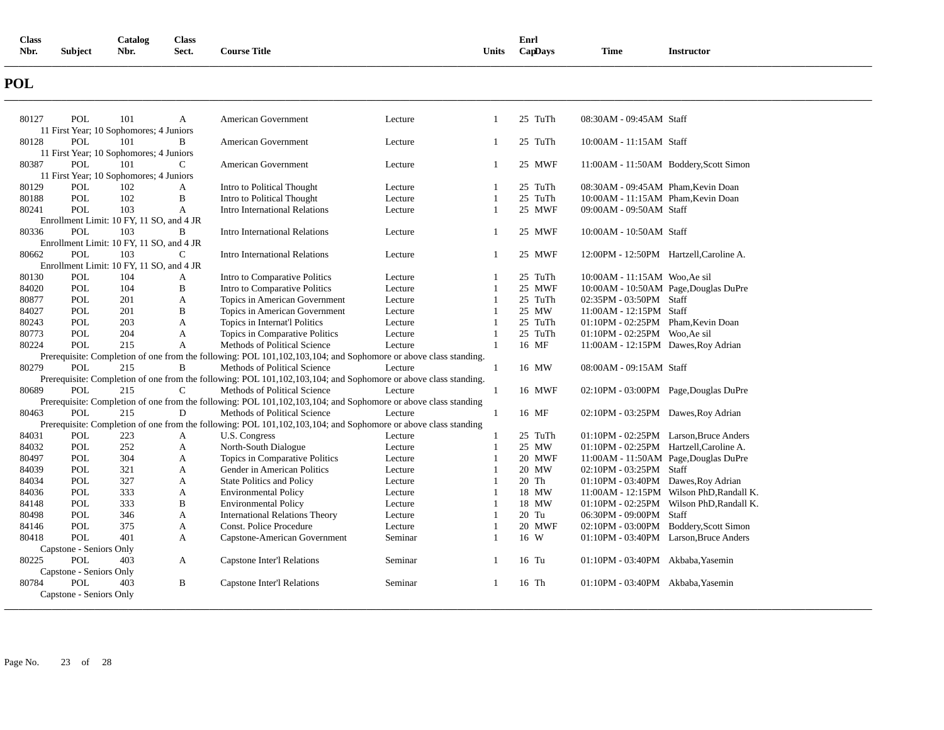| <b>Class</b> |                | Catalog | <b>Class</b> |                     |       | Enrl    |             |                 |
|--------------|----------------|---------|--------------|---------------------|-------|---------|-------------|-----------------|
| Nbr.         | <b>Subject</b> | Nbr.    | Sect.        | <b>Course Title</b> | Units | CapDays | <b>Time</b> | Instructor<br>. |
|              |                |         |              |                     |       |         |             |                 |

# **POL**

| 80127 | POL                     | 101                                      | A            | American Government                                                                                             | Lecture | -1             | 25 TuTh | 08:30AM - 09:45AM Staff                 |                                          |
|-------|-------------------------|------------------------------------------|--------------|-----------------------------------------------------------------------------------------------------------------|---------|----------------|---------|-----------------------------------------|------------------------------------------|
|       |                         | 11 First Year; 10 Sophomores; 4 Juniors  |              |                                                                                                                 |         |                |         |                                         |                                          |
| 80128 | POL                     | 101                                      | B            | American Government                                                                                             | Lecture | -1             | 25 TuTh | 10:00AM - 11:15AM Staff                 |                                          |
|       |                         | 11 First Year; 10 Sophomores; 4 Juniors  |              |                                                                                                                 |         |                |         |                                         |                                          |
| 80387 | POL                     | 101                                      | $\mathsf{C}$ | American Government                                                                                             | Lecture | $\overline{1}$ | 25 MWF  |                                         | 11:00AM - 11:50AM Boddery, Scott Simon   |
|       |                         | 11 First Year; 10 Sophomores; 4 Juniors  |              |                                                                                                                 |         |                |         |                                         |                                          |
| 80129 | <b>POL</b>              | 102                                      | A            | Intro to Political Thought                                                                                      | Lecture | $\overline{1}$ | 25 TuTh | 08:30AM - 09:45AM Pham, Kevin Doan      |                                          |
| 80188 | <b>POL</b>              | 102                                      | B            | Intro to Political Thought                                                                                      | Lecture | 1              | 25 TuTh | 10:00AM - 11:15AM Pham, Kevin Doan      |                                          |
| 80241 | <b>POL</b>              | 103                                      | $\mathbf{A}$ | Intro International Relations                                                                                   | Lecture | -1             | 25 MWF  | 09:00AM - 09:50AM Staff                 |                                          |
|       |                         | Enrollment Limit: 10 FY, 11 SO, and 4 JR |              |                                                                                                                 |         |                |         |                                         |                                          |
| 80336 | <b>POL</b>              | 103                                      | B            | <b>Intro International Relations</b>                                                                            | Lecture | $\mathbf{1}$   | 25 MWF  | 10:00AM - 10:50AM Staff                 |                                          |
|       |                         | Enrollment Limit: 10 FY, 11 SO, and 4 JR |              |                                                                                                                 |         |                |         |                                         |                                          |
| 80662 | <b>POL</b>              | 103                                      | C            | Intro International Relations                                                                                   | Lecture | -1             | 25 MWF  | 12:00PM - 12:50PM Hartzell, Caroline A. |                                          |
|       |                         | Enrollment Limit: 10 FY, 11 SO, and 4 JR |              |                                                                                                                 |         |                |         |                                         |                                          |
| 80130 | <b>POL</b>              | 104                                      | A            | Intro to Comparative Politics                                                                                   | Lecture | 1              | 25 TuTh | 10:00AM - 11:15AM Woo, Ae sil           |                                          |
| 84020 | <b>POL</b>              | 104                                      | B            | Intro to Comparative Politics                                                                                   | Lecture | 1              | 25 MWF  | 10:00AM - 10:50AM Page, Douglas DuPre   |                                          |
| 80877 | POL                     | 201                                      | A            | Topics in American Government                                                                                   | Lecture | -1             | 25 TuTh | 02:35PM - 03:50PM Staff                 |                                          |
| 84027 | POL                     | 201                                      | B            | Topics in American Government                                                                                   | Lecture | 1              | 25 MW   | 11:00AM - 12:15PM Staff                 |                                          |
| 80243 | <b>POL</b>              | 203                                      | $\mathbf{A}$ | Topics in Internat'l Politics                                                                                   | Lecture | -1             | 25 TuTh | 01:10PM - 02:25PM Pham.Kevin Doan       |                                          |
| 80773 | POL                     | 204                                      | A            | Topics in Comparative Politics                                                                                  | Lecture | $\overline{1}$ | 25 TuTh | 01:10PM - 02:25PM Woo, Ae sil           |                                          |
| 80224 | POL                     | 215                                      | A            | Methods of Political Science                                                                                    | Lecture | $\mathbf{1}$   | 16 MF   | 11:00AM - 12:15PM Dawes, Roy Adrian     |                                          |
|       |                         |                                          |              | Prerequisite: Completion of one from the following: POL 101,102,103,104; and Sophomore or above class standing. |         |                |         |                                         |                                          |
| 80279 | POL                     | 215                                      | B            | Methods of Political Science                                                                                    | Lecture | 1              | 16 MW   | 08:00AM - 09:15AM Staff                 |                                          |
|       |                         |                                          |              | Prerequisite: Completion of one from the following: POL 101,102,103,104; and Sophomore or above class standing. |         |                |         |                                         |                                          |
| 80689 | POL                     | 215                                      | C            | Methods of Political Science                                                                                    | Lecture | -1             | 16 MWF  | 02:10PM - 03:00PM Page,Douglas DuPre    |                                          |
|       |                         |                                          |              | Prerequisite: Completion of one from the following: POL 101,102,103,104; and Sophomore or above class standing  |         |                |         |                                         |                                          |
| 80463 | POL                     | 215                                      | D            | Methods of Political Science                                                                                    | Lecture | 1              | 16 MF   | 02:10PM - 03:25PM Dawes, Roy Adrian     |                                          |
|       |                         |                                          |              | Prerequisite: Completion of one from the following: POL 101,102,103,104; and Sophomore or above class standing  |         |                |         |                                         |                                          |
| 84031 | POL                     | 223                                      | A            | U.S. Congress                                                                                                   | Lecture | -1             | 25 TuTh | 01:10PM - 02:25PM Larson, Bruce Anders  |                                          |
| 84032 | POL                     | 252                                      | $\mathbf{A}$ | North-South Dialogue                                                                                            | Lecture | $\mathbf{1}$   | 25 MW   | 01:10PM - 02:25PM Hartzell, Caroline A. |                                          |
| 80497 | POL                     | 304                                      | A            | Topics in Comparative Politics                                                                                  | Lecture |                | 20 MWF  | 11:00AM - 11:50AM Page, Douglas DuPre   |                                          |
| 84039 | POL                     | 321                                      | А            | Gender in American Politics                                                                                     | Lecture | 1              | 20 MW   | 02:10PM - 03:25PM Staff                 |                                          |
| 84034 | POL                     | 327                                      | A            | <b>State Politics and Policy</b>                                                                                | Lecture | 1              | 20 Th   | 01:10PM - 03:40PM Dawes, Roy Adrian     |                                          |
| 84036 | POL                     | 333                                      | A            | <b>Environmental Policy</b>                                                                                     | Lecture | $\overline{1}$ | 18 MW   |                                         | 11:00AM - 12:15PM Wilson PhD, Randall K. |
| 84148 | POL                     | 333                                      | B            | <b>Environmental Policy</b>                                                                                     | Lecture | 1              | 18 MW   |                                         | 01:10PM - 02:25PM Wilson PhD, Randall K. |
| 80498 | POL                     | 346                                      | $\mathbf{A}$ | <b>International Relations Theory</b>                                                                           | Lecture | 1              | 20 Tu   | 06:30PM - 09:00PM Staff                 |                                          |
| 84146 | POL                     | 375                                      | A            | Const. Police Procedure                                                                                         | Lecture | -1             | 20 MWF  |                                         | 02:10PM - 03:00PM Boddery, Scott Simon   |
| 80418 | POL                     | 401                                      | А            | Capstone-American Government                                                                                    | Seminar | -1             | 16 W    | 01:10PM - 03:40PM Larson, Bruce Anders  |                                          |
|       | Capstone - Seniors Only |                                          |              |                                                                                                                 |         |                |         |                                         |                                          |
| 80225 | POL                     | 403                                      | A            | Capstone Inter'l Relations                                                                                      | Seminar | -1             | 16 Tu   | 01:10PM - 03:40PM Akbaba, Yasemin       |                                          |
|       | Capstone - Seniors Only |                                          |              |                                                                                                                 |         |                |         |                                         |                                          |
| 80784 | POL                     | 403                                      | B            | <b>Capstone Inter'l Relations</b>                                                                               | Seminar | -1             | 16 Th   | 01:10PM - 03:40PM Akbaba, Yasemin       |                                          |
|       | Capstone - Seniors Only |                                          |              |                                                                                                                 |         |                |         |                                         |                                          |

**\_\_\_\_\_\_\_\_\_\_\_\_\_\_\_\_\_\_\_\_\_\_\_\_\_\_\_\_\_\_\_\_\_\_\_\_\_\_\_\_\_\_\_\_\_\_\_\_\_\_\_\_\_\_\_\_\_\_\_\_\_\_\_\_\_\_\_\_\_\_\_\_\_\_\_\_\_\_\_\_\_\_\_\_\_\_\_\_\_\_\_\_\_\_\_\_\_\_\_\_\_\_\_\_\_\_\_\_\_\_\_\_\_\_\_\_\_\_\_\_\_\_\_\_\_\_\_\_\_\_\_\_\_\_\_\_\_\_\_\_\_\_\_\_\_\_\_\_\_\_\_\_\_\_\_\_\_\_\_\_\_\_\_\_\_\_\_\_\_\_\_\_\_\_\_\_\_\_\_\_\_\_**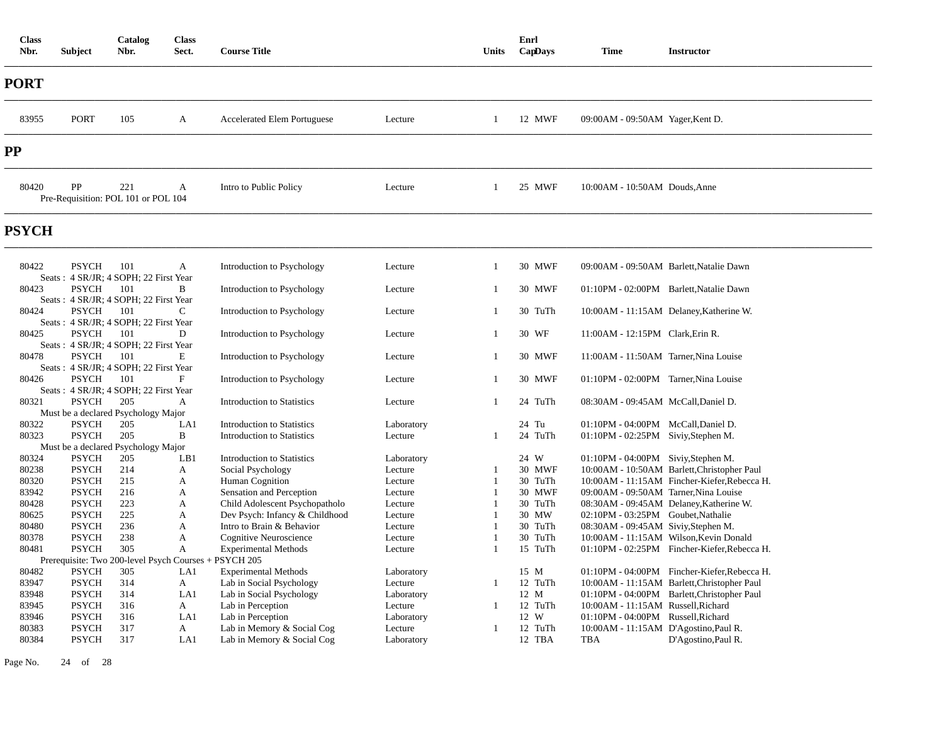| <b>Class</b><br>Nbr. | <b>Subject</b>               | Catalog<br>Nbr.                              | <b>Class</b><br>Sect. | <b>Course Title</b>                                 |                    | Units             | Enrl<br>CapDays    | <b>Time</b>                             | <b>Instructor</b>                            |
|----------------------|------------------------------|----------------------------------------------|-----------------------|-----------------------------------------------------|--------------------|-------------------|--------------------|-----------------------------------------|----------------------------------------------|
| PORT                 |                              |                                              |                       |                                                     |                    |                   |                    |                                         |                                              |
| 83955                | <b>PORT</b>                  | 105                                          | A                     | <b>Accelerated Elem Portuguese</b>                  | Lecture            | 1                 | 12 MWF             | 09:00AM - 09:50AM Yager, Kent D.        |                                              |
| PP                   |                              |                                              |                       |                                                     |                    |                   |                    |                                         |                                              |
| 80420                | PP                           | 221<br>Pre-Requisition: POL 101 or POL 104   | A                     | Intro to Public Policy                              | Lecture            | 1                 | 25 MWF             | 10:00AM - 10:50AM Douds, Anne           |                                              |
| <b>PSYCH</b>         |                              |                                              |                       |                                                     |                    |                   |                    |                                         |                                              |
| 80422                | <b>PSYCH</b>                 | 101<br>Seats: 4 SR/JR: 4 SOPH: 22 First Year | A                     | Introduction to Psychology                          | Lecture            | 1                 | 30 MWF             | 09:00AM - 09:50AM Barlett, Natalie Dawn |                                              |
| 80423                | <b>PSYCH</b>                 | 101<br>Seats: 4 SR/JR; 4 SOPH; 22 First Year | B                     | Introduction to Psychology                          | Lecture            | 1                 | 30 MWF             | 01:10PM - 02:00PM Barlett, Natalie Dawn |                                              |
| 80424                | <b>PSYCH</b>                 | 101<br>Seats: 4 SR/JR; 4 SOPH; 22 First Year | C                     | Introduction to Psychology                          | Lecture            | 1                 | 30 TuTh            |                                         | 10:00AM - 11:15AM Delaney, Katherine W.      |
| 80425                | <b>PSYCH</b>                 | 101<br>Seats: 4 SR/JR; 4 SOPH; 22 First Year | D                     | Introduction to Psychology                          | Lecture            | 1                 | 30 WF              | 11:00AM - 12:15PM Clark, Erin R.        |                                              |
| 80478                | <b>PSYCH</b>                 | 101<br>Seats: 4 SR/JR; 4 SOPH; 22 First Year | E                     | Introduction to Psychology                          | Lecture            | -1                | 30 MWF             | 11:00AM - 11:50AM Tarner, Nina Louise   |                                              |
| 80426                | <b>PSYCH</b>                 | 101<br>Seats: 4 SR/JR; 4 SOPH; 22 First Year | F                     | Introduction to Psychology                          | Lecture            | 1                 | 30 MWF             | 01:10PM - 02:00PM Tarner, Nina Louise   |                                              |
| 80321                | <b>PSYCH</b>                 | 205                                          | $\mathbf{A}$          | <b>Introduction to Statistics</b>                   | Lecture            | 1                 | 24 TuTh            | 08:30AM - 09:45AM McCall, Daniel D.     |                                              |
| 80322                | <b>PSYCH</b>                 | Must be a declared Psychology Major<br>205   | LA1                   | <b>Introduction to Statistics</b>                   | Laboratory         |                   | 24 Tu              | 01:10PM - 04:00PM McCall, Daniel D.     |                                              |
| 80323                | <b>PSYCH</b>                 | 205                                          | B                     | <b>Introduction to Statistics</b>                   | Lecture            | -1                | 24 TuTh            | 01:10PM - 02:25PM Siviy, Stephen M.     |                                              |
|                      |                              | Must be a declared Psychology Major          |                       |                                                     |                    |                   |                    |                                         |                                              |
| 80324                | <b>PSYCH</b>                 | 205                                          | LB1                   | <b>Introduction to Statistics</b>                   | Laboratory         |                   | 24 W               | 01:10PM - 04:00PM Siviy, Stephen M.     |                                              |
| 80238                | <b>PSYCH</b>                 | 214                                          | A                     | Social Psychology                                   | Lecture            |                   | 30 MWF             |                                         | 10:00AM - 10:50AM Barlett, Christopher Paul  |
| 80320                | <b>PSYCH</b>                 | 215                                          | A                     | Human Cognition                                     | Lecture            | $\overline{1}$    | 30 TuTh            |                                         | 10:00AM - 11:15AM Fincher-Kiefer, Rebecca H. |
| 83942                | <b>PSYCH</b>                 | 216                                          | $\mathbf{A}$          | Sensation and Perception                            | Lecture            | $\overline{1}$    | 30 MWF             | 09:00AM - 09:50AM Tarner, Nina Louise   |                                              |
| 80428                | <b>PSYCH</b>                 | 223                                          | A                     | Child Adolescent Psychopatholo                      | Lecture            | $\overline{1}$    | 30 TuTh            |                                         | 08:30AM - 09:45AM Delaney, Katherine W.      |
| 80625                | <b>PSYCH</b>                 | 225                                          | A                     | Dev Psych: Infancy & Childhood                      | Lecture            | 1<br>$\mathbf{1}$ | 30 MW              | 02:10PM - 03:25PM Goubet, Nathalie      |                                              |
| 80480<br>80378       | <b>PSYCH</b><br><b>PSYCH</b> | 236<br>238                                   | A<br>A                | Intro to Brain & Behavior<br>Cognitive Neuroscience | Lecture<br>Lecture | $\overline{1}$    | 30 TuTh<br>30 TuTh | 08:30AM - 09:45AM Siviy, Stephen M.     | 10:00AM - 11:15AM Wilson, Kevin Donald       |
| 80481                | <b>PSYCH</b>                 | 305                                          | $\mathbf{A}$          | <b>Experimental Methods</b>                         | Lecture            | $\overline{1}$    | 15 TuTh            |                                         | 01:10PM - 02:25PM Fincher-Kiefer, Rebecca H. |
|                      |                              | Prerequisite: Two 200-level Psych Courses +  |                       | PSYCH 205                                           |                    |                   |                    |                                         |                                              |
| 80482                | <b>PSYCH</b>                 | 305                                          | LA1                   | <b>Experimental Methods</b>                         | Laboratory         |                   | 15 M               |                                         | 01:10PM - 04:00PM Fincher-Kiefer, Rebecca H. |
| 83947                | <b>PSYCH</b>                 | 314                                          | $\mathbf{A}$          | Lab in Social Psychology                            | Lecture            | $\overline{1}$    | 12 TuTh            |                                         | 10:00AM - 11:15AM Barlett, Christopher Paul  |
| 83948                | <b>PSYCH</b>                 | 314                                          | LA1                   | Lab in Social Psychology                            | Laboratory         |                   | 12 M               |                                         | 01:10PM - 04:00PM Barlett, Christopher Paul  |
| 83945                | <b>PSYCH</b>                 | 316                                          | A                     | Lab in Perception                                   | Lecture            | -1                | 12 TuTh            | 10:00AM - 11:15AM Russell, Richard      |                                              |
| 83946                | <b>PSYCH</b>                 | 316                                          | LA1                   | Lab in Perception                                   | Laboratory         |                   | 12 W               | 01:10PM - 04:00PM Russell, Richard      |                                              |
| 80383                | <b>PSYCH</b>                 | 317                                          | A                     | Lab in Memory & Social Cog                          | Lecture            | -1                | 12 TuTh            | 10:00AM - 11:15AM D'Agostino, Paul R.   |                                              |
| 80384                | <b>PSYCH</b>                 | 317                                          | LA1                   | Lab in Memory & Social Cog                          | Laboratory         |                   | 12 TBA             | TBA                                     | D'Agostino, Paul R.                          |

Page No. 24 of 28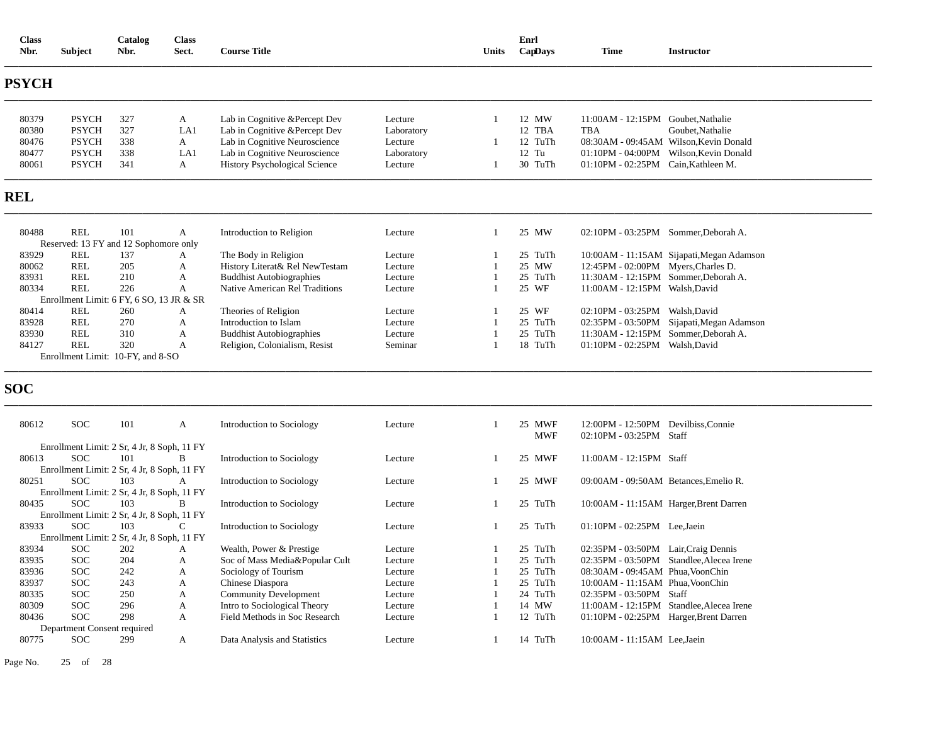| <b>Class</b><br>Nbr. | <b>Subject</b>                                      | Catalog<br>Nbr. | <b>Class</b><br>Sect. | <b>Course Title</b>                  |            | Units          | Enrl<br>CapDays      | <b>Time</b>                                                    | <b>Instructor</b>                         |
|----------------------|-----------------------------------------------------|-----------------|-----------------------|--------------------------------------|------------|----------------|----------------------|----------------------------------------------------------------|-------------------------------------------|
| PSYCH                |                                                     |                 |                       |                                      |            |                |                      |                                                                |                                           |
| 80379                | <b>PSYCH</b>                                        | 327             | $\mathbf{A}$          | Lab in Cognitive &Percept Dev        | Lecture    | $\mathbf{1}$   | 12 MW                | 11:00AM - 12:15PM Goubet, Nathalie                             |                                           |
| 80380                | <b>PSYCH</b>                                        | 327             | LA1                   | Lab in Cognitive & Percept Dev       | Laboratory |                | 12 TBA               | TBA                                                            | Goubet, Nathalie                          |
| 80476                | <b>PSYCH</b>                                        | 338             | A                     | Lab in Cognitive Neuroscience        | Lecture    |                | 12 TuTh              |                                                                | 08:30AM - 09:45AM Wilson, Kevin Donald    |
| 80477                | <b>PSYCH</b>                                        | 338             | LA1                   | Lab in Cognitive Neuroscience        | Laboratory |                | $12$ Tu              |                                                                | 01:10PM - 04:00PM Wilson, Kevin Donald    |
| 80061                | <b>PSYCH</b>                                        | 341             | $\mathbf{A}$          | <b>History Psychological Science</b> | Lecture    | -1             | 30 TuTh              | 01:10PM - 02:25PM Cain, Kathleen M.                            |                                           |
| <b>REL</b>           |                                                     |                 |                       |                                      |            |                |                      |                                                                |                                           |
| 80488                | <b>REL</b><br>Reserved: 13 FY and 12 Sophomore only | 101             | A                     | Introduction to Religion             | Lecture    | 1              | 25 MW                | 02:10PM - 03:25PM Sommer, Deborah A.                           |                                           |
| 83929                | <b>REL</b>                                          | 137             | A                     | The Body in Religion                 | Lecture    | 1              | 25 TuTh              |                                                                | 10:00AM - 11:15AM Sijapati, Megan Adamson |
| 80062                | <b>REL</b>                                          | 205             | A                     | History Literat& Rel NewTestam       | Lecture    | $\overline{1}$ | 25 MW                | 12:45PM - 02:00PM Myers, Charles D.                            |                                           |
| 83931                | <b>REL</b>                                          | 210             | A                     | <b>Buddhist Autobiographies</b>      | Lecture    | $\mathbf{1}$   | 25 TuTh              | 11:30AM - 12:15PM Sommer, Deborah A.                           |                                           |
| 80334                | <b>REL</b>                                          | 226             | A                     | Native American Rel Traditions       | Lecture    | $\overline{1}$ | 25 WF                | 11:00AM - 12:15PM Walsh, David                                 |                                           |
|                      | Enrollment Limit: 6 FY, 6 SO, 13 JR & SR            |                 |                       |                                      |            |                |                      |                                                                |                                           |
| 80414                | <b>REL</b>                                          | 260             | A                     | Theories of Religion                 | Lecture    | -1             | 25 WF                | 02:10PM - 03:25PM Walsh, David                                 |                                           |
| 83928                | <b>REL</b>                                          | 270             | A                     | Introduction to Islam                | Lecture    | $\overline{1}$ | 25 TuTh              |                                                                | 02:35PM - 03:50PM Sijapati, Megan Adamson |
| 83930                | <b>REL</b>                                          | 310             | A                     | <b>Buddhist Autobiographies</b>      | Lecture    | $\overline{1}$ | 25 TuTh              | 11:30AM - 12:15PM Sommer, Deborah A.                           |                                           |
| 84127                | <b>REL</b>                                          | 320             | A                     | Religion, Colonialism, Resist        | Seminar    | $\overline{1}$ | 18 TuTh              | 01:10PM - 02:25PM Walsh, David                                 |                                           |
|                      | Enrollment Limit: 10-FY, and 8-SO                   |                 |                       |                                      |            |                |                      |                                                                |                                           |
|                      |                                                     |                 |                       |                                      |            |                |                      |                                                                |                                           |
| SOC                  |                                                     |                 |                       |                                      |            |                |                      |                                                                |                                           |
| 80612                | <b>SOC</b>                                          | 101             | A                     | Introduction to Sociology            | Lecture    | 1              | 25 MWF<br><b>MWF</b> | 12:00PM - 12:50PM Devilbiss, Connie<br>02:10PM - 03:25PM Staff |                                           |
|                      | Enrollment Limit: 2 Sr, 4 Jr, 8 Soph, 11 FY         |                 |                       |                                      |            |                |                      |                                                                |                                           |
| 80613                | <b>SOC</b>                                          | 101             | B                     | Introduction to Sociology            | Lecture    |                | 25 MWF               | 11:00AM - 12:15PM Staff                                        |                                           |
|                      | Enrollment Limit: 2 Sr, 4 Jr, 8 Soph, 11 FY<br>SOC  | 103             |                       |                                      |            | 1              | 25 MWF               |                                                                |                                           |
| 80251                | Enrollment Limit: 2 Sr, 4 Jr, 8 Soph, 11 FY         |                 | A                     | Introduction to Sociology            | Lecture    |                |                      | 09:00AM - 09:50AM Betances, Emelio R.                          |                                           |
| 80435                | <b>SOC</b>                                          | 103             | B                     | Introduction to Sociology            | Lecture    | 1              | 25 TuTh              |                                                                | 10:00AM - 11:15AM Harger, Brent Darren    |
|                      | Enrollment Limit: 2 Sr, 4 Jr, 8 Soph, 11 FY         |                 |                       |                                      |            |                |                      |                                                                |                                           |
| 83933                | <b>SOC</b>                                          | 103             | C                     | Introduction to Sociology            | Lecture    | $\overline{1}$ | 25 TuTh              | 01:10PM - 02:25PM Lee, Jaein                                   |                                           |
|                      | Enrollment Limit: 2 Sr, 4 Jr, 8 Soph, 11 FY         |                 |                       |                                      |            |                |                      |                                                                |                                           |
| 83934                | <b>SOC</b>                                          | 202             | A                     | Wealth, Power & Prestige             | Lecture    | $\overline{1}$ | 25 TuTh              | 02:35PM - 03:50PM Lair, Craig Dennis                           |                                           |
| 83935                | <b>SOC</b>                                          | 204             | A                     | Soc of Mass Media&Popular Cult       | Lecture    | $\overline{1}$ | 25 TuTh              |                                                                | 02:35PM - 03:50PM Standlee, Alecea Irene  |
| 83936                | <b>SOC</b>                                          | 242             | A                     | Sociology of Tourism                 | Lecture    | $\overline{1}$ | 25 TuTh              | 08:30AM - 09:45AM Phua, VoonChin                               |                                           |
| 83937                | <b>SOC</b>                                          | 243             | A                     | Chinese Diaspora                     | Lecture    | $\overline{1}$ | 25 TuTh              | 10:00AM - 11:15AM Phua, VoonChin                               |                                           |
| 80335                | <b>SOC</b>                                          | 250             | $\mathbf{A}$          | <b>Community Development</b>         | Lecture    | $\overline{1}$ | 24 TuTh              | 02:35PM - 03:50PM Staff                                        |                                           |
| 80309                | <b>SOC</b>                                          | 296             | A                     | Intro to Sociological Theory         | Lecture    |                | 14 MW                |                                                                | 11:00AM - 12:15PM Standlee, Alecea Irene  |
| 80436                | <b>SOC</b>                                          | 298             | A                     | Field Methods in Soc Research        | Lecture    | -1             | 12 TuTh              | 01:10PM - 02:25PM Harger, Brent Darren                         |                                           |
|                      | Department Consent required                         |                 |                       |                                      |            |                |                      |                                                                |                                           |
| 80775                | <b>SOC</b>                                          | 299             | A                     | Data Analysis and Statistics         | Lecture    | -1             | 14 TuTh              | 10:00AM - 11:15AM Lee, Jaein                                   |                                           |

Page No. 25 of 28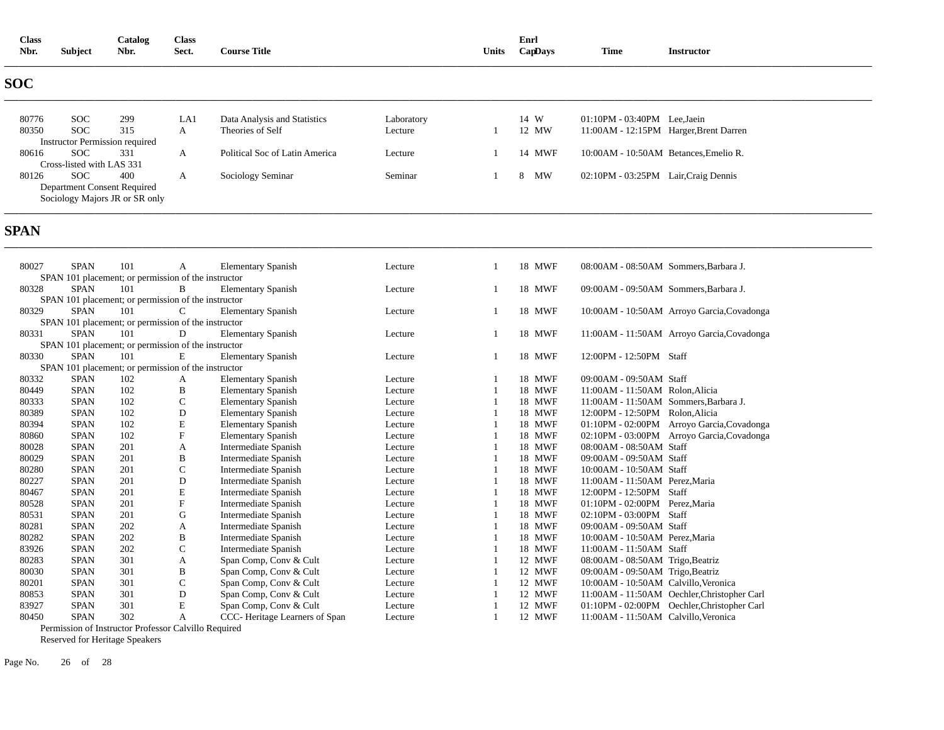| <b>Class</b><br>Nbr. | Subject                   | Catalog<br>Nbr.                       | Class<br>Sect. | <b>Course Title</b>            |            | Units | Enrl<br>CapDays | <b>Time</b>                            | <b>Instructor</b> |
|----------------------|---------------------------|---------------------------------------|----------------|--------------------------------|------------|-------|-----------------|----------------------------------------|-------------------|
| <b>SOC</b>           |                           |                                       |                |                                |            |       |                 |                                        |                   |
| 80776                | <b>SOC</b>                | 299                                   | LA1            | Data Analysis and Statistics   | Laboratory |       | 14 W            | $01:10PM - 03:40PM$ Lee, Jaein         |                   |
| 80350                | <b>SOC</b>                | 315                                   | A              | Theories of Self               | Lecture    |       | 12 MW           | 11:00AM - 12:15PM Harger, Brent Darren |                   |
|                      |                           | <b>Instructor Permission required</b> |                |                                |            |       |                 |                                        |                   |
| 80616                | <b>SOC</b>                | 331                                   | A              | Political Soc of Latin America | Lecture    |       | 14 MWF          | 10:00AM - 10:50AM Betances, Emelio R.  |                   |
|                      | Cross-listed with LAS 331 |                                       |                |                                |            |       |                 |                                        |                   |
| 80126                | <b>SOC</b>                | 400                                   | A              | Sociology Seminar              | Seminar    |       | MW<br>8         | 02:10PM - 03:25PM Lair, Craig Dennis   |                   |
|                      |                           | Department Consent Required           |                |                                |            |       |                 |                                        |                   |
|                      |                           | Sociology Majors JR or SR only        |                |                                |            |       |                 |                                        |                   |
|                      |                           |                                       |                |                                |            |       |                 |                                        |                   |

# **SPAN**

| 80027 | <b>SPAN</b> | 101 | A                                                    | <b>Elementary Spanish</b>     | Lecture | 18 MWF        | 08:00AM - 08:50AM Sommers, Barbara J.       |
|-------|-------------|-----|------------------------------------------------------|-------------------------------|---------|---------------|---------------------------------------------|
|       |             |     | SPAN 101 placement; or permission of the instructor  |                               |         |               |                                             |
| 80328 | <b>SPAN</b> | 101 | B                                                    | <b>Elementary Spanish</b>     | Lecture | 18 MWF        | 09:00AM - 09:50AM Sommers, Barbara J.       |
|       |             |     | SPAN 101 placement; or permission of the instructor  |                               |         |               |                                             |
| 80329 | <b>SPAN</b> | 101 | $\mathsf{C}$                                         | <b>Elementary Spanish</b>     | Lecture | 18 MWF        | 10:00AM - 10:50AM Arroyo Garcia, Covadonga  |
|       |             |     | SPAN 101 placement; or permission of the instructor  |                               |         |               |                                             |
| 80331 | <b>SPAN</b> | 101 | D                                                    | <b>Elementary Spanish</b>     | Lecture | 18 MWF        | 11:00AM - 11:50AM Arroyo Garcia, Covadonga  |
|       |             |     | SPAN 101 placement; or permission of the instructor  |                               |         |               |                                             |
| 80330 | <b>SPAN</b> | 101 | E                                                    | <b>Elementary Spanish</b>     | Lecture | 18 MWF        | 12:00PM - 12:50PM Staff                     |
|       |             |     | SPAN 101 placement; or permission of the instructor  |                               |         |               |                                             |
| 80332 | <b>SPAN</b> | 102 | A                                                    | <b>Elementary Spanish</b>     | Lecture | 18 MWF        | 09:00AM - 09:50AM Staff                     |
| 80449 | <b>SPAN</b> | 102 | B                                                    | <b>Elementary Spanish</b>     | Lecture | 18 MWF        | 11:00AM - 11:50AM Rolon.Alicia              |
| 80333 | <b>SPAN</b> | 102 | $\mathsf{C}$                                         | <b>Elementary Spanish</b>     | Lecture | 18 MWF        | 11:00AM - 11:50AM Sommers, Barbara J.       |
| 80389 | <b>SPAN</b> | 102 | D                                                    | <b>Elementary Spanish</b>     | Lecture | 18 MWF        | 12:00PM - 12:50PM Rolon, Alicia             |
| 80394 | <b>SPAN</b> | 102 | E                                                    | <b>Elementary Spanish</b>     | Lecture | 18 MWF        | 01:10PM - 02:00PM Arroyo Garcia, Covadonga  |
| 80860 | <b>SPAN</b> | 102 | F                                                    | <b>Elementary Spanish</b>     | Lecture | 18 MWF        | 02:10PM - 03:00PM Arroyo Garcia, Covadonga  |
| 80028 | <b>SPAN</b> | 201 | A                                                    | Intermediate Spanish          | Lecture | 18 MWF        | 08:00AM - 08:50AM Staff                     |
| 80029 | <b>SPAN</b> | 201 | B                                                    | Intermediate Spanish          | Lecture | 18 MWF        | 09:00AM - 09:50AM Staff                     |
| 80280 | <b>SPAN</b> | 201 | $\mathsf{C}$                                         | Intermediate Spanish          | Lecture | 18 MWF        | 10:00AM - 10:50AM Staff                     |
| 80227 | <b>SPAN</b> | 201 | D                                                    | Intermediate Spanish          | Lecture | 18 MWF        | 11:00AM - 11:50AM Perez.Maria               |
| 80467 | <b>SPAN</b> | 201 | E                                                    | Intermediate Spanish          | Lecture | 18 MWF        | 12:00PM - 12:50PM Staff                     |
| 80528 | <b>SPAN</b> | 201 | ${\bf F}$                                            | Intermediate Spanish          | Lecture | 18 MWF        | 01:10PM - 02:00PM Perez, Maria              |
| 80531 | <b>SPAN</b> | 201 | G                                                    | Intermediate Spanish          | Lecture | 18 MWF        | 02:10PM - 03:00PM Staff                     |
| 80281 | <b>SPAN</b> | 202 | A                                                    | Intermediate Spanish          | Lecture | 18 MWF        | 09:00AM - 09:50AM Staff                     |
| 80282 | <b>SPAN</b> | 202 | B                                                    | Intermediate Spanish          | Lecture | <b>18 MWF</b> | 10:00AM - 10:50AM Perez, Maria              |
| 83926 | <b>SPAN</b> | 202 | $\mathsf{C}$                                         | Intermediate Spanish          | Lecture | 18 MWF        | 11:00AM - 11:50AM Staff                     |
| 80283 | <b>SPAN</b> | 301 | A                                                    | Span Comp, Conv & Cult        | Lecture | 12 MWF        | 08:00AM - 08:50AM Trigo, Beatriz            |
| 80030 | <b>SPAN</b> | 301 | B                                                    | Span Comp, Conv & Cult        | Lecture | 12 MWF        | 09:00AM - 09:50AM Trigo, Beatriz            |
| 80201 | <b>SPAN</b> | 301 | $\mathsf{C}$                                         | Span Comp, Conv & Cult        | Lecture | 12 MWF        | 10:00AM - 10:50AM Calvillo, Veronica        |
| 80853 | <b>SPAN</b> | 301 | D                                                    | Span Comp, Conv & Cult        | Lecture | 12 MWF        | 11:00AM - 11:50AM Oechler, Christopher Carl |
| 83927 | <b>SPAN</b> | 301 | E                                                    | Span Comp, Conv & Cult        | Lecture | 12 MWF        | 01:10PM - 02:00PM Oechler, Christopher Carl |
| 80450 | <b>SPAN</b> | 302 | A                                                    | CCC-Heritage Learners of Span | Lecture | 12 MWF        | 11:00AM - 11:50AM Calvillo, Veronica        |
|       |             |     | Permission of Instructor Professor Calvillo Required |                               |         |               |                                             |

Reserved for Heritage Speakers

Page No. 26 of 28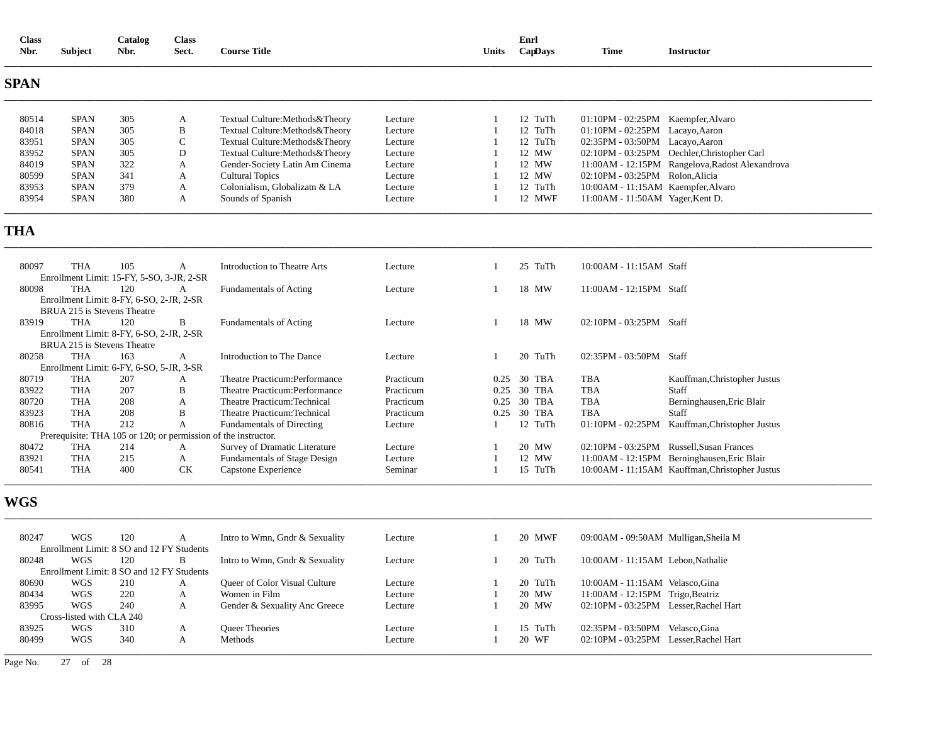| <b>Class</b><br>Nbr. | <b>Subject</b>              | Catalog<br>Nbr.                                  | <b>Class</b><br>Sect. | <b>Course Title</b>                                            |           | <b>Units</b> | Enrl<br>CapDays | <b>Time</b>                        | <b>Instructor</b>                               |
|----------------------|-----------------------------|--------------------------------------------------|-----------------------|----------------------------------------------------------------|-----------|--------------|-----------------|------------------------------------|-------------------------------------------------|
| SPAN                 |                             |                                                  |                       |                                                                |           |              |                 |                                    |                                                 |
| 80514                | <b>SPAN</b>                 | 305                                              | A                     | Textual Culture: Methods & Theory                              | Lecture   |              | 12 TuTh         | 01:10PM - 02:25PM Kaempfer, Alvaro |                                                 |
| 84018                | <b>SPAN</b>                 | 305                                              | B                     | Textual Culture: Methods & Theory                              | Lecture   |              | 12 TuTh         | 01:10PM - 02:25PM Lacayo, Aaron    |                                                 |
| 83951                | <b>SPAN</b>                 | 305                                              | $\mathsf{C}$          | Textual Culture: Methods & Theory                              | Lecture   |              | 12 TuTh         | 02:35PM - 03:50PM Lacayo, Aaron    |                                                 |
| 83952                | <b>SPAN</b>                 | 305                                              | D                     | Textual Culture: Methods & Theory                              | Lecture   |              | 12 MW           |                                    | 02:10PM - 03:25PM Oechler, Christopher Carl     |
| 84019                | <b>SPAN</b>                 | 322                                              | A                     | Gender-Society Latin Am Cinema                                 | Lecture   |              | 12 MW           |                                    | 11:00AM - 12:15PM Rangelova, Radost Alexandrova |
| 80599                | <b>SPAN</b>                 | 341                                              | A                     | <b>Cultural Topics</b>                                         | Lecture   |              | 12 MW           | 02:10PM - 03:25PM Rolon, Alicia    |                                                 |
| 83953                | <b>SPAN</b>                 | 379                                              | A                     | Colonialism, Globalizatn & LA                                  | Lecture   |              | 12 TuTh         | 10:00AM - 11:15AM Kaempfer, Alvaro |                                                 |
| 83954                | <b>SPAN</b>                 | 380                                              | A                     | Sounds of Spanish                                              | Lecture   |              | 12 MWF          | 11:00AM - 11:50AM Yager, Kent D.   |                                                 |
| THA                  |                             |                                                  |                       |                                                                |           |              |                 |                                    |                                                 |
| 80097                | <b>THA</b>                  | 105<br>Enrollment Limit: 15-FY, 5-SO, 3-JR, 2-SR | A                     | <b>Introduction to Theatre Arts</b>                            | Lecture   |              | 25 TuTh         | 10:00AM - 11:15AM Staff            |                                                 |
| 80098                | <b>THA</b>                  | 120                                              | A                     | <b>Fundamentals of Acting</b>                                  | Lecture   |              | 18 MW           | 11:00AM - 12:15PM Staff            |                                                 |
|                      |                             | Enrollment Limit: 8-FY, 6-SO, 2-JR, 2-SR         |                       |                                                                |           |              |                 |                                    |                                                 |
|                      | BRUA 215 is Stevens Theatre |                                                  |                       |                                                                |           |              |                 |                                    |                                                 |
| 83919                | <b>THA</b>                  | 120                                              | B                     | <b>Fundamentals of Acting</b>                                  | Lecture   |              | 18 MW           | 02:10PM - 03:25PM Staff            |                                                 |
|                      | BRUA 215 is Stevens Theatre | Enrollment Limit: 8-FY, 6-SO, 2-JR, 2-SR         |                       |                                                                |           |              |                 |                                    |                                                 |
| 80258                | <b>THA</b>                  | 163                                              | A                     | Introduction to The Dance                                      | Lecture   |              | 20 TuTh         | 02:35PM - 03:50PM Staff            |                                                 |
|                      |                             | Enrollment Limit: 6-FY, 6-SO, 5-JR, 3-SR         |                       |                                                                |           |              |                 |                                    |                                                 |
| 80719                | <b>THA</b>                  | 207                                              | A                     | Theatre Practicum: Performance                                 | Practicum | 0.25         | 30 TBA          | TBA                                | Kauffman, Christopher Justus                    |
| 83922                | <b>THA</b>                  | 207                                              | B                     | Theatre Practicum: Performance                                 | Practicum | 0.25         | 30 TBA          | <b>TBA</b>                         | Staff                                           |
| 80720                | <b>THA</b>                  | 208                                              | A                     | Theatre Practicum: Technical                                   | Practicum | 0.25         | 30 TBA          | <b>TBA</b>                         | Berninghausen, Eric Blair                       |
| 83923                | <b>THA</b>                  | 208                                              | B                     | Theatre Practicum: Technical                                   | Practicum | 0.25         | 30 TBA          | <b>TBA</b>                         | Staff                                           |
| 80816                | <b>THA</b>                  | 212                                              | $\mathsf{A}$          | Fundamentals of Directing                                      | Lecture   |              | 12 TuTh         |                                    | 01:10PM - 02:25PM Kauffman, Christopher Justus  |
|                      |                             |                                                  |                       | Prerequisite: THA 105 or 120; or permission of the instructor. |           |              |                 |                                    |                                                 |
| 80472                | <b>THA</b>                  | 214                                              | A                     | Survey of Dramatic Literature                                  | Lecture   |              | 20 MW           |                                    | 02:10PM - 03:25PM Russell.Susan Frances         |
| 83921                | <b>THA</b>                  | 215                                              | A                     | Fundamentals of Stage Design                                   | Lecture   |              | 12 MW           |                                    | 11:00AM - 12:15PM Berninghausen, Eric Blair     |
| 80541                | <b>THA</b>                  | 400                                              | <b>CK</b>             | Capstone Experience                                            | Seminar   |              | 15 TuTh         |                                    | 10:00AM - 11:15AM Kauffman, Christopher Justus  |

**WGS** 

| 80247 | <b>WGS</b>                | 120 | A                                         | Intro to Wmn, Gndr & Sexuality | Lecture | 20 MWF  | 09:00AM - 09:50AM Mulligan, Sheila M  |
|-------|---------------------------|-----|-------------------------------------------|--------------------------------|---------|---------|---------------------------------------|
|       |                           |     | Enrollment Limit: 8 SO and 12 FY Students |                                |         |         |                                       |
| 80248 | <b>WGS</b>                | 120 | B                                         | Intro to Wmn, Gndr & Sexuality | Lecture | 20 TuTh | 10:00AM - 11:15AM Lebon, Nathalie     |
|       |                           |     | Enrollment Limit: 8 SO and 12 FY Students |                                |         |         |                                       |
| 80690 | WGS                       | 210 | A                                         | Queer of Color Visual Culture  | Lecture | 20 TuTh | $10:00AM - 11:15AM$ Velasco, Gina     |
| 80434 | WGS                       | 220 | A                                         | Women in Film                  | Lecture | 20 MW   | $11:00AM - 12:15PM$ Trigo, Beatriz    |
| 83995 | <b>WGS</b>                | 240 | A                                         | Gender & Sexuality Anc Greece  | Lecture | 20 MW   | 02:10PM - 03:25PM Lesser, Rachel Hart |
|       | Cross-listed with CLA 240 |     |                                           |                                |         |         |                                       |
| 83925 | WGS                       | 310 | А                                         | <b>Oueer Theories</b>          | Lecture | 15 TuTh | $02:35PM - 03:50PM$ Velasco, Gina     |
| 80499 | <b>WGS</b>                | 340 | A                                         | <b>Methods</b>                 | Lecture | 20 WF   | 02:10PM - 03:25PM Lesser, Rachel Hart |
|       |                           |     |                                           |                                |         |         |                                       |

Page No. 27 of 28